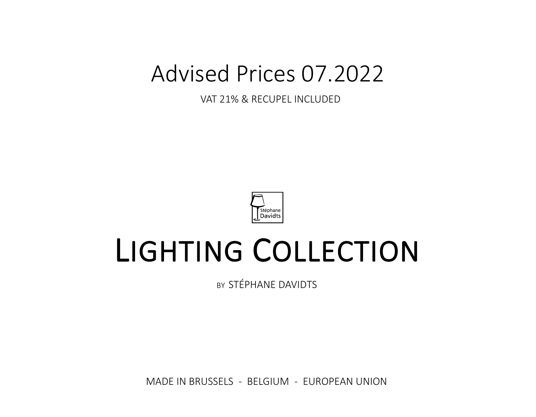## Advised Prices 07.2022

VAT 21% & RECUPEL INCLUDED



# LIGHTING COLLECTION

BY STÉPHANE DAVIDTS

MADE IN BRUSSELS - BELGIUM - EUROPEAN UNION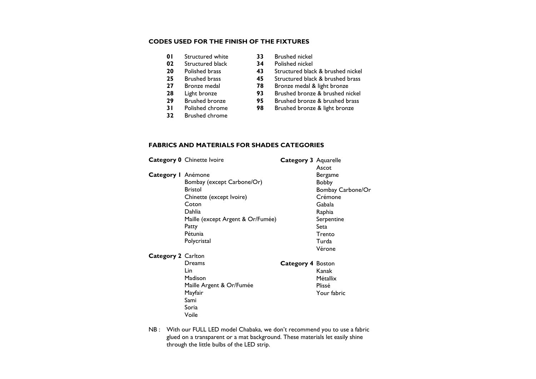#### **CODES USED FOR THE FINISH OF THE FIXTURES**

- **01** Structured white **33** Brushed nickel
- **02** Structured black<br>**20** Polished brass
- 
- 
- 
- 
- 
- 
- **32** Brushed chrome
- 
- 
- **20** Polished brass **43** Structured black & brushed nickel<br>**25** Brushed brass **45** Structured black & brushed brass
	- **25** Brushed brass **45** Structured black & brushed brass
- **27** Bronze medal **78** Bronze medal & light bronze
	- **28** Light bronze **93** Brushed bronze & brushed nickel
- **29** Brushed bronze **95** Brushed bronze & brushed brass
	- **Brushed bronze & light bronze**
- 

#### **FABRICS AND MATERIALS FOR SHADES CATEGORIES**

|                           | <b>Category 0</b> Chinette Ivoire                                                                                                                                   | Category 3 Aquarelle | Ascot                                                                                                                          |
|---------------------------|---------------------------------------------------------------------------------------------------------------------------------------------------------------------|----------------------|--------------------------------------------------------------------------------------------------------------------------------|
| Category I Anémone        | Bombay (except Carbone/Or)<br><b>Bristol</b><br>Chinette (except Ivoire)<br>Coton<br>Dahlia<br>Maille (except Argent & Or/Fumée)<br>Patty<br>Pétunia<br>Polycristal |                      | Bergame<br><b>Bobby</b><br>Bombay Carbone/Or<br>Crémone<br>Gabala<br>Raphia<br>Serpentine<br>Seta<br>Trento<br>Turda<br>Vérone |
| <b>Category 2 Carlton</b> | Dreams<br>Lin<br>Madison<br>Maille Argent & Or/Fumée<br>Mayfair<br>Sami<br>Soria<br>Voile                                                                           | Category 4 Boston    | Kanak<br><b>Métallix</b><br>Plissé<br>Your fabric                                                                              |

NB : With our FULL LED model Chabaka, we don't recommend you to use a fabric glued on a transparent or a mat background. These materials let easily shine through the little bulbs of the LED strip.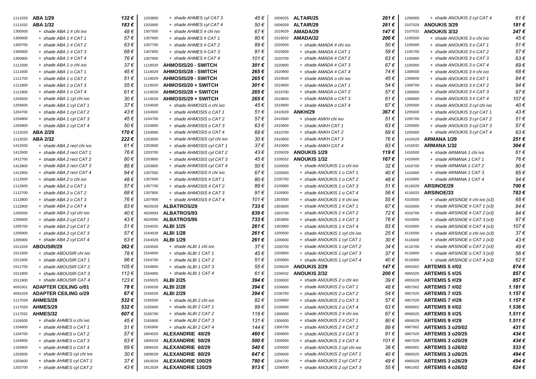| 1111029 | ABA 1/29                    | 132€ | 1203800 | + shade AHMES cyl CAT 3     | 45 €           | 1606025 | ALTAIR/25                     | 261 €    | 1206900 | + shade ANOUKIS 2 cyl CAT 4    | $61 \in$    |
|---------|-----------------------------|------|---------|-----------------------------|----------------|---------|-------------------------------|----------|---------|--------------------------------|-------------|
| 1111032 | <b>ABA 1/32</b>             | 183€ | 1203900 | + shade AHMES cyl CAT 4     | 50€            | 1606029 | ALTAIR/29                     | 261€     | 2107029 | <b>ANOUKIS 3/29</b>            | 181€        |
| 1300500 | + shade ABA 1 # chi ivo     | 48€  | 1307500 | + shade AHMES # chi ivo     | 67€            | 1519029 | AMADA/29                      | 147€     | 2107032 | <b>ANOUKIS 3/32</b>            | 247€        |
| 1300600 | + shade ABA 1 # CAT 1       | 57€  | 1307600 | + shade AHMES # CAT 1       | 80€            | 1519032 | AMADA/32                      | 200€     | 1105500 | + shade ANOUKIS 3 o chi ivo    | 45€         |
| 1300700 | + shade ABA 1 # CAT 2       | 63€  | 1307700 | + shade AHMES # CAT2        | 89€            | 1520500 | + shade AMADA # chi ivo       | 50€      | 1105600 | + shade ANOUKIS 3 o CAT 1      | 51€         |
| 1300800 | + shade ABA 1 # CAT 3       | 68€  | 1307800 | + shade AHMES # CAT 3       | 91€            | 1520600 | + shade AMADA # CAT 1         | 59€      | 1105700 | + shade ANOUKIS 3 o CAT 2      | 57€         |
| 1300900 | + shade ABA 1 # CAT 4       | 76€  | 1307900 | + shade AHMES # CAT 4       | 101€           | 1520700 | + shade AMADA # CAT 2         | 63€      | 1105800 | + shade ANOUKIS 3 o CAT 3      | 63€         |
| 1111500 | + shade ABA 1 o chi ivo     | 37€  | 1118020 | <b>AHMOSIS/20 - SWITCH</b>  | 301€           | 1520800 | + shade AMADA # CAT 3         | 67€      | 1105900 | + shade ANOUKIS 3 o CAT 4      | 69€         |
| 1111600 | + shade ABA 1 o CAT 1       | 45€  | 1118028 | <b>AHMOSIS/28 - SWITCH</b>  | 265€           | 1520900 | + shade AMADA # CAT 4         | 74€      | 1308500 | + shade ANOUKIS 3 # chi ivo    | 68€         |
| 1111700 | + shade ABA 1 o CAT 2       | 51€  | 1118029 | <b>AHMOSIS/29 - SWITCH</b>  | 265€           | 1519500 | + shade AMADA o chi ivo       | 45€      | 1308600 | + shade ANOUKIS 3 # CAT 1      | 84€         |
| 1111800 | + shade ABA 1 o CAT 3       | 55 € | 1119020 | AHMOSIS/20 + SWITCH         | 301 $\epsilon$ | 1519600 | + shade AMADA o CAT 1         | 54€      | 1308700 | + shade ANOUKIS 3 # CAT 2      | 94€         |
| 1111900 | + shade ABA 1 o CAT 4       | 61 € | 1119028 | AHMOSIS/28 + SWITCH         | 265€           | 1519700 | + shade AMADA o CAT 2         | 57€      | 1308800 | + shade ANOUKIS 3 # CAT 3      | 97€         |
| 1204500 | + shade ABA 1 cyl chi ivo   | 30 € | 1119029 | AHMOSIS/29 + SWITCH         | 265€           | 1519800 | + shade AMADA o CAT 3         | $61 \in$ | 1308900 | + shade ANOUKIS 3 # CAT 4      | 107€        |
| 1204600 | + shade ABA 1 cyl CAT 1     | 37€  | 1104500 | + shade AHMOSIS o chi ivo   | 45€            | 1519900 | + shade AMADA o CAT 4         | 67€      | 1205500 | + shade ANOUKIS 3 cyl chi ivo  | 40€         |
| 1204700 | + shade ABA 1 cyl CAT 2     | 43€  | 1104600 | + shade AHMOSIS o CAT 1     | 51 €           | 2410029 | ANKH/29                       | 367€     | 1205600 | + shade ANOUKIS 3 cyl CAT 1    | 43€         |
| 1204800 | + shade ABA 1 cyl CAT 3     | 45 € | 1104700 | + shade AHMOSIS o CAT 2     | 57€            | 2410500 | + shade ANKH chi ivo          | 51€      | 1205700 | + shade ANOUKIS 3 cyl CAT 2    | 51€         |
| 1204900 | + shade ABA 1 cyl CAT 4     | 50€  | 1104800 | + shade AHMOSIS o CAT 3     | 63€            | 2410600 | + shade ANKH CAT 1            | 63€      | 1205800 | + shade ANOUKIS 3 cyl CAT 3    | 57€         |
| 1112029 | ABA 2/29                    | 170€ | 1104900 | + shade AHMOSIS o CAT 4     | 69€            | 2410700 | + shade ANKH CAT 2            | 69€      | 1205900 | + shade ANOUKIS 3 cyl CAT 4    | 63€         |
| 1112032 | <b>ABA 2/32</b>             | 222€ | 1203500 | + shade AHMOSIS cyl chi ivo | 30€            | 2410800 | + shade ANKH CAT 3            | 76 €     | 1416029 | ARMANA 1/29                    | 251€        |
| 1412500 | + shade ABA 2 rect chi ivo  | 61 € | 1203600 | + shade AHMOSIS cyl CAT 1   | 37€            | 2410900 | + shade ANKH CAT 4            | 83€      | 1416032 | <b>ARMANA 1/32</b>             | 304€        |
| 1412600 | + shade ABA 2 rect CAT 1    | 76 € | 1203700 | + shade AHMOSIS cyl CAT 2   | 43€            | 2105029 | <b>ANOUKIS 1/29</b>           | 119€     | 1416500 | + shade ARMANA 1 chi ivo       | 61€         |
| 1412700 | + shade ABA 2 rect CAT 2    | 80€  | 1203800 | + shade AHMOSIS cyl CAT 3   | 45€            | 2105032 | <b>ANOUKIS 1/32</b>           | 167€     | 1416600 | + shade ARMANA 1 CAT 1         | 76 €        |
| 1412800 | + shade ABA 2 rect CAT 3    | 85€  | 1203900 | + shade AHMOSIS cyl CAT 4   | 50€            | 2105500 | + shade ANOUKIS 1 o chi ivo   | 32€      | 1416700 | + shade ARMANA 1 CAT 2         | 80€         |
| 1412900 | + shade ABA 2 rect CAT 4    | 94 € | 1307500 | + shade AHMOSIS # chi ivo   | 67€            | 2105600 | + shade ANOUKIS 1 o CAT 1     | 40 €     | 1416800 | + shade ARMANA 1 CAT 3         | 85€         |
| 1112500 | + shade ABA 2 o chi ivo     | 48€  | 1307600 | + shade AHMOSIS # CAT 1     | 80€            | 2105700 | + shade ANOUKIS 1 o CAT 2     | 48€      | 1416900 | + shade ARMANA 1 CAT 4         | 94€         |
| 1112600 | + shade ABA 2 o CAT 1       | 57€  | 1307700 | + shade AHMOSIS # CAT 2     | 89€            | 2105800 | + shade ANOUKIS 1 o CAT 3     | 51€      | 4116029 | <b>ARSINOE/29</b>              | 700€        |
| 1112700 | + shade ABA 2 o CAT 2       | 68€  | 1307800 | + shade AHMOSIS # CAT 3     | 91€            | 2105900 | + shade ANOUKIS 1 o CAT 4     | 56€      | 4116033 | ARSINOE/33                     | 783€        |
| 1112800 | + shade ABA 2 o CAT 3       | 76 € | 1307900 | + shade AHMOSIS # CAT 4     | 101€           | 1303500 | + shade ANOUKIS 1 # chi ivo   | 55€      | 4316500 | + shade ARSINOE # chi ivo (x3) | 68€         |
| 1112900 | + shade ABA 2 o CAT 4       | 83€  | 4620029 | <b>ALBATROS/29</b>          | 733€           | 1303600 | + shade ANOUKIS 1 # CAT 1     | 67€      | 4316600 | + shade ARSINOE # CAT 1 (x3)   | 84€         |
| 1205500 | + shade ABA 2 cyl chi ivo   | 40 € | 4620093 | <b>ALBATROS/93</b>          | 839€           | 1303700 | + shade ANOUKIS 1 # CAT 2     | 72€      | 4316700 | + shade ARSINOE # CAT 2 (x3)   | 94€         |
| 1205600 | + shade ABA 2 cyl CAT 1     | 43€  | 4620095 | <b>ALBATROS/95</b>          | 733€           | 1303800 | + shade ANOUKIS 1 # CAT 3     | 76€      | 4316800 | $+$ shade ARSINOE # CAT 3 (x3) | 97€         |
| 1205700 | + shade ABA 2 cyl CAT 2     | 51€  | 2164025 | <b>ALBI 1/25</b>            | 261€           | 1303900 | + shade ANOUKIS 1 # CAT 4     | 83€      | 4316900 | $+$ shade ARSINOE # CAT 4 (x3) | 107€        |
| 1205800 | + shade ABA 2 cyl CAT 3     | 57€  |         | 2164028 ALBI 1/28           | 261€           | 1200500 | + shade ANOUKIS 1 cyl chi ivo | 25€      | 4116500 | + shade ARSINOE o chi ivo (x3) | 37€         |
| 1205900 | + shade ABA 2 cyl CAT 4     | 63€  |         | 2164029 ALBI 1/29           | 261€           | 1200600 | + shade ANOUKIS 1 cyl CAT 1   | 30€      | 4116600 | + shade ARSINOE o CAT 1 (x3)   | 43€         |
| 1511029 | <b>ABOUSIR/29</b>           | 262€ | 2164500 | + shade ALBI 1 chi ivo      | 37€            | 1200700 | + shade ANOUKIS 1 cyl CAT 2   | 34€      | 4116700 | + shade ARSINOE o CAT 2 (x3)   | 49€         |
| 1511500 | + shade ABOUSIR chi ivo     | 78€  | 2164600 | + shade ALBI 1 CAT 1        | 45€            | 1200800 | + shade ANOUKIS 1 cyl CAT 3   | 37€      | 4116800 | + shade ARSINOE o CAT 3 (x3)   | 56€         |
| 1511600 | + shade ABOUSIR CAT 1       | 96€  | 2164700 | + shade ALBI 1 CAT 2        | 51 €           | 1200900 | + shade ANOUKIS 1 cyl CAT 4   | 40€      | 4116900 | + shade ARSINOE o CAT 4 (x3)   | 62€         |
| 1511700 | + shade ABOUSIR CAT2        | 105€ | 2164800 | + shade ALBI 1 CAT 3        | 55€            | 2106029 | <b>ANOUKIS 2/29</b>           | 147€     | 4955002 | ARTEMIS 5 #/02                 | 874€        |
| 1511800 | + shade ABOUSIR CAT 3       | 112€ | 2164900 | + shade ALBI 1 CAT 4        | $61 \in$       | 2106032 | <b>ANOUKIS 2/32</b>           | 200€     | 4955025 | <b>ARTEMIS 5 #/25</b>          | 857€        |
| 1511900 | + shade ABOUSIR CAT 4       | 123€ | 2165025 | <b>ALBI 2/25</b>            | 394€           | 2106500 | + shade ANOUKIS 2 o chi ivo   | 39€      | 4955029 | <b>ARTEMIS 5 #/29</b>          | 857€        |
| 4091001 | <b>ADAPTER CEILING o/01</b> | 78€  |         | 2165028 ALBI 2/28           | 394€           | 2106600 | + shade ANOUKIS 2 o CAT 1     | 48€      | 4957002 | <b>ARTEMIS 7 #/02</b>          | 1.181€      |
| 4091029 | <b>ADAPTER CEILING o/29</b> | 67 € |         | 2165029 ALBI 2/29           | 394€           | 2106700 | + shade ANOUKIS 2 o CAT 2     | 54€      |         | 4957025 ARTEMIS 7 #/25         | 1.157€      |
| 1117028 | <b>AHMES/28</b>             | 532€ | 2165500 | + shade ALBI 2 chi ivo      | 82€            | 2106800 | + shade ANOUKIS 2 o CAT 3     | $57 \in$ | 4957029 | <b>ARTEMIS 7 #/29</b>          | 1.157€      |
| 1117029 | <b>AHMES/29</b>             | 532€ | 2165600 | + shade ALBI 2 CAT 1        | 99€            | 2106900 | + shade ANOUKIS 2 o CAT 4     | 63€      | 4958002 | <b>ARTEMIS 9 #/02</b>          | 1.536€      |
| 1117032 | AHMES/32                    | 607€ | 2165700 | + shade ALBI 2 CAT 2        | 118€           | 1306500 | + shade ANOUKIS 2 # chi ivo   | 67€      | 4958025 | <b>ARTEMIS 9 #/25</b>          | 1.511€      |
| 1104500 | + shade AHMES o chi ivo     | 45 € | 2165800 | + shade ALBI 2 CAT 3        | 131 €          | 1306600 | + shade ANOUKIS 2 # CAT 1     | 80€      | 4958029 | ARTEMIS 9 #/29                 | $1.511 \in$ |
| 1104600 | + shade AHMES o CAT 1       | 51€  | 2165900 | + shade ALBI 2 CAT 4        | 144€           | 1306700 | + shade ANOUKIS 2 # CAT 2     | 89€      | 4967002 | <b>ARTEMIS 3 o20/02</b>        | 431€        |
| 1104700 | + shade AHMES o CAT 2       | 57€  | 1804029 | <b>ALEXANDRIE 40/29</b>     | 460€           | 1306800 | + shade ANOUKIS 2 # CAT 3     | 91€      | 4967025 | <b>ARTEMIS 3 o20/25</b>        | 434€        |
| 1104800 | + shade AHMES o CAT 3       | 63€  | 1805029 | <b>ALEXANDRIE 50/29</b>     | 500€           | 1306900 | + shade ANOUKIS 2 # CAT 4     | 101 €    | 4967029 | <b>ARTEMIS 3 o20/29</b>        | 434€        |
| 1104900 | + shade AHMES o CAT 4       | 69€  | 1806029 | ALEXANDRIE 60/29            | 540€           | 1206500 | + shade ANOUKIS 2 cyl chi ivo | 38€      | 4960002 | <b>ARTEMIS 3 o26/02</b>        | 533€        |
| 1203500 | + shade AHMES cyl chi ivo   | 30€  | 1808029 | <b>ALEXANDRIE 80/29</b>     | 647€           | 1206600 | + shade ANOUKIS 2 cyl CAT 1   | 40€      | 4960025 | <b>ARTEMIS 3 o26/25</b>        | 494€        |
| 1203600 | + shade AHMES cyl CAT 1     | 37€  | 1810029 | <b>ALEXANDRIE 100/29</b>    | 780€           | 1206700 | + shade ANOUKIS 2 cyl CAT 2   | 49€      | 4960029 | <b>ARTEMIS 3 o26/29</b>        | 494€        |
| 1203700 | + shade AHMES cyl CAT 2     | 43€  |         | 1812029 ALEXANDRIE 120/29   | $913 \in$      | 1206800 | + shade ANOUKIS 2 cyl CAT 3   | 55 €     |         | 4961002 ARTEMIS 4 o26/02       | 624€        |
|         |                             |      |         |                             |                |         |                               |          |         |                                |             |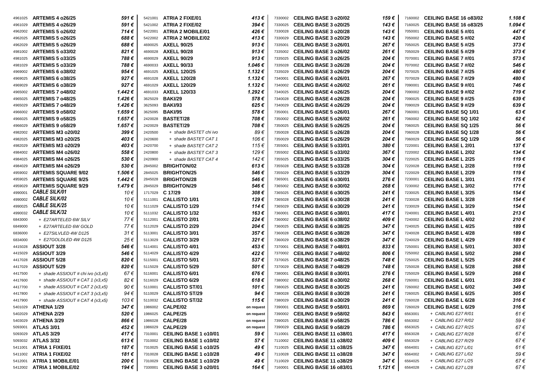| <b>ARTEMIS 4 o26/29</b><br>5421002 ATRIA 2 FIXE/02<br>394€<br><b>CEILING BASE 3 o20/25</b><br>143€<br><b>CEILING BASE 16 o83/25</b><br>1.094 €<br>591 €<br>7160025<br>7330025<br>4961029<br>447€<br><b>ARTEMIS 5 o26/02</b><br>714€<br><b>ATRIA 2 MOBILE/01</b><br>426€<br>CEILING BASE 3 o20/28<br>143€<br><b>CEILING BASE 5 #/01</b><br>5422001<br>7330028<br>7050001<br>4962002<br>413€<br>420€<br><b>ARTEMIS 5 o26/25</b><br>688 €<br><b>ATRIA 2 MOBILE/02</b><br><b>CEILING BASE 3 o20/29</b><br>143€<br><b>CEILING BASE 5 #/02</b><br>5422002<br>7330029<br>7050002<br>4962025<br><b>ARTEMIS 5 o26/29</b><br>688€<br>913 $\epsilon$<br>CEILING BASE 3 o26/01<br>267€<br>373€<br><b>AXELL 90/25</b><br><b>CEILING BASE 5 #/25</b><br>4690025<br>7050025<br>4962029<br>7335001<br><b>ARTEMIS 5 o33/02</b><br>821€<br><b>AXELL 90/28</b><br>913 $\epsilon$<br>CEILING BASE 3 o26/02<br>373€<br>261 €<br><b>CEILING BASE 5 #/29</b><br>4690028<br>7335002<br>7050029<br>4981002<br><b>ARTEMIS 5 o33/25</b><br>788€<br><b>AXELL 90/29</b><br>573€<br>913 $\epsilon$<br><b>CEILING BASE 3 o26/25</b><br>204 €<br><b>CEILING BASE 7 #/01</b><br>4690029<br>7070001<br>4981025<br>7335025<br><b>AXELL 90/33</b><br><b>ARTEMIS 5 o33/29</b><br>788€<br>1.046 €<br><b>CEILING BASE 3 o26/28</b><br>204 €<br><b>CEILING BASE 7 #/02</b><br>546€<br>4690033<br>7335028<br>7070002<br>4981029<br>954 €<br><b>AXELL 120/25</b><br>480€<br><b>ARTEMIS 6 o38/02</b><br>1.132 €<br><b>CEILING BASE 3 o26/29</b><br>204 €<br><b>CEILING BASE 7 #/25</b><br>4691025<br>7335029<br>7070025<br>4969002<br><b>ARTEMIS 6 o38/25</b><br>927€<br><b>AXELL 120/28</b><br>$1.132 \in$<br>267€<br>480€<br><b>CEILING BASE 4 o26/01</b><br><b>CEILING BASE 7 #/29</b><br>4691028<br>7340001<br>7070029<br>4969025<br><b>ARTEMIS 6 o38/29</b><br>927€<br><b>AXELL 120/29</b><br>1.132€<br>746€<br><b>CEILING BASE 4 o26/02</b><br>261 €<br><b>CEILING BASE 9 #/01</b><br>4691029<br>7340002<br>7090001<br>4969029<br><b>ARTEMIS 7 048/02</b><br><b>AXELL 120/33</b><br>719€<br>1.442€<br>1.292 €<br><b>CEILING BASE 4 o26/25</b><br>204 €<br><b>CEILING BASE 9 #/02</b><br>4691033<br>7340025<br>4965002<br>7090002<br><b>BAKI/29</b><br>639€<br><b>ARTEMIS 7 048/25</b><br>1.426€<br>578€<br><b>CEILING BASE 4 o26/28</b><br>204 €<br><b>CEILING BASE 9 #/25</b><br>3625029<br>7340028<br>7090025<br>4965025<br><b>ARTEMIS 7 o48/29</b><br>1.426€<br><b>BAKI/93</b><br>625€<br>204€<br>639€<br><b>CEILING BASE 4 o26/29</b><br><b>CEILING BASE 9 #/29</b><br>3625093<br>4965029<br>7340029<br>7090029<br>1.659€<br><b>BAKI/95</b><br>578€<br>267€<br>63€<br><b>ARTEMIS 9 o58/02</b><br><b>CEILING BASE 5 o26/01</b><br><b>CEILING BASE SQ 1/01</b><br>3625095<br>4966002<br>7350001<br>7060001<br>1.657€<br><b>BASTET/28</b><br>62€<br><b>ARTEMIS 9 o58/25</b><br>708€<br><b>CEILING BASE 5 o26/02</b><br>261 €<br><b>CEILING BASE SQ 1/02</b><br>4966025<br>2420028<br>7350002<br>7060002<br><b>ARTEMIS 9 o58/29</b><br>1.657€<br><b>BASTET/29</b><br>708€<br><b>CEILING BASE 5 o26/25</b><br>204 €<br><b>CEILING BASE SQ 1/25</b><br>56€<br>2420029<br>7350025<br>7060025<br>4966029<br>399€<br>89€<br>204€<br>56€<br>ARTEMIS M3 o20/02<br>2420500<br>+ shade BASTET chi ivo<br><b>CEILING BASE 5 o26/28</b><br><b>CEILING BASE SQ 1/28</b><br>7350028<br>7060028<br>4982002<br>56€<br><b>ARTEMIS M3 o20/25</b><br>403€<br>+ shade BASTET CAT 1<br>106€<br><b>CEILING BASE 5 o26/29</b><br>204 €<br><b>CEILING BASE SQ 1/29</b><br>4982025<br>2420600<br>7350029<br>7060029<br>137€<br>ARTEMIS M3 o20/29<br>403 €<br>115€<br><b>CEILING BASE 5 033/01</b><br>380€<br><b>CEILING BASE L 2/01</b><br>2420700<br>+ shade BASTET CAT 2<br>4982029<br>7355001<br>7220001<br>ARTEMIS M4 o26/02<br>558 €<br>129€<br><b>CEILING BASE 5 033/02</b><br>367€<br><b>CEILING BASE L 2/02</b><br>134 €<br>+ shade BASTET CAT 3<br>4984002<br>2420800<br>7355002<br>7220002<br>ARTEMIS M4 o26/25<br>530€<br>142€<br><b>CEILING BASE 5 033/25</b><br><b>CEILING BASE L 2/25</b><br>119€<br>2420900<br>+ shade BASTET CAT 4<br>304 €<br>7355025<br>7220025<br>4984025<br>530€<br>$613 \in$<br><b>CEILING BASE 5 o33/28</b><br><b>CEILING BASE L 2/28</b><br>119€<br>ARTEMIS M4 o26/29<br><b>BRIGHTON/02</b><br>304 €<br>7220028<br>2845002<br>7355028<br>4984029<br>1.506€<br><b>BRIGHTON/25</b><br>546€<br><b>CEILING BASE 5 033/29</b><br><b>CEILING BASE L 2/29</b><br>119€<br><b>ARTEMIS SQUARE 9/02</b><br>304 €<br>2845025<br>7355029<br>7220029<br>4959002<br><b>CEILING BASE L 3/01</b><br>175€<br><b>ARTEMIS SQUARE 9/25</b><br>1.442€<br><b>BRIGHTON/28</b><br>546€<br><b>CEILING BASE 6 030/01</b><br>276€<br>2845028<br>7365001<br>7230001<br>4959025<br><b>ARTEMIS SQUARE 9/29</b><br>1.479€<br><b>BRIGHTON/29</b><br>546€<br>CEILING BASE 6 o30/02<br>268€<br><b>CEILING BASE L 3/02</b><br>171€<br>2845029<br>7365002<br>7230002<br>4959029<br><b>CABLE SILK/01</b><br>308€<br>154€<br>10€<br>1717029 C 17/29<br><b>CEILING BASE 6 o30/25</b><br>241 €<br><b>CEILING BASE L 3/25</b><br>7230025<br>4990001<br>7365025<br><b>CABLE SILK/02</b><br><b>CALLISTO 1/01</b><br>129€<br><b>CEILING BASE 6 o30/28</b><br><b>CEILING BASE L 3/28</b><br>154€<br>10€<br>241 €<br>4990002<br>5111001<br>7230028<br>7365028<br><b>CABLE SILK/25</b><br><b>CALLISTO 1/29</b><br><b>CEILING BASE L 3/29</b><br>154€<br>10€<br>114€<br><b>CEILING BASE 6 030/29</b><br>241 €<br>4990025<br>7365029<br>7230029<br>5111029<br><b>CABLE SILK/32</b><br>5111032 CALLISTO 1/32<br>163€<br><b>CEILING BASE L 4/01</b><br>213€<br>10€<br><b>CEILING BASE 6 038/01</b><br>417 €<br>4990032<br>7360001<br>7240001<br><b>CALLISTO 2/01</b><br>224€<br>210€<br>77€<br><b>CEILING BASE 6 038/02</b><br>409 €<br><b>CEILING BASE L 4/02</b><br>+ E27ARTELED 6W SILV<br>6843000<br>5112001<br>7360002<br>7240002<br><b>CALLISTO 2/29</b><br>189€<br>77€<br>204€<br><b>CEILING BASE 6 038/25</b><br>347 €<br><b>CEILING BASE L 4/25</b><br>+ E27ARTELED 6W GOLD<br>6849000<br>5112029<br>7360025<br>7240025<br>CALLISTO 3/01<br>31€<br>357€<br><b>CEILING BASE 6 038/28</b><br>347 €<br><b>CEILING BASE L 4/28</b><br>189€<br>+ E27SILVLED 4W D125<br>5113001<br>7360028<br>7240028<br>6836000<br><b>CALLISTO 3/29</b><br>321€<br>347€<br><b>CEILING BASE L 4/29</b><br>+ E27GOLDLED 4W D125<br>25€<br><b>CEILING BASE 6 038/29</b><br>189€<br>5113029<br>7360029<br>7240029<br>6834000<br>546€<br><b>CALLISTO 4/01</b><br>453€<br>833€<br><b>CEILING BASE L 5/01</b><br>303€<br><b>ASSIOUT 3/28</b><br><b>CEILING BASE 7 048/01</b><br>5114001<br>7370001<br>7250001<br>4415028<br><b>CALLISTO 4/29</b><br>422€<br>298€<br><b>ASSIOUT 3/29</b><br>546 €<br><b>CEILING BASE 7 048/02</b><br>806 €<br><b>CEILING BASE L 5/02</b><br>4415029<br>5114029<br>7370002<br>7250002<br><b>CALLISTO 5/01</b><br>537€<br>268€<br><b>ASSIOUT 5/28</b><br>820 €<br><b>CEILING BASE 7 048/25</b><br>748 €<br><b>CEILING BASE L 5/25</b><br>4417028<br>5115001<br>7370025<br>7250025<br><b>ASSIOUT 5/29</b><br>820€<br><b>CALLISTO 5/29</b><br>501€<br><b>CEILING BASE 7 048/29</b><br>748 €<br><b>CEILING BASE L 5/28</b><br>268€<br>4417029<br>5115029<br>7370029<br>7250028<br><b>CALLISTO 6/01</b><br>676€<br>276€<br>+ shade ASSIOUT # chi ivo (x3,x5)<br>67€<br><b>CEILING BASE 8 030/01</b><br><b>CEILING BASE L 5/29</b><br>268€<br>4417500<br>5116001<br>7380001<br>7250029<br>+ shade ASSIOUT # CAT 1 $(x3, x5)$<br>82€<br><b>CALLISTO 6/29</b><br>618€<br><b>CEILING BASE 8 o30/02</b><br>268 €<br><b>CEILING BASE L 6/01</b><br>359€<br>4417600<br>5116029<br>7380002<br>7260001<br>+ shade $ASSIOUT \# CAT2 (x3,x5)$<br><b>CALLISTO ST/01</b><br>101 €<br><b>CEILING BASE 8 o30/25</b><br>241 €<br><b>CEILING BASE L 6/02</b><br>349€<br>4417700<br>90€<br>5110001<br>7380025<br>7260002<br>+ shade $ASSIOUT \# CAT 3 (x3,x5)$<br>94€<br>5110029 CALLISTO ST/29<br>94€<br><b>CEILING BASE 8 o30/28</b><br>241 €<br><b>CEILING BASE L 6/25</b><br>305€<br>4417800<br>7380028<br>7260025<br>103€<br>5110032 CALLISTO ST/32<br>CEILING BASE 8 o30/29<br>115€<br>241€<br><b>CEILING BASE L 6/28</b><br>316€<br>$+$ shade ASSIOUT # CAT 4 (x3,x5)<br>4417900<br>7380029<br>7260028<br>347 €<br>1986002 CALPE/02<br>316€<br>ATHENA 1/29<br><b>CEILING BASE 9 058/01</b><br>869 €<br><b>CEILING BASE L 6/29</b><br>7390001<br>7260029<br>5401029<br>on request<br>1986025 CALPE/25<br>ATHENA 2/29<br>520 €<br>CEILING BASE 9 o58/02<br>61 €<br>5402029<br>843 €<br>6563001<br>+ CABLING E27 R/01<br>on request<br>7390002<br>ATHENA 3/29<br>866€<br>1986028 <b>CALPE/28</b><br><b>CEILING BASE 9 o58/25</b><br>59€<br>786 €<br>6563002<br>+ CABLING E27 R/02<br>5403029<br>7390025<br>on request<br>67€<br><b>ATLAS 3/01</b><br>452 €<br>1986029 CALPE/29<br>CEILING BASE 9 o58/29<br>786€<br>6563025<br>+ CABLING E27 R/25<br>5093001<br>on request<br>7390029<br>67€<br><b>ATLAS 3/29</b><br>417 €<br>7310001 CEILING BASE 1 o10/01<br>CEILING BASE 11 o38/01<br>417 €<br>59€<br>+ CABLING E27 R/28<br>6563028<br>5093029<br>7110001<br>613€<br>7310002 CEILING BASE 1 o10/02<br>CEILING BASE 11 o38/02<br>67€<br>ATLAS 3/32<br>57€<br>409 €<br>6563029<br>+ CABLING E27 R/29<br>5093032<br>7110002<br>ATRIA 1 FIXE/01<br>187€<br>7310025 CEILING BASE 1 o10/25<br><b>CEILING BASE 11 o38/25</b><br>$61 \in$<br>49€<br>347 €<br>6564001<br>+ CABLING E27 L/01<br>5411001<br>7110025<br>59€<br><b>ATRIA 1 FIXE/02</b><br>181 €<br><b>CEILING BASE 1 o10/28</b><br>49€<br><b>CEILING BASE 11 o38/28</b><br>347 €<br>6564002<br>+ CABLING E27 L/02<br>5411002<br>7310028<br>7110028<br>67€<br>200 €<br>7310029 CEILING BASE 1 o10/29<br>49 €<br>CEILING BASE 11 o38/29<br>347 €<br><b>ATRIA 1 MOBILE/01</b><br>6564025<br>+ CABLING E27 L/25<br>5412001<br>7110029<br><b>ATRIA 1 MOBILE/02</b><br>194 €<br>7330001 CEILING BASE 3 o20/01<br>CEILING BASE 16 o83/01<br>$1.121 \in$<br>67€<br>164 €<br>6564028<br>+ CABLING E27 L/28<br>5412002<br>7160001 | 4961025 | <b>ARTEMIS 4 o26/25</b> | 591 € | 5421001 | ATRIA 2 FIXE/01 | 413€ | 7330002 | <b>CEILING BASE 3 o20/02</b> | 159€ | 7160002 | <b>CEILING BASE 16 o83/02</b> | 1.108€ |
|--------------------------------------------------------------------------------------------------------------------------------------------------------------------------------------------------------------------------------------------------------------------------------------------------------------------------------------------------------------------------------------------------------------------------------------------------------------------------------------------------------------------------------------------------------------------------------------------------------------------------------------------------------------------------------------------------------------------------------------------------------------------------------------------------------------------------------------------------------------------------------------------------------------------------------------------------------------------------------------------------------------------------------------------------------------------------------------------------------------------------------------------------------------------------------------------------------------------------------------------------------------------------------------------------------------------------------------------------------------------------------------------------------------------------------------------------------------------------------------------------------------------------------------------------------------------------------------------------------------------------------------------------------------------------------------------------------------------------------------------------------------------------------------------------------------------------------------------------------------------------------------------------------------------------------------------------------------------------------------------------------------------------------------------------------------------------------------------------------------------------------------------------------------------------------------------------------------------------------------------------------------------------------------------------------------------------------------------------------------------------------------------------------------------------------------------------------------------------------------------------------------------------------------------------------------------------------------------------------------------------------------------------------------------------------------------------------------------------------------------------------------------------------------------------------------------------------------------------------------------------------------------------------------------------------------------------------------------------------------------------------------------------------------------------------------------------------------------------------------------------------------------------------------------------------------------------------------------------------------------------------------------------------------------------------------------------------------------------------------------------------------------------------------------------------------------------------------------------------------------------------------------------------------------------------------------------------------------------------------------------------------------------------------------------------------------------------------------------------------------------------------------------------------------------------------------------------------------------------------------------------------------------------------------------------------------------------------------------------------------------------------------------------------------------------------------------------------------------------------------------------------------------------------------------------------------------------------------------------------------------------------------------------------------------------------------------------------------------------------------------------------------------------------------------------------------------------------------------------------------------------------------------------------------------------------------------------------------------------------------------------------------------------------------------------------------------------------------------------------------------------------------------------------------------------------------------------------------------------------------------------------------------------------------------------------------------------------------------------------------------------------------------------------------------------------------------------------------------------------------------------------------------------------------------------------------------------------------------------------------------------------------------------------------------------------------------------------------------------------------------------------------------------------------------------------------------------------------------------------------------------------------------------------------------------------------------------------------------------------------------------------------------------------------------------------------------------------------------------------------------------------------------------------------------------------------------------------------------------------------------------------------------------------------------------------------------------------------------------------------------------------------------------------------------------------------------------------------------------------------------------------------------------------------------------------------------------------------------------------------------------------------------------------------------------------------------------------------------------------------------------------------------------------------------------------------------------------------------------------------------------------------------------------------------------------------------------------------------------------------------------------------------------------------------------------------------------------------------------------------------------------------------------------------------------------------------------------------------------------------------------------------------------------------------------------------------------------------------------------------------------------------------------------------------------------------------------------------------------------------------------------------------------------------------------------------------------------------------------------------------------------------------------------------------------------------------------------------------------------------------------------------------------------------------------------------------------------------------------------------------------------------------------------------------------------------------------------------------------------------------------------------------------------------------------------------------------------------------------------------------------------------------------------------------------------------------------------------------------------------------------------------------------------------------------------------------------------------------------------------------------------------------------------------------------------------------------------------------------------------------------------------------------------------------------------------------------------------------------------------------------------------------------------------------------------------------------------------------------------------------------------------------------------------------------------------------------------------------------------------------------------------------------------------------------------------------------------------------------------------------------------------------------------------------------------------------------------------------------------------------------------------------------------------------------------------------------------------------------------------------------------------------------------------------------------------------------------------------------------------------------------------------------------------------------------------------------------------------------------------------------------------------------------------------------------------------------------------------------------------------------------------------------------------------------------------------------------------------------------------------------------------------------------------------------------------------------------------------------------------------------------------------------------------------------------------------------------------------------------------------------------------------------------------------------------------------------------------------------------------------------------------------------------------------------------------------------------------------------------------------------------------------------------------------------------------------------------------------------------------|---------|-------------------------|-------|---------|-----------------|------|---------|------------------------------|------|---------|-------------------------------|--------|
|                                                                                                                                                                                                                                                                                                                                                                                                                                                                                                                                                                                                                                                                                                                                                                                                                                                                                                                                                                                                                                                                                                                                                                                                                                                                                                                                                                                                                                                                                                                                                                                                                                                                                                                                                                                                                                                                                                                                                                                                                                                                                                                                                                                                                                                                                                                                                                                                                                                                                                                                                                                                                                                                                                                                                                                                                                                                                                                                                                                                                                                                                                                                                                                                                                                                                                                                                                                                                                                                                                                                                                                                                                                                                                                                                                                                                                                                                                                                                                                                                                                                                                                                                                                                                                                                                                                                                                                                                                                                                                                                                                                                                                                                                                                                                                                                                                                                                                                                                                                                                                                                                                                                                                                                                                                                                                                                                                                                                                                                                                                                                                                                                                                                                                                                                                                                                                                                                                                                                                                                                                                                                                                                                                                                                                                                                                                                                                                                                                                                                                                                                                                                                                                                                                                                                                                                                                                                                                                                                                                                                                                                                                                                                                                                                                                                                                                                                                                                                                                                                                                                                                                                                                                                                                                                                                                                                                                                                                                                                                                                                                                                                                                                                                                                                                                                                                                                                                                                                                                                                                                                                                                                                                                                                                                                                                                                                                                                                                                                                                                                                                                                                                                                                                                                                                                                                                                                                                                                                                                                                                                                                                                                                                                                                                                                                                                                                                                                                                                                                                                            |         |                         |       |         |                 |      |         |                              |      |         |                               |        |
|                                                                                                                                                                                                                                                                                                                                                                                                                                                                                                                                                                                                                                                                                                                                                                                                                                                                                                                                                                                                                                                                                                                                                                                                                                                                                                                                                                                                                                                                                                                                                                                                                                                                                                                                                                                                                                                                                                                                                                                                                                                                                                                                                                                                                                                                                                                                                                                                                                                                                                                                                                                                                                                                                                                                                                                                                                                                                                                                                                                                                                                                                                                                                                                                                                                                                                                                                                                                                                                                                                                                                                                                                                                                                                                                                                                                                                                                                                                                                                                                                                                                                                                                                                                                                                                                                                                                                                                                                                                                                                                                                                                                                                                                                                                                                                                                                                                                                                                                                                                                                                                                                                                                                                                                                                                                                                                                                                                                                                                                                                                                                                                                                                                                                                                                                                                                                                                                                                                                                                                                                                                                                                                                                                                                                                                                                                                                                                                                                                                                                                                                                                                                                                                                                                                                                                                                                                                                                                                                                                                                                                                                                                                                                                                                                                                                                                                                                                                                                                                                                                                                                                                                                                                                                                                                                                                                                                                                                                                                                                                                                                                                                                                                                                                                                                                                                                                                                                                                                                                                                                                                                                                                                                                                                                                                                                                                                                                                                                                                                                                                                                                                                                                                                                                                                                                                                                                                                                                                                                                                                                                                                                                                                                                                                                                                                                                                                                                                                                                                                                                            |         |                         |       |         |                 |      |         |                              |      |         |                               |        |
|                                                                                                                                                                                                                                                                                                                                                                                                                                                                                                                                                                                                                                                                                                                                                                                                                                                                                                                                                                                                                                                                                                                                                                                                                                                                                                                                                                                                                                                                                                                                                                                                                                                                                                                                                                                                                                                                                                                                                                                                                                                                                                                                                                                                                                                                                                                                                                                                                                                                                                                                                                                                                                                                                                                                                                                                                                                                                                                                                                                                                                                                                                                                                                                                                                                                                                                                                                                                                                                                                                                                                                                                                                                                                                                                                                                                                                                                                                                                                                                                                                                                                                                                                                                                                                                                                                                                                                                                                                                                                                                                                                                                                                                                                                                                                                                                                                                                                                                                                                                                                                                                                                                                                                                                                                                                                                                                                                                                                                                                                                                                                                                                                                                                                                                                                                                                                                                                                                                                                                                                                                                                                                                                                                                                                                                                                                                                                                                                                                                                                                                                                                                                                                                                                                                                                                                                                                                                                                                                                                                                                                                                                                                                                                                                                                                                                                                                                                                                                                                                                                                                                                                                                                                                                                                                                                                                                                                                                                                                                                                                                                                                                                                                                                                                                                                                                                                                                                                                                                                                                                                                                                                                                                                                                                                                                                                                                                                                                                                                                                                                                                                                                                                                                                                                                                                                                                                                                                                                                                                                                                                                                                                                                                                                                                                                                                                                                                                                                                                                                                                            |         |                         |       |         |                 |      |         |                              |      |         |                               |        |
|                                                                                                                                                                                                                                                                                                                                                                                                                                                                                                                                                                                                                                                                                                                                                                                                                                                                                                                                                                                                                                                                                                                                                                                                                                                                                                                                                                                                                                                                                                                                                                                                                                                                                                                                                                                                                                                                                                                                                                                                                                                                                                                                                                                                                                                                                                                                                                                                                                                                                                                                                                                                                                                                                                                                                                                                                                                                                                                                                                                                                                                                                                                                                                                                                                                                                                                                                                                                                                                                                                                                                                                                                                                                                                                                                                                                                                                                                                                                                                                                                                                                                                                                                                                                                                                                                                                                                                                                                                                                                                                                                                                                                                                                                                                                                                                                                                                                                                                                                                                                                                                                                                                                                                                                                                                                                                                                                                                                                                                                                                                                                                                                                                                                                                                                                                                                                                                                                                                                                                                                                                                                                                                                                                                                                                                                                                                                                                                                                                                                                                                                                                                                                                                                                                                                                                                                                                                                                                                                                                                                                                                                                                                                                                                                                                                                                                                                                                                                                                                                                                                                                                                                                                                                                                                                                                                                                                                                                                                                                                                                                                                                                                                                                                                                                                                                                                                                                                                                                                                                                                                                                                                                                                                                                                                                                                                                                                                                                                                                                                                                                                                                                                                                                                                                                                                                                                                                                                                                                                                                                                                                                                                                                                                                                                                                                                                                                                                                                                                                                                                            |         |                         |       |         |                 |      |         |                              |      |         |                               |        |
|                                                                                                                                                                                                                                                                                                                                                                                                                                                                                                                                                                                                                                                                                                                                                                                                                                                                                                                                                                                                                                                                                                                                                                                                                                                                                                                                                                                                                                                                                                                                                                                                                                                                                                                                                                                                                                                                                                                                                                                                                                                                                                                                                                                                                                                                                                                                                                                                                                                                                                                                                                                                                                                                                                                                                                                                                                                                                                                                                                                                                                                                                                                                                                                                                                                                                                                                                                                                                                                                                                                                                                                                                                                                                                                                                                                                                                                                                                                                                                                                                                                                                                                                                                                                                                                                                                                                                                                                                                                                                                                                                                                                                                                                                                                                                                                                                                                                                                                                                                                                                                                                                                                                                                                                                                                                                                                                                                                                                                                                                                                                                                                                                                                                                                                                                                                                                                                                                                                                                                                                                                                                                                                                                                                                                                                                                                                                                                                                                                                                                                                                                                                                                                                                                                                                                                                                                                                                                                                                                                                                                                                                                                                                                                                                                                                                                                                                                                                                                                                                                                                                                                                                                                                                                                                                                                                                                                                                                                                                                                                                                                                                                                                                                                                                                                                                                                                                                                                                                                                                                                                                                                                                                                                                                                                                                                                                                                                                                                                                                                                                                                                                                                                                                                                                                                                                                                                                                                                                                                                                                                                                                                                                                                                                                                                                                                                                                                                                                                                                                                                            |         |                         |       |         |                 |      |         |                              |      |         |                               |        |
|                                                                                                                                                                                                                                                                                                                                                                                                                                                                                                                                                                                                                                                                                                                                                                                                                                                                                                                                                                                                                                                                                                                                                                                                                                                                                                                                                                                                                                                                                                                                                                                                                                                                                                                                                                                                                                                                                                                                                                                                                                                                                                                                                                                                                                                                                                                                                                                                                                                                                                                                                                                                                                                                                                                                                                                                                                                                                                                                                                                                                                                                                                                                                                                                                                                                                                                                                                                                                                                                                                                                                                                                                                                                                                                                                                                                                                                                                                                                                                                                                                                                                                                                                                                                                                                                                                                                                                                                                                                                                                                                                                                                                                                                                                                                                                                                                                                                                                                                                                                                                                                                                                                                                                                                                                                                                                                                                                                                                                                                                                                                                                                                                                                                                                                                                                                                                                                                                                                                                                                                                                                                                                                                                                                                                                                                                                                                                                                                                                                                                                                                                                                                                                                                                                                                                                                                                                                                                                                                                                                                                                                                                                                                                                                                                                                                                                                                                                                                                                                                                                                                                                                                                                                                                                                                                                                                                                                                                                                                                                                                                                                                                                                                                                                                                                                                                                                                                                                                                                                                                                                                                                                                                                                                                                                                                                                                                                                                                                                                                                                                                                                                                                                                                                                                                                                                                                                                                                                                                                                                                                                                                                                                                                                                                                                                                                                                                                                                                                                                                                                            |         |                         |       |         |                 |      |         |                              |      |         |                               |        |
|                                                                                                                                                                                                                                                                                                                                                                                                                                                                                                                                                                                                                                                                                                                                                                                                                                                                                                                                                                                                                                                                                                                                                                                                                                                                                                                                                                                                                                                                                                                                                                                                                                                                                                                                                                                                                                                                                                                                                                                                                                                                                                                                                                                                                                                                                                                                                                                                                                                                                                                                                                                                                                                                                                                                                                                                                                                                                                                                                                                                                                                                                                                                                                                                                                                                                                                                                                                                                                                                                                                                                                                                                                                                                                                                                                                                                                                                                                                                                                                                                                                                                                                                                                                                                                                                                                                                                                                                                                                                                                                                                                                                                                                                                                                                                                                                                                                                                                                                                                                                                                                                                                                                                                                                                                                                                                                                                                                                                                                                                                                                                                                                                                                                                                                                                                                                                                                                                                                                                                                                                                                                                                                                                                                                                                                                                                                                                                                                                                                                                                                                                                                                                                                                                                                                                                                                                                                                                                                                                                                                                                                                                                                                                                                                                                                                                                                                                                                                                                                                                                                                                                                                                                                                                                                                                                                                                                                                                                                                                                                                                                                                                                                                                                                                                                                                                                                                                                                                                                                                                                                                                                                                                                                                                                                                                                                                                                                                                                                                                                                                                                                                                                                                                                                                                                                                                                                                                                                                                                                                                                                                                                                                                                                                                                                                                                                                                                                                                                                                                                                            |         |                         |       |         |                 |      |         |                              |      |         |                               |        |
|                                                                                                                                                                                                                                                                                                                                                                                                                                                                                                                                                                                                                                                                                                                                                                                                                                                                                                                                                                                                                                                                                                                                                                                                                                                                                                                                                                                                                                                                                                                                                                                                                                                                                                                                                                                                                                                                                                                                                                                                                                                                                                                                                                                                                                                                                                                                                                                                                                                                                                                                                                                                                                                                                                                                                                                                                                                                                                                                                                                                                                                                                                                                                                                                                                                                                                                                                                                                                                                                                                                                                                                                                                                                                                                                                                                                                                                                                                                                                                                                                                                                                                                                                                                                                                                                                                                                                                                                                                                                                                                                                                                                                                                                                                                                                                                                                                                                                                                                                                                                                                                                                                                                                                                                                                                                                                                                                                                                                                                                                                                                                                                                                                                                                                                                                                                                                                                                                                                                                                                                                                                                                                                                                                                                                                                                                                                                                                                                                                                                                                                                                                                                                                                                                                                                                                                                                                                                                                                                                                                                                                                                                                                                                                                                                                                                                                                                                                                                                                                                                                                                                                                                                                                                                                                                                                                                                                                                                                                                                                                                                                                                                                                                                                                                                                                                                                                                                                                                                                                                                                                                                                                                                                                                                                                                                                                                                                                                                                                                                                                                                                                                                                                                                                                                                                                                                                                                                                                                                                                                                                                                                                                                                                                                                                                                                                                                                                                                                                                                                                                            |         |                         |       |         |                 |      |         |                              |      |         |                               |        |
|                                                                                                                                                                                                                                                                                                                                                                                                                                                                                                                                                                                                                                                                                                                                                                                                                                                                                                                                                                                                                                                                                                                                                                                                                                                                                                                                                                                                                                                                                                                                                                                                                                                                                                                                                                                                                                                                                                                                                                                                                                                                                                                                                                                                                                                                                                                                                                                                                                                                                                                                                                                                                                                                                                                                                                                                                                                                                                                                                                                                                                                                                                                                                                                                                                                                                                                                                                                                                                                                                                                                                                                                                                                                                                                                                                                                                                                                                                                                                                                                                                                                                                                                                                                                                                                                                                                                                                                                                                                                                                                                                                                                                                                                                                                                                                                                                                                                                                                                                                                                                                                                                                                                                                                                                                                                                                                                                                                                                                                                                                                                                                                                                                                                                                                                                                                                                                                                                                                                                                                                                                                                                                                                                                                                                                                                                                                                                                                                                                                                                                                                                                                                                                                                                                                                                                                                                                                                                                                                                                                                                                                                                                                                                                                                                                                                                                                                                                                                                                                                                                                                                                                                                                                                                                                                                                                                                                                                                                                                                                                                                                                                                                                                                                                                                                                                                                                                                                                                                                                                                                                                                                                                                                                                                                                                                                                                                                                                                                                                                                                                                                                                                                                                                                                                                                                                                                                                                                                                                                                                                                                                                                                                                                                                                                                                                                                                                                                                                                                                                                                            |         |                         |       |         |                 |      |         |                              |      |         |                               |        |
|                                                                                                                                                                                                                                                                                                                                                                                                                                                                                                                                                                                                                                                                                                                                                                                                                                                                                                                                                                                                                                                                                                                                                                                                                                                                                                                                                                                                                                                                                                                                                                                                                                                                                                                                                                                                                                                                                                                                                                                                                                                                                                                                                                                                                                                                                                                                                                                                                                                                                                                                                                                                                                                                                                                                                                                                                                                                                                                                                                                                                                                                                                                                                                                                                                                                                                                                                                                                                                                                                                                                                                                                                                                                                                                                                                                                                                                                                                                                                                                                                                                                                                                                                                                                                                                                                                                                                                                                                                                                                                                                                                                                                                                                                                                                                                                                                                                                                                                                                                                                                                                                                                                                                                                                                                                                                                                                                                                                                                                                                                                                                                                                                                                                                                                                                                                                                                                                                                                                                                                                                                                                                                                                                                                                                                                                                                                                                                                                                                                                                                                                                                                                                                                                                                                                                                                                                                                                                                                                                                                                                                                                                                                                                                                                                                                                                                                                                                                                                                                                                                                                                                                                                                                                                                                                                                                                                                                                                                                                                                                                                                                                                                                                                                                                                                                                                                                                                                                                                                                                                                                                                                                                                                                                                                                                                                                                                                                                                                                                                                                                                                                                                                                                                                                                                                                                                                                                                                                                                                                                                                                                                                                                                                                                                                                                                                                                                                                                                                                                                                                            |         |                         |       |         |                 |      |         |                              |      |         |                               |        |
|                                                                                                                                                                                                                                                                                                                                                                                                                                                                                                                                                                                                                                                                                                                                                                                                                                                                                                                                                                                                                                                                                                                                                                                                                                                                                                                                                                                                                                                                                                                                                                                                                                                                                                                                                                                                                                                                                                                                                                                                                                                                                                                                                                                                                                                                                                                                                                                                                                                                                                                                                                                                                                                                                                                                                                                                                                                                                                                                                                                                                                                                                                                                                                                                                                                                                                                                                                                                                                                                                                                                                                                                                                                                                                                                                                                                                                                                                                                                                                                                                                                                                                                                                                                                                                                                                                                                                                                                                                                                                                                                                                                                                                                                                                                                                                                                                                                                                                                                                                                                                                                                                                                                                                                                                                                                                                                                                                                                                                                                                                                                                                                                                                                                                                                                                                                                                                                                                                                                                                                                                                                                                                                                                                                                                                                                                                                                                                                                                                                                                                                                                                                                                                                                                                                                                                                                                                                                                                                                                                                                                                                                                                                                                                                                                                                                                                                                                                                                                                                                                                                                                                                                                                                                                                                                                                                                                                                                                                                                                                                                                                                                                                                                                                                                                                                                                                                                                                                                                                                                                                                                                                                                                                                                                                                                                                                                                                                                                                                                                                                                                                                                                                                                                                                                                                                                                                                                                                                                                                                                                                                                                                                                                                                                                                                                                                                                                                                                                                                                                                                            |         |                         |       |         |                 |      |         |                              |      |         |                               |        |
|                                                                                                                                                                                                                                                                                                                                                                                                                                                                                                                                                                                                                                                                                                                                                                                                                                                                                                                                                                                                                                                                                                                                                                                                                                                                                                                                                                                                                                                                                                                                                                                                                                                                                                                                                                                                                                                                                                                                                                                                                                                                                                                                                                                                                                                                                                                                                                                                                                                                                                                                                                                                                                                                                                                                                                                                                                                                                                                                                                                                                                                                                                                                                                                                                                                                                                                                                                                                                                                                                                                                                                                                                                                                                                                                                                                                                                                                                                                                                                                                                                                                                                                                                                                                                                                                                                                                                                                                                                                                                                                                                                                                                                                                                                                                                                                                                                                                                                                                                                                                                                                                                                                                                                                                                                                                                                                                                                                                                                                                                                                                                                                                                                                                                                                                                                                                                                                                                                                                                                                                                                                                                                                                                                                                                                                                                                                                                                                                                                                                                                                                                                                                                                                                                                                                                                                                                                                                                                                                                                                                                                                                                                                                                                                                                                                                                                                                                                                                                                                                                                                                                                                                                                                                                                                                                                                                                                                                                                                                                                                                                                                                                                                                                                                                                                                                                                                                                                                                                                                                                                                                                                                                                                                                                                                                                                                                                                                                                                                                                                                                                                                                                                                                                                                                                                                                                                                                                                                                                                                                                                                                                                                                                                                                                                                                                                                                                                                                                                                                                                                            |         |                         |       |         |                 |      |         |                              |      |         |                               |        |
|                                                                                                                                                                                                                                                                                                                                                                                                                                                                                                                                                                                                                                                                                                                                                                                                                                                                                                                                                                                                                                                                                                                                                                                                                                                                                                                                                                                                                                                                                                                                                                                                                                                                                                                                                                                                                                                                                                                                                                                                                                                                                                                                                                                                                                                                                                                                                                                                                                                                                                                                                                                                                                                                                                                                                                                                                                                                                                                                                                                                                                                                                                                                                                                                                                                                                                                                                                                                                                                                                                                                                                                                                                                                                                                                                                                                                                                                                                                                                                                                                                                                                                                                                                                                                                                                                                                                                                                                                                                                                                                                                                                                                                                                                                                                                                                                                                                                                                                                                                                                                                                                                                                                                                                                                                                                                                                                                                                                                                                                                                                                                                                                                                                                                                                                                                                                                                                                                                                                                                                                                                                                                                                                                                                                                                                                                                                                                                                                                                                                                                                                                                                                                                                                                                                                                                                                                                                                                                                                                                                                                                                                                                                                                                                                                                                                                                                                                                                                                                                                                                                                                                                                                                                                                                                                                                                                                                                                                                                                                                                                                                                                                                                                                                                                                                                                                                                                                                                                                                                                                                                                                                                                                                                                                                                                                                                                                                                                                                                                                                                                                                                                                                                                                                                                                                                                                                                                                                                                                                                                                                                                                                                                                                                                                                                                                                                                                                                                                                                                                                                            |         |                         |       |         |                 |      |         |                              |      |         |                               |        |
|                                                                                                                                                                                                                                                                                                                                                                                                                                                                                                                                                                                                                                                                                                                                                                                                                                                                                                                                                                                                                                                                                                                                                                                                                                                                                                                                                                                                                                                                                                                                                                                                                                                                                                                                                                                                                                                                                                                                                                                                                                                                                                                                                                                                                                                                                                                                                                                                                                                                                                                                                                                                                                                                                                                                                                                                                                                                                                                                                                                                                                                                                                                                                                                                                                                                                                                                                                                                                                                                                                                                                                                                                                                                                                                                                                                                                                                                                                                                                                                                                                                                                                                                                                                                                                                                                                                                                                                                                                                                                                                                                                                                                                                                                                                                                                                                                                                                                                                                                                                                                                                                                                                                                                                                                                                                                                                                                                                                                                                                                                                                                                                                                                                                                                                                                                                                                                                                                                                                                                                                                                                                                                                                                                                                                                                                                                                                                                                                                                                                                                                                                                                                                                                                                                                                                                                                                                                                                                                                                                                                                                                                                                                                                                                                                                                                                                                                                                                                                                                                                                                                                                                                                                                                                                                                                                                                                                                                                                                                                                                                                                                                                                                                                                                                                                                                                                                                                                                                                                                                                                                                                                                                                                                                                                                                                                                                                                                                                                                                                                                                                                                                                                                                                                                                                                                                                                                                                                                                                                                                                                                                                                                                                                                                                                                                                                                                                                                                                                                                                                                            |         |                         |       |         |                 |      |         |                              |      |         |                               |        |
|                                                                                                                                                                                                                                                                                                                                                                                                                                                                                                                                                                                                                                                                                                                                                                                                                                                                                                                                                                                                                                                                                                                                                                                                                                                                                                                                                                                                                                                                                                                                                                                                                                                                                                                                                                                                                                                                                                                                                                                                                                                                                                                                                                                                                                                                                                                                                                                                                                                                                                                                                                                                                                                                                                                                                                                                                                                                                                                                                                                                                                                                                                                                                                                                                                                                                                                                                                                                                                                                                                                                                                                                                                                                                                                                                                                                                                                                                                                                                                                                                                                                                                                                                                                                                                                                                                                                                                                                                                                                                                                                                                                                                                                                                                                                                                                                                                                                                                                                                                                                                                                                                                                                                                                                                                                                                                                                                                                                                                                                                                                                                                                                                                                                                                                                                                                                                                                                                                                                                                                                                                                                                                                                                                                                                                                                                                                                                                                                                                                                                                                                                                                                                                                                                                                                                                                                                                                                                                                                                                                                                                                                                                                                                                                                                                                                                                                                                                                                                                                                                                                                                                                                                                                                                                                                                                                                                                                                                                                                                                                                                                                                                                                                                                                                                                                                                                                                                                                                                                                                                                                                                                                                                                                                                                                                                                                                                                                                                                                                                                                                                                                                                                                                                                                                                                                                                                                                                                                                                                                                                                                                                                                                                                                                                                                                                                                                                                                                                                                                                                                            |         |                         |       |         |                 |      |         |                              |      |         |                               |        |
|                                                                                                                                                                                                                                                                                                                                                                                                                                                                                                                                                                                                                                                                                                                                                                                                                                                                                                                                                                                                                                                                                                                                                                                                                                                                                                                                                                                                                                                                                                                                                                                                                                                                                                                                                                                                                                                                                                                                                                                                                                                                                                                                                                                                                                                                                                                                                                                                                                                                                                                                                                                                                                                                                                                                                                                                                                                                                                                                                                                                                                                                                                                                                                                                                                                                                                                                                                                                                                                                                                                                                                                                                                                                                                                                                                                                                                                                                                                                                                                                                                                                                                                                                                                                                                                                                                                                                                                                                                                                                                                                                                                                                                                                                                                                                                                                                                                                                                                                                                                                                                                                                                                                                                                                                                                                                                                                                                                                                                                                                                                                                                                                                                                                                                                                                                                                                                                                                                                                                                                                                                                                                                                                                                                                                                                                                                                                                                                                                                                                                                                                                                                                                                                                                                                                                                                                                                                                                                                                                                                                                                                                                                                                                                                                                                                                                                                                                                                                                                                                                                                                                                                                                                                                                                                                                                                                                                                                                                                                                                                                                                                                                                                                                                                                                                                                                                                                                                                                                                                                                                                                                                                                                                                                                                                                                                                                                                                                                                                                                                                                                                                                                                                                                                                                                                                                                                                                                                                                                                                                                                                                                                                                                                                                                                                                                                                                                                                                                                                                                                                            |         |                         |       |         |                 |      |         |                              |      |         |                               |        |
|                                                                                                                                                                                                                                                                                                                                                                                                                                                                                                                                                                                                                                                                                                                                                                                                                                                                                                                                                                                                                                                                                                                                                                                                                                                                                                                                                                                                                                                                                                                                                                                                                                                                                                                                                                                                                                                                                                                                                                                                                                                                                                                                                                                                                                                                                                                                                                                                                                                                                                                                                                                                                                                                                                                                                                                                                                                                                                                                                                                                                                                                                                                                                                                                                                                                                                                                                                                                                                                                                                                                                                                                                                                                                                                                                                                                                                                                                                                                                                                                                                                                                                                                                                                                                                                                                                                                                                                                                                                                                                                                                                                                                                                                                                                                                                                                                                                                                                                                                                                                                                                                                                                                                                                                                                                                                                                                                                                                                                                                                                                                                                                                                                                                                                                                                                                                                                                                                                                                                                                                                                                                                                                                                                                                                                                                                                                                                                                                                                                                                                                                                                                                                                                                                                                                                                                                                                                                                                                                                                                                                                                                                                                                                                                                                                                                                                                                                                                                                                                                                                                                                                                                                                                                                                                                                                                                                                                                                                                                                                                                                                                                                                                                                                                                                                                                                                                                                                                                                                                                                                                                                                                                                                                                                                                                                                                                                                                                                                                                                                                                                                                                                                                                                                                                                                                                                                                                                                                                                                                                                                                                                                                                                                                                                                                                                                                                                                                                                                                                                                                            |         |                         |       |         |                 |      |         |                              |      |         |                               |        |
|                                                                                                                                                                                                                                                                                                                                                                                                                                                                                                                                                                                                                                                                                                                                                                                                                                                                                                                                                                                                                                                                                                                                                                                                                                                                                                                                                                                                                                                                                                                                                                                                                                                                                                                                                                                                                                                                                                                                                                                                                                                                                                                                                                                                                                                                                                                                                                                                                                                                                                                                                                                                                                                                                                                                                                                                                                                                                                                                                                                                                                                                                                                                                                                                                                                                                                                                                                                                                                                                                                                                                                                                                                                                                                                                                                                                                                                                                                                                                                                                                                                                                                                                                                                                                                                                                                                                                                                                                                                                                                                                                                                                                                                                                                                                                                                                                                                                                                                                                                                                                                                                                                                                                                                                                                                                                                                                                                                                                                                                                                                                                                                                                                                                                                                                                                                                                                                                                                                                                                                                                                                                                                                                                                                                                                                                                                                                                                                                                                                                                                                                                                                                                                                                                                                                                                                                                                                                                                                                                                                                                                                                                                                                                                                                                                                                                                                                                                                                                                                                                                                                                                                                                                                                                                                                                                                                                                                                                                                                                                                                                                                                                                                                                                                                                                                                                                                                                                                                                                                                                                                                                                                                                                                                                                                                                                                                                                                                                                                                                                                                                                                                                                                                                                                                                                                                                                                                                                                                                                                                                                                                                                                                                                                                                                                                                                                                                                                                                                                                                                                            |         |                         |       |         |                 |      |         |                              |      |         |                               |        |
|                                                                                                                                                                                                                                                                                                                                                                                                                                                                                                                                                                                                                                                                                                                                                                                                                                                                                                                                                                                                                                                                                                                                                                                                                                                                                                                                                                                                                                                                                                                                                                                                                                                                                                                                                                                                                                                                                                                                                                                                                                                                                                                                                                                                                                                                                                                                                                                                                                                                                                                                                                                                                                                                                                                                                                                                                                                                                                                                                                                                                                                                                                                                                                                                                                                                                                                                                                                                                                                                                                                                                                                                                                                                                                                                                                                                                                                                                                                                                                                                                                                                                                                                                                                                                                                                                                                                                                                                                                                                                                                                                                                                                                                                                                                                                                                                                                                                                                                                                                                                                                                                                                                                                                                                                                                                                                                                                                                                                                                                                                                                                                                                                                                                                                                                                                                                                                                                                                                                                                                                                                                                                                                                                                                                                                                                                                                                                                                                                                                                                                                                                                                                                                                                                                                                                                                                                                                                                                                                                                                                                                                                                                                                                                                                                                                                                                                                                                                                                                                                                                                                                                                                                                                                                                                                                                                                                                                                                                                                                                                                                                                                                                                                                                                                                                                                                                                                                                                                                                                                                                                                                                                                                                                                                                                                                                                                                                                                                                                                                                                                                                                                                                                                                                                                                                                                                                                                                                                                                                                                                                                                                                                                                                                                                                                                                                                                                                                                                                                                                                                            |         |                         |       |         |                 |      |         |                              |      |         |                               |        |
|                                                                                                                                                                                                                                                                                                                                                                                                                                                                                                                                                                                                                                                                                                                                                                                                                                                                                                                                                                                                                                                                                                                                                                                                                                                                                                                                                                                                                                                                                                                                                                                                                                                                                                                                                                                                                                                                                                                                                                                                                                                                                                                                                                                                                                                                                                                                                                                                                                                                                                                                                                                                                                                                                                                                                                                                                                                                                                                                                                                                                                                                                                                                                                                                                                                                                                                                                                                                                                                                                                                                                                                                                                                                                                                                                                                                                                                                                                                                                                                                                                                                                                                                                                                                                                                                                                                                                                                                                                                                                                                                                                                                                                                                                                                                                                                                                                                                                                                                                                                                                                                                                                                                                                                                                                                                                                                                                                                                                                                                                                                                                                                                                                                                                                                                                                                                                                                                                                                                                                                                                                                                                                                                                                                                                                                                                                                                                                                                                                                                                                                                                                                                                                                                                                                                                                                                                                                                                                                                                                                                                                                                                                                                                                                                                                                                                                                                                                                                                                                                                                                                                                                                                                                                                                                                                                                                                                                                                                                                                                                                                                                                                                                                                                                                                                                                                                                                                                                                                                                                                                                                                                                                                                                                                                                                                                                                                                                                                                                                                                                                                                                                                                                                                                                                                                                                                                                                                                                                                                                                                                                                                                                                                                                                                                                                                                                                                                                                                                                                                                                            |         |                         |       |         |                 |      |         |                              |      |         |                               |        |
|                                                                                                                                                                                                                                                                                                                                                                                                                                                                                                                                                                                                                                                                                                                                                                                                                                                                                                                                                                                                                                                                                                                                                                                                                                                                                                                                                                                                                                                                                                                                                                                                                                                                                                                                                                                                                                                                                                                                                                                                                                                                                                                                                                                                                                                                                                                                                                                                                                                                                                                                                                                                                                                                                                                                                                                                                                                                                                                                                                                                                                                                                                                                                                                                                                                                                                                                                                                                                                                                                                                                                                                                                                                                                                                                                                                                                                                                                                                                                                                                                                                                                                                                                                                                                                                                                                                                                                                                                                                                                                                                                                                                                                                                                                                                                                                                                                                                                                                                                                                                                                                                                                                                                                                                                                                                                                                                                                                                                                                                                                                                                                                                                                                                                                                                                                                                                                                                                                                                                                                                                                                                                                                                                                                                                                                                                                                                                                                                                                                                                                                                                                                                                                                                                                                                                                                                                                                                                                                                                                                                                                                                                                                                                                                                                                                                                                                                                                                                                                                                                                                                                                                                                                                                                                                                                                                                                                                                                                                                                                                                                                                                                                                                                                                                                                                                                                                                                                                                                                                                                                                                                                                                                                                                                                                                                                                                                                                                                                                                                                                                                                                                                                                                                                                                                                                                                                                                                                                                                                                                                                                                                                                                                                                                                                                                                                                                                                                                                                                                                                                            |         |                         |       |         |                 |      |         |                              |      |         |                               |        |
|                                                                                                                                                                                                                                                                                                                                                                                                                                                                                                                                                                                                                                                                                                                                                                                                                                                                                                                                                                                                                                                                                                                                                                                                                                                                                                                                                                                                                                                                                                                                                                                                                                                                                                                                                                                                                                                                                                                                                                                                                                                                                                                                                                                                                                                                                                                                                                                                                                                                                                                                                                                                                                                                                                                                                                                                                                                                                                                                                                                                                                                                                                                                                                                                                                                                                                                                                                                                                                                                                                                                                                                                                                                                                                                                                                                                                                                                                                                                                                                                                                                                                                                                                                                                                                                                                                                                                                                                                                                                                                                                                                                                                                                                                                                                                                                                                                                                                                                                                                                                                                                                                                                                                                                                                                                                                                                                                                                                                                                                                                                                                                                                                                                                                                                                                                                                                                                                                                                                                                                                                                                                                                                                                                                                                                                                                                                                                                                                                                                                                                                                                                                                                                                                                                                                                                                                                                                                                                                                                                                                                                                                                                                                                                                                                                                                                                                                                                                                                                                                                                                                                                                                                                                                                                                                                                                                                                                                                                                                                                                                                                                                                                                                                                                                                                                                                                                                                                                                                                                                                                                                                                                                                                                                                                                                                                                                                                                                                                                                                                                                                                                                                                                                                                                                                                                                                                                                                                                                                                                                                                                                                                                                                                                                                                                                                                                                                                                                                                                                                                                            |         |                         |       |         |                 |      |         |                              |      |         |                               |        |
|                                                                                                                                                                                                                                                                                                                                                                                                                                                                                                                                                                                                                                                                                                                                                                                                                                                                                                                                                                                                                                                                                                                                                                                                                                                                                                                                                                                                                                                                                                                                                                                                                                                                                                                                                                                                                                                                                                                                                                                                                                                                                                                                                                                                                                                                                                                                                                                                                                                                                                                                                                                                                                                                                                                                                                                                                                                                                                                                                                                                                                                                                                                                                                                                                                                                                                                                                                                                                                                                                                                                                                                                                                                                                                                                                                                                                                                                                                                                                                                                                                                                                                                                                                                                                                                                                                                                                                                                                                                                                                                                                                                                                                                                                                                                                                                                                                                                                                                                                                                                                                                                                                                                                                                                                                                                                                                                                                                                                                                                                                                                                                                                                                                                                                                                                                                                                                                                                                                                                                                                                                                                                                                                                                                                                                                                                                                                                                                                                                                                                                                                                                                                                                                                                                                                                                                                                                                                                                                                                                                                                                                                                                                                                                                                                                                                                                                                                                                                                                                                                                                                                                                                                                                                                                                                                                                                                                                                                                                                                                                                                                                                                                                                                                                                                                                                                                                                                                                                                                                                                                                                                                                                                                                                                                                                                                                                                                                                                                                                                                                                                                                                                                                                                                                                                                                                                                                                                                                                                                                                                                                                                                                                                                                                                                                                                                                                                                                                                                                                                                                            |         |                         |       |         |                 |      |         |                              |      |         |                               |        |
|                                                                                                                                                                                                                                                                                                                                                                                                                                                                                                                                                                                                                                                                                                                                                                                                                                                                                                                                                                                                                                                                                                                                                                                                                                                                                                                                                                                                                                                                                                                                                                                                                                                                                                                                                                                                                                                                                                                                                                                                                                                                                                                                                                                                                                                                                                                                                                                                                                                                                                                                                                                                                                                                                                                                                                                                                                                                                                                                                                                                                                                                                                                                                                                                                                                                                                                                                                                                                                                                                                                                                                                                                                                                                                                                                                                                                                                                                                                                                                                                                                                                                                                                                                                                                                                                                                                                                                                                                                                                                                                                                                                                                                                                                                                                                                                                                                                                                                                                                                                                                                                                                                                                                                                                                                                                                                                                                                                                                                                                                                                                                                                                                                                                                                                                                                                                                                                                                                                                                                                                                                                                                                                                                                                                                                                                                                                                                                                                                                                                                                                                                                                                                                                                                                                                                                                                                                                                                                                                                                                                                                                                                                                                                                                                                                                                                                                                                                                                                                                                                                                                                                                                                                                                                                                                                                                                                                                                                                                                                                                                                                                                                                                                                                                                                                                                                                                                                                                                                                                                                                                                                                                                                                                                                                                                                                                                                                                                                                                                                                                                                                                                                                                                                                                                                                                                                                                                                                                                                                                                                                                                                                                                                                                                                                                                                                                                                                                                                                                                                                                            |         |                         |       |         |                 |      |         |                              |      |         |                               |        |
|                                                                                                                                                                                                                                                                                                                                                                                                                                                                                                                                                                                                                                                                                                                                                                                                                                                                                                                                                                                                                                                                                                                                                                                                                                                                                                                                                                                                                                                                                                                                                                                                                                                                                                                                                                                                                                                                                                                                                                                                                                                                                                                                                                                                                                                                                                                                                                                                                                                                                                                                                                                                                                                                                                                                                                                                                                                                                                                                                                                                                                                                                                                                                                                                                                                                                                                                                                                                                                                                                                                                                                                                                                                                                                                                                                                                                                                                                                                                                                                                                                                                                                                                                                                                                                                                                                                                                                                                                                                                                                                                                                                                                                                                                                                                                                                                                                                                                                                                                                                                                                                                                                                                                                                                                                                                                                                                                                                                                                                                                                                                                                                                                                                                                                                                                                                                                                                                                                                                                                                                                                                                                                                                                                                                                                                                                                                                                                                                                                                                                                                                                                                                                                                                                                                                                                                                                                                                                                                                                                                                                                                                                                                                                                                                                                                                                                                                                                                                                                                                                                                                                                                                                                                                                                                                                                                                                                                                                                                                                                                                                                                                                                                                                                                                                                                                                                                                                                                                                                                                                                                                                                                                                                                                                                                                                                                                                                                                                                                                                                                                                                                                                                                                                                                                                                                                                                                                                                                                                                                                                                                                                                                                                                                                                                                                                                                                                                                                                                                                                                                            |         |                         |       |         |                 |      |         |                              |      |         |                               |        |
|                                                                                                                                                                                                                                                                                                                                                                                                                                                                                                                                                                                                                                                                                                                                                                                                                                                                                                                                                                                                                                                                                                                                                                                                                                                                                                                                                                                                                                                                                                                                                                                                                                                                                                                                                                                                                                                                                                                                                                                                                                                                                                                                                                                                                                                                                                                                                                                                                                                                                                                                                                                                                                                                                                                                                                                                                                                                                                                                                                                                                                                                                                                                                                                                                                                                                                                                                                                                                                                                                                                                                                                                                                                                                                                                                                                                                                                                                                                                                                                                                                                                                                                                                                                                                                                                                                                                                                                                                                                                                                                                                                                                                                                                                                                                                                                                                                                                                                                                                                                                                                                                                                                                                                                                                                                                                                                                                                                                                                                                                                                                                                                                                                                                                                                                                                                                                                                                                                                                                                                                                                                                                                                                                                                                                                                                                                                                                                                                                                                                                                                                                                                                                                                                                                                                                                                                                                                                                                                                                                                                                                                                                                                                                                                                                                                                                                                                                                                                                                                                                                                                                                                                                                                                                                                                                                                                                                                                                                                                                                                                                                                                                                                                                                                                                                                                                                                                                                                                                                                                                                                                                                                                                                                                                                                                                                                                                                                                                                                                                                                                                                                                                                                                                                                                                                                                                                                                                                                                                                                                                                                                                                                                                                                                                                                                                                                                                                                                                                                                                                                            |         |                         |       |         |                 |      |         |                              |      |         |                               |        |
|                                                                                                                                                                                                                                                                                                                                                                                                                                                                                                                                                                                                                                                                                                                                                                                                                                                                                                                                                                                                                                                                                                                                                                                                                                                                                                                                                                                                                                                                                                                                                                                                                                                                                                                                                                                                                                                                                                                                                                                                                                                                                                                                                                                                                                                                                                                                                                                                                                                                                                                                                                                                                                                                                                                                                                                                                                                                                                                                                                                                                                                                                                                                                                                                                                                                                                                                                                                                                                                                                                                                                                                                                                                                                                                                                                                                                                                                                                                                                                                                                                                                                                                                                                                                                                                                                                                                                                                                                                                                                                                                                                                                                                                                                                                                                                                                                                                                                                                                                                                                                                                                                                                                                                                                                                                                                                                                                                                                                                                                                                                                                                                                                                                                                                                                                                                                                                                                                                                                                                                                                                                                                                                                                                                                                                                                                                                                                                                                                                                                                                                                                                                                                                                                                                                                                                                                                                                                                                                                                                                                                                                                                                                                                                                                                                                                                                                                                                                                                                                                                                                                                                                                                                                                                                                                                                                                                                                                                                                                                                                                                                                                                                                                                                                                                                                                                                                                                                                                                                                                                                                                                                                                                                                                                                                                                                                                                                                                                                                                                                                                                                                                                                                                                                                                                                                                                                                                                                                                                                                                                                                                                                                                                                                                                                                                                                                                                                                                                                                                                                                            |         |                         |       |         |                 |      |         |                              |      |         |                               |        |
|                                                                                                                                                                                                                                                                                                                                                                                                                                                                                                                                                                                                                                                                                                                                                                                                                                                                                                                                                                                                                                                                                                                                                                                                                                                                                                                                                                                                                                                                                                                                                                                                                                                                                                                                                                                                                                                                                                                                                                                                                                                                                                                                                                                                                                                                                                                                                                                                                                                                                                                                                                                                                                                                                                                                                                                                                                                                                                                                                                                                                                                                                                                                                                                                                                                                                                                                                                                                                                                                                                                                                                                                                                                                                                                                                                                                                                                                                                                                                                                                                                                                                                                                                                                                                                                                                                                                                                                                                                                                                                                                                                                                                                                                                                                                                                                                                                                                                                                                                                                                                                                                                                                                                                                                                                                                                                                                                                                                                                                                                                                                                                                                                                                                                                                                                                                                                                                                                                                                                                                                                                                                                                                                                                                                                                                                                                                                                                                                                                                                                                                                                                                                                                                                                                                                                                                                                                                                                                                                                                                                                                                                                                                                                                                                                                                                                                                                                                                                                                                                                                                                                                                                                                                                                                                                                                                                                                                                                                                                                                                                                                                                                                                                                                                                                                                                                                                                                                                                                                                                                                                                                                                                                                                                                                                                                                                                                                                                                                                                                                                                                                                                                                                                                                                                                                                                                                                                                                                                                                                                                                                                                                                                                                                                                                                                                                                                                                                                                                                                                                                            |         |                         |       |         |                 |      |         |                              |      |         |                               |        |
|                                                                                                                                                                                                                                                                                                                                                                                                                                                                                                                                                                                                                                                                                                                                                                                                                                                                                                                                                                                                                                                                                                                                                                                                                                                                                                                                                                                                                                                                                                                                                                                                                                                                                                                                                                                                                                                                                                                                                                                                                                                                                                                                                                                                                                                                                                                                                                                                                                                                                                                                                                                                                                                                                                                                                                                                                                                                                                                                                                                                                                                                                                                                                                                                                                                                                                                                                                                                                                                                                                                                                                                                                                                                                                                                                                                                                                                                                                                                                                                                                                                                                                                                                                                                                                                                                                                                                                                                                                                                                                                                                                                                                                                                                                                                                                                                                                                                                                                                                                                                                                                                                                                                                                                                                                                                                                                                                                                                                                                                                                                                                                                                                                                                                                                                                                                                                                                                                                                                                                                                                                                                                                                                                                                                                                                                                                                                                                                                                                                                                                                                                                                                                                                                                                                                                                                                                                                                                                                                                                                                                                                                                                                                                                                                                                                                                                                                                                                                                                                                                                                                                                                                                                                                                                                                                                                                                                                                                                                                                                                                                                                                                                                                                                                                                                                                                                                                                                                                                                                                                                                                                                                                                                                                                                                                                                                                                                                                                                                                                                                                                                                                                                                                                                                                                                                                                                                                                                                                                                                                                                                                                                                                                                                                                                                                                                                                                                                                                                                                                                                            |         |                         |       |         |                 |      |         |                              |      |         |                               |        |
|                                                                                                                                                                                                                                                                                                                                                                                                                                                                                                                                                                                                                                                                                                                                                                                                                                                                                                                                                                                                                                                                                                                                                                                                                                                                                                                                                                                                                                                                                                                                                                                                                                                                                                                                                                                                                                                                                                                                                                                                                                                                                                                                                                                                                                                                                                                                                                                                                                                                                                                                                                                                                                                                                                                                                                                                                                                                                                                                                                                                                                                                                                                                                                                                                                                                                                                                                                                                                                                                                                                                                                                                                                                                                                                                                                                                                                                                                                                                                                                                                                                                                                                                                                                                                                                                                                                                                                                                                                                                                                                                                                                                                                                                                                                                                                                                                                                                                                                                                                                                                                                                                                                                                                                                                                                                                                                                                                                                                                                                                                                                                                                                                                                                                                                                                                                                                                                                                                                                                                                                                                                                                                                                                                                                                                                                                                                                                                                                                                                                                                                                                                                                                                                                                                                                                                                                                                                                                                                                                                                                                                                                                                                                                                                                                                                                                                                                                                                                                                                                                                                                                                                                                                                                                                                                                                                                                                                                                                                                                                                                                                                                                                                                                                                                                                                                                                                                                                                                                                                                                                                                                                                                                                                                                                                                                                                                                                                                                                                                                                                                                                                                                                                                                                                                                                                                                                                                                                                                                                                                                                                                                                                                                                                                                                                                                                                                                                                                                                                                                                                            |         |                         |       |         |                 |      |         |                              |      |         |                               |        |
|                                                                                                                                                                                                                                                                                                                                                                                                                                                                                                                                                                                                                                                                                                                                                                                                                                                                                                                                                                                                                                                                                                                                                                                                                                                                                                                                                                                                                                                                                                                                                                                                                                                                                                                                                                                                                                                                                                                                                                                                                                                                                                                                                                                                                                                                                                                                                                                                                                                                                                                                                                                                                                                                                                                                                                                                                                                                                                                                                                                                                                                                                                                                                                                                                                                                                                                                                                                                                                                                                                                                                                                                                                                                                                                                                                                                                                                                                                                                                                                                                                                                                                                                                                                                                                                                                                                                                                                                                                                                                                                                                                                                                                                                                                                                                                                                                                                                                                                                                                                                                                                                                                                                                                                                                                                                                                                                                                                                                                                                                                                                                                                                                                                                                                                                                                                                                                                                                                                                                                                                                                                                                                                                                                                                                                                                                                                                                                                                                                                                                                                                                                                                                                                                                                                                                                                                                                                                                                                                                                                                                                                                                                                                                                                                                                                                                                                                                                                                                                                                                                                                                                                                                                                                                                                                                                                                                                                                                                                                                                                                                                                                                                                                                                                                                                                                                                                                                                                                                                                                                                                                                                                                                                                                                                                                                                                                                                                                                                                                                                                                                                                                                                                                                                                                                                                                                                                                                                                                                                                                                                                                                                                                                                                                                                                                                                                                                                                                                                                                                                                            |         |                         |       |         |                 |      |         |                              |      |         |                               |        |
|                                                                                                                                                                                                                                                                                                                                                                                                                                                                                                                                                                                                                                                                                                                                                                                                                                                                                                                                                                                                                                                                                                                                                                                                                                                                                                                                                                                                                                                                                                                                                                                                                                                                                                                                                                                                                                                                                                                                                                                                                                                                                                                                                                                                                                                                                                                                                                                                                                                                                                                                                                                                                                                                                                                                                                                                                                                                                                                                                                                                                                                                                                                                                                                                                                                                                                                                                                                                                                                                                                                                                                                                                                                                                                                                                                                                                                                                                                                                                                                                                                                                                                                                                                                                                                                                                                                                                                                                                                                                                                                                                                                                                                                                                                                                                                                                                                                                                                                                                                                                                                                                                                                                                                                                                                                                                                                                                                                                                                                                                                                                                                                                                                                                                                                                                                                                                                                                                                                                                                                                                                                                                                                                                                                                                                                                                                                                                                                                                                                                                                                                                                                                                                                                                                                                                                                                                                                                                                                                                                                                                                                                                                                                                                                                                                                                                                                                                                                                                                                                                                                                                                                                                                                                                                                                                                                                                                                                                                                                                                                                                                                                                                                                                                                                                                                                                                                                                                                                                                                                                                                                                                                                                                                                                                                                                                                                                                                                                                                                                                                                                                                                                                                                                                                                                                                                                                                                                                                                                                                                                                                                                                                                                                                                                                                                                                                                                                                                                                                                                                                            |         |                         |       |         |                 |      |         |                              |      |         |                               |        |
|                                                                                                                                                                                                                                                                                                                                                                                                                                                                                                                                                                                                                                                                                                                                                                                                                                                                                                                                                                                                                                                                                                                                                                                                                                                                                                                                                                                                                                                                                                                                                                                                                                                                                                                                                                                                                                                                                                                                                                                                                                                                                                                                                                                                                                                                                                                                                                                                                                                                                                                                                                                                                                                                                                                                                                                                                                                                                                                                                                                                                                                                                                                                                                                                                                                                                                                                                                                                                                                                                                                                                                                                                                                                                                                                                                                                                                                                                                                                                                                                                                                                                                                                                                                                                                                                                                                                                                                                                                                                                                                                                                                                                                                                                                                                                                                                                                                                                                                                                                                                                                                                                                                                                                                                                                                                                                                                                                                                                                                                                                                                                                                                                                                                                                                                                                                                                                                                                                                                                                                                                                                                                                                                                                                                                                                                                                                                                                                                                                                                                                                                                                                                                                                                                                                                                                                                                                                                                                                                                                                                                                                                                                                                                                                                                                                                                                                                                                                                                                                                                                                                                                                                                                                                                                                                                                                                                                                                                                                                                                                                                                                                                                                                                                                                                                                                                                                                                                                                                                                                                                                                                                                                                                                                                                                                                                                                                                                                                                                                                                                                                                                                                                                                                                                                                                                                                                                                                                                                                                                                                                                                                                                                                                                                                                                                                                                                                                                                                                                                                                                            |         |                         |       |         |                 |      |         |                              |      |         |                               |        |
|                                                                                                                                                                                                                                                                                                                                                                                                                                                                                                                                                                                                                                                                                                                                                                                                                                                                                                                                                                                                                                                                                                                                                                                                                                                                                                                                                                                                                                                                                                                                                                                                                                                                                                                                                                                                                                                                                                                                                                                                                                                                                                                                                                                                                                                                                                                                                                                                                                                                                                                                                                                                                                                                                                                                                                                                                                                                                                                                                                                                                                                                                                                                                                                                                                                                                                                                                                                                                                                                                                                                                                                                                                                                                                                                                                                                                                                                                                                                                                                                                                                                                                                                                                                                                                                                                                                                                                                                                                                                                                                                                                                                                                                                                                                                                                                                                                                                                                                                                                                                                                                                                                                                                                                                                                                                                                                                                                                                                                                                                                                                                                                                                                                                                                                                                                                                                                                                                                                                                                                                                                                                                                                                                                                                                                                                                                                                                                                                                                                                                                                                                                                                                                                                                                                                                                                                                                                                                                                                                                                                                                                                                                                                                                                                                                                                                                                                                                                                                                                                                                                                                                                                                                                                                                                                                                                                                                                                                                                                                                                                                                                                                                                                                                                                                                                                                                                                                                                                                                                                                                                                                                                                                                                                                                                                                                                                                                                                                                                                                                                                                                                                                                                                                                                                                                                                                                                                                                                                                                                                                                                                                                                                                                                                                                                                                                                                                                                                                                                                                                                            |         |                         |       |         |                 |      |         |                              |      |         |                               |        |
|                                                                                                                                                                                                                                                                                                                                                                                                                                                                                                                                                                                                                                                                                                                                                                                                                                                                                                                                                                                                                                                                                                                                                                                                                                                                                                                                                                                                                                                                                                                                                                                                                                                                                                                                                                                                                                                                                                                                                                                                                                                                                                                                                                                                                                                                                                                                                                                                                                                                                                                                                                                                                                                                                                                                                                                                                                                                                                                                                                                                                                                                                                                                                                                                                                                                                                                                                                                                                                                                                                                                                                                                                                                                                                                                                                                                                                                                                                                                                                                                                                                                                                                                                                                                                                                                                                                                                                                                                                                                                                                                                                                                                                                                                                                                                                                                                                                                                                                                                                                                                                                                                                                                                                                                                                                                                                                                                                                                                                                                                                                                                                                                                                                                                                                                                                                                                                                                                                                                                                                                                                                                                                                                                                                                                                                                                                                                                                                                                                                                                                                                                                                                                                                                                                                                                                                                                                                                                                                                                                                                                                                                                                                                                                                                                                                                                                                                                                                                                                                                                                                                                                                                                                                                                                                                                                                                                                                                                                                                                                                                                                                                                                                                                                                                                                                                                                                                                                                                                                                                                                                                                                                                                                                                                                                                                                                                                                                                                                                                                                                                                                                                                                                                                                                                                                                                                                                                                                                                                                                                                                                                                                                                                                                                                                                                                                                                                                                                                                                                                                                            |         |                         |       |         |                 |      |         |                              |      |         |                               |        |
|                                                                                                                                                                                                                                                                                                                                                                                                                                                                                                                                                                                                                                                                                                                                                                                                                                                                                                                                                                                                                                                                                                                                                                                                                                                                                                                                                                                                                                                                                                                                                                                                                                                                                                                                                                                                                                                                                                                                                                                                                                                                                                                                                                                                                                                                                                                                                                                                                                                                                                                                                                                                                                                                                                                                                                                                                                                                                                                                                                                                                                                                                                                                                                                                                                                                                                                                                                                                                                                                                                                                                                                                                                                                                                                                                                                                                                                                                                                                                                                                                                                                                                                                                                                                                                                                                                                                                                                                                                                                                                                                                                                                                                                                                                                                                                                                                                                                                                                                                                                                                                                                                                                                                                                                                                                                                                                                                                                                                                                                                                                                                                                                                                                                                                                                                                                                                                                                                                                                                                                                                                                                                                                                                                                                                                                                                                                                                                                                                                                                                                                                                                                                                                                                                                                                                                                                                                                                                                                                                                                                                                                                                                                                                                                                                                                                                                                                                                                                                                                                                                                                                                                                                                                                                                                                                                                                                                                                                                                                                                                                                                                                                                                                                                                                                                                                                                                                                                                                                                                                                                                                                                                                                                                                                                                                                                                                                                                                                                                                                                                                                                                                                                                                                                                                                                                                                                                                                                                                                                                                                                                                                                                                                                                                                                                                                                                                                                                                                                                                                                                            |         |                         |       |         |                 |      |         |                              |      |         |                               |        |
|                                                                                                                                                                                                                                                                                                                                                                                                                                                                                                                                                                                                                                                                                                                                                                                                                                                                                                                                                                                                                                                                                                                                                                                                                                                                                                                                                                                                                                                                                                                                                                                                                                                                                                                                                                                                                                                                                                                                                                                                                                                                                                                                                                                                                                                                                                                                                                                                                                                                                                                                                                                                                                                                                                                                                                                                                                                                                                                                                                                                                                                                                                                                                                                                                                                                                                                                                                                                                                                                                                                                                                                                                                                                                                                                                                                                                                                                                                                                                                                                                                                                                                                                                                                                                                                                                                                                                                                                                                                                                                                                                                                                                                                                                                                                                                                                                                                                                                                                                                                                                                                                                                                                                                                                                                                                                                                                                                                                                                                                                                                                                                                                                                                                                                                                                                                                                                                                                                                                                                                                                                                                                                                                                                                                                                                                                                                                                                                                                                                                                                                                                                                                                                                                                                                                                                                                                                                                                                                                                                                                                                                                                                                                                                                                                                                                                                                                                                                                                                                                                                                                                                                                                                                                                                                                                                                                                                                                                                                                                                                                                                                                                                                                                                                                                                                                                                                                                                                                                                                                                                                                                                                                                                                                                                                                                                                                                                                                                                                                                                                                                                                                                                                                                                                                                                                                                                                                                                                                                                                                                                                                                                                                                                                                                                                                                                                                                                                                                                                                                                                            |         |                         |       |         |                 |      |         |                              |      |         |                               |        |
|                                                                                                                                                                                                                                                                                                                                                                                                                                                                                                                                                                                                                                                                                                                                                                                                                                                                                                                                                                                                                                                                                                                                                                                                                                                                                                                                                                                                                                                                                                                                                                                                                                                                                                                                                                                                                                                                                                                                                                                                                                                                                                                                                                                                                                                                                                                                                                                                                                                                                                                                                                                                                                                                                                                                                                                                                                                                                                                                                                                                                                                                                                                                                                                                                                                                                                                                                                                                                                                                                                                                                                                                                                                                                                                                                                                                                                                                                                                                                                                                                                                                                                                                                                                                                                                                                                                                                                                                                                                                                                                                                                                                                                                                                                                                                                                                                                                                                                                                                                                                                                                                                                                                                                                                                                                                                                                                                                                                                                                                                                                                                                                                                                                                                                                                                                                                                                                                                                                                                                                                                                                                                                                                                                                                                                                                                                                                                                                                                                                                                                                                                                                                                                                                                                                                                                                                                                                                                                                                                                                                                                                                                                                                                                                                                                                                                                                                                                                                                                                                                                                                                                                                                                                                                                                                                                                                                                                                                                                                                                                                                                                                                                                                                                                                                                                                                                                                                                                                                                                                                                                                                                                                                                                                                                                                                                                                                                                                                                                                                                                                                                                                                                                                                                                                                                                                                                                                                                                                                                                                                                                                                                                                                                                                                                                                                                                                                                                                                                                                                                                            |         |                         |       |         |                 |      |         |                              |      |         |                               |        |
|                                                                                                                                                                                                                                                                                                                                                                                                                                                                                                                                                                                                                                                                                                                                                                                                                                                                                                                                                                                                                                                                                                                                                                                                                                                                                                                                                                                                                                                                                                                                                                                                                                                                                                                                                                                                                                                                                                                                                                                                                                                                                                                                                                                                                                                                                                                                                                                                                                                                                                                                                                                                                                                                                                                                                                                                                                                                                                                                                                                                                                                                                                                                                                                                                                                                                                                                                                                                                                                                                                                                                                                                                                                                                                                                                                                                                                                                                                                                                                                                                                                                                                                                                                                                                                                                                                                                                                                                                                                                                                                                                                                                                                                                                                                                                                                                                                                                                                                                                                                                                                                                                                                                                                                                                                                                                                                                                                                                                                                                                                                                                                                                                                                                                                                                                                                                                                                                                                                                                                                                                                                                                                                                                                                                                                                                                                                                                                                                                                                                                                                                                                                                                                                                                                                                                                                                                                                                                                                                                                                                                                                                                                                                                                                                                                                                                                                                                                                                                                                                                                                                                                                                                                                                                                                                                                                                                                                                                                                                                                                                                                                                                                                                                                                                                                                                                                                                                                                                                                                                                                                                                                                                                                                                                                                                                                                                                                                                                                                                                                                                                                                                                                                                                                                                                                                                                                                                                                                                                                                                                                                                                                                                                                                                                                                                                                                                                                                                                                                                                                                            |         |                         |       |         |                 |      |         |                              |      |         |                               |        |
|                                                                                                                                                                                                                                                                                                                                                                                                                                                                                                                                                                                                                                                                                                                                                                                                                                                                                                                                                                                                                                                                                                                                                                                                                                                                                                                                                                                                                                                                                                                                                                                                                                                                                                                                                                                                                                                                                                                                                                                                                                                                                                                                                                                                                                                                                                                                                                                                                                                                                                                                                                                                                                                                                                                                                                                                                                                                                                                                                                                                                                                                                                                                                                                                                                                                                                                                                                                                                                                                                                                                                                                                                                                                                                                                                                                                                                                                                                                                                                                                                                                                                                                                                                                                                                                                                                                                                                                                                                                                                                                                                                                                                                                                                                                                                                                                                                                                                                                                                                                                                                                                                                                                                                                                                                                                                                                                                                                                                                                                                                                                                                                                                                                                                                                                                                                                                                                                                                                                                                                                                                                                                                                                                                                                                                                                                                                                                                                                                                                                                                                                                                                                                                                                                                                                                                                                                                                                                                                                                                                                                                                                                                                                                                                                                                                                                                                                                                                                                                                                                                                                                                                                                                                                                                                                                                                                                                                                                                                                                                                                                                                                                                                                                                                                                                                                                                                                                                                                                                                                                                                                                                                                                                                                                                                                                                                                                                                                                                                                                                                                                                                                                                                                                                                                                                                                                                                                                                                                                                                                                                                                                                                                                                                                                                                                                                                                                                                                                                                                                                                            |         |                         |       |         |                 |      |         |                              |      |         |                               |        |
|                                                                                                                                                                                                                                                                                                                                                                                                                                                                                                                                                                                                                                                                                                                                                                                                                                                                                                                                                                                                                                                                                                                                                                                                                                                                                                                                                                                                                                                                                                                                                                                                                                                                                                                                                                                                                                                                                                                                                                                                                                                                                                                                                                                                                                                                                                                                                                                                                                                                                                                                                                                                                                                                                                                                                                                                                                                                                                                                                                                                                                                                                                                                                                                                                                                                                                                                                                                                                                                                                                                                                                                                                                                                                                                                                                                                                                                                                                                                                                                                                                                                                                                                                                                                                                                                                                                                                                                                                                                                                                                                                                                                                                                                                                                                                                                                                                                                                                                                                                                                                                                                                                                                                                                                                                                                                                                                                                                                                                                                                                                                                                                                                                                                                                                                                                                                                                                                                                                                                                                                                                                                                                                                                                                                                                                                                                                                                                                                                                                                                                                                                                                                                                                                                                                                                                                                                                                                                                                                                                                                                                                                                                                                                                                                                                                                                                                                                                                                                                                                                                                                                                                                                                                                                                                                                                                                                                                                                                                                                                                                                                                                                                                                                                                                                                                                                                                                                                                                                                                                                                                                                                                                                                                                                                                                                                                                                                                                                                                                                                                                                                                                                                                                                                                                                                                                                                                                                                                                                                                                                                                                                                                                                                                                                                                                                                                                                                                                                                                                                                                            |         |                         |       |         |                 |      |         |                              |      |         |                               |        |
|                                                                                                                                                                                                                                                                                                                                                                                                                                                                                                                                                                                                                                                                                                                                                                                                                                                                                                                                                                                                                                                                                                                                                                                                                                                                                                                                                                                                                                                                                                                                                                                                                                                                                                                                                                                                                                                                                                                                                                                                                                                                                                                                                                                                                                                                                                                                                                                                                                                                                                                                                                                                                                                                                                                                                                                                                                                                                                                                                                                                                                                                                                                                                                                                                                                                                                                                                                                                                                                                                                                                                                                                                                                                                                                                                                                                                                                                                                                                                                                                                                                                                                                                                                                                                                                                                                                                                                                                                                                                                                                                                                                                                                                                                                                                                                                                                                                                                                                                                                                                                                                                                                                                                                                                                                                                                                                                                                                                                                                                                                                                                                                                                                                                                                                                                                                                                                                                                                                                                                                                                                                                                                                                                                                                                                                                                                                                                                                                                                                                                                                                                                                                                                                                                                                                                                                                                                                                                                                                                                                                                                                                                                                                                                                                                                                                                                                                                                                                                                                                                                                                                                                                                                                                                                                                                                                                                                                                                                                                                                                                                                                                                                                                                                                                                                                                                                                                                                                                                                                                                                                                                                                                                                                                                                                                                                                                                                                                                                                                                                                                                                                                                                                                                                                                                                                                                                                                                                                                                                                                                                                                                                                                                                                                                                                                                                                                                                                                                                                                                                                            |         |                         |       |         |                 |      |         |                              |      |         |                               |        |
|                                                                                                                                                                                                                                                                                                                                                                                                                                                                                                                                                                                                                                                                                                                                                                                                                                                                                                                                                                                                                                                                                                                                                                                                                                                                                                                                                                                                                                                                                                                                                                                                                                                                                                                                                                                                                                                                                                                                                                                                                                                                                                                                                                                                                                                                                                                                                                                                                                                                                                                                                                                                                                                                                                                                                                                                                                                                                                                                                                                                                                                                                                                                                                                                                                                                                                                                                                                                                                                                                                                                                                                                                                                                                                                                                                                                                                                                                                                                                                                                                                                                                                                                                                                                                                                                                                                                                                                                                                                                                                                                                                                                                                                                                                                                                                                                                                                                                                                                                                                                                                                                                                                                                                                                                                                                                                                                                                                                                                                                                                                                                                                                                                                                                                                                                                                                                                                                                                                                                                                                                                                                                                                                                                                                                                                                                                                                                                                                                                                                                                                                                                                                                                                                                                                                                                                                                                                                                                                                                                                                                                                                                                                                                                                                                                                                                                                                                                                                                                                                                                                                                                                                                                                                                                                                                                                                                                                                                                                                                                                                                                                                                                                                                                                                                                                                                                                                                                                                                                                                                                                                                                                                                                                                                                                                                                                                                                                                                                                                                                                                                                                                                                                                                                                                                                                                                                                                                                                                                                                                                                                                                                                                                                                                                                                                                                                                                                                                                                                                                                                            |         |                         |       |         |                 |      |         |                              |      |         |                               |        |
|                                                                                                                                                                                                                                                                                                                                                                                                                                                                                                                                                                                                                                                                                                                                                                                                                                                                                                                                                                                                                                                                                                                                                                                                                                                                                                                                                                                                                                                                                                                                                                                                                                                                                                                                                                                                                                                                                                                                                                                                                                                                                                                                                                                                                                                                                                                                                                                                                                                                                                                                                                                                                                                                                                                                                                                                                                                                                                                                                                                                                                                                                                                                                                                                                                                                                                                                                                                                                                                                                                                                                                                                                                                                                                                                                                                                                                                                                                                                                                                                                                                                                                                                                                                                                                                                                                                                                                                                                                                                                                                                                                                                                                                                                                                                                                                                                                                                                                                                                                                                                                                                                                                                                                                                                                                                                                                                                                                                                                                                                                                                                                                                                                                                                                                                                                                                                                                                                                                                                                                                                                                                                                                                                                                                                                                                                                                                                                                                                                                                                                                                                                                                                                                                                                                                                                                                                                                                                                                                                                                                                                                                                                                                                                                                                                                                                                                                                                                                                                                                                                                                                                                                                                                                                                                                                                                                                                                                                                                                                                                                                                                                                                                                                                                                                                                                                                                                                                                                                                                                                                                                                                                                                                                                                                                                                                                                                                                                                                                                                                                                                                                                                                                                                                                                                                                                                                                                                                                                                                                                                                                                                                                                                                                                                                                                                                                                                                                                                                                                                                                            |         |                         |       |         |                 |      |         |                              |      |         |                               |        |
|                                                                                                                                                                                                                                                                                                                                                                                                                                                                                                                                                                                                                                                                                                                                                                                                                                                                                                                                                                                                                                                                                                                                                                                                                                                                                                                                                                                                                                                                                                                                                                                                                                                                                                                                                                                                                                                                                                                                                                                                                                                                                                                                                                                                                                                                                                                                                                                                                                                                                                                                                                                                                                                                                                                                                                                                                                                                                                                                                                                                                                                                                                                                                                                                                                                                                                                                                                                                                                                                                                                                                                                                                                                                                                                                                                                                                                                                                                                                                                                                                                                                                                                                                                                                                                                                                                                                                                                                                                                                                                                                                                                                                                                                                                                                                                                                                                                                                                                                                                                                                                                                                                                                                                                                                                                                                                                                                                                                                                                                                                                                                                                                                                                                                                                                                                                                                                                                                                                                                                                                                                                                                                                                                                                                                                                                                                                                                                                                                                                                                                                                                                                                                                                                                                                                                                                                                                                                                                                                                                                                                                                                                                                                                                                                                                                                                                                                                                                                                                                                                                                                                                                                                                                                                                                                                                                                                                                                                                                                                                                                                                                                                                                                                                                                                                                                                                                                                                                                                                                                                                                                                                                                                                                                                                                                                                                                                                                                                                                                                                                                                                                                                                                                                                                                                                                                                                                                                                                                                                                                                                                                                                                                                                                                                                                                                                                                                                                                                                                                                                                            |         |                         |       |         |                 |      |         |                              |      |         |                               |        |
|                                                                                                                                                                                                                                                                                                                                                                                                                                                                                                                                                                                                                                                                                                                                                                                                                                                                                                                                                                                                                                                                                                                                                                                                                                                                                                                                                                                                                                                                                                                                                                                                                                                                                                                                                                                                                                                                                                                                                                                                                                                                                                                                                                                                                                                                                                                                                                                                                                                                                                                                                                                                                                                                                                                                                                                                                                                                                                                                                                                                                                                                                                                                                                                                                                                                                                                                                                                                                                                                                                                                                                                                                                                                                                                                                                                                                                                                                                                                                                                                                                                                                                                                                                                                                                                                                                                                                                                                                                                                                                                                                                                                                                                                                                                                                                                                                                                                                                                                                                                                                                                                                                                                                                                                                                                                                                                                                                                                                                                                                                                                                                                                                                                                                                                                                                                                                                                                                                                                                                                                                                                                                                                                                                                                                                                                                                                                                                                                                                                                                                                                                                                                                                                                                                                                                                                                                                                                                                                                                                                                                                                                                                                                                                                                                                                                                                                                                                                                                                                                                                                                                                                                                                                                                                                                                                                                                                                                                                                                                                                                                                                                                                                                                                                                                                                                                                                                                                                                                                                                                                                                                                                                                                                                                                                                                                                                                                                                                                                                                                                                                                                                                                                                                                                                                                                                                                                                                                                                                                                                                                                                                                                                                                                                                                                                                                                                                                                                                                                                                                                            |         |                         |       |         |                 |      |         |                              |      |         |                               |        |
|                                                                                                                                                                                                                                                                                                                                                                                                                                                                                                                                                                                                                                                                                                                                                                                                                                                                                                                                                                                                                                                                                                                                                                                                                                                                                                                                                                                                                                                                                                                                                                                                                                                                                                                                                                                                                                                                                                                                                                                                                                                                                                                                                                                                                                                                                                                                                                                                                                                                                                                                                                                                                                                                                                                                                                                                                                                                                                                                                                                                                                                                                                                                                                                                                                                                                                                                                                                                                                                                                                                                                                                                                                                                                                                                                                                                                                                                                                                                                                                                                                                                                                                                                                                                                                                                                                                                                                                                                                                                                                                                                                                                                                                                                                                                                                                                                                                                                                                                                                                                                                                                                                                                                                                                                                                                                                                                                                                                                                                                                                                                                                                                                                                                                                                                                                                                                                                                                                                                                                                                                                                                                                                                                                                                                                                                                                                                                                                                                                                                                                                                                                                                                                                                                                                                                                                                                                                                                                                                                                                                                                                                                                                                                                                                                                                                                                                                                                                                                                                                                                                                                                                                                                                                                                                                                                                                                                                                                                                                                                                                                                                                                                                                                                                                                                                                                                                                                                                                                                                                                                                                                                                                                                                                                                                                                                                                                                                                                                                                                                                                                                                                                                                                                                                                                                                                                                                                                                                                                                                                                                                                                                                                                                                                                                                                                                                                                                                                                                                                                                                            |         |                         |       |         |                 |      |         |                              |      |         |                               |        |
|                                                                                                                                                                                                                                                                                                                                                                                                                                                                                                                                                                                                                                                                                                                                                                                                                                                                                                                                                                                                                                                                                                                                                                                                                                                                                                                                                                                                                                                                                                                                                                                                                                                                                                                                                                                                                                                                                                                                                                                                                                                                                                                                                                                                                                                                                                                                                                                                                                                                                                                                                                                                                                                                                                                                                                                                                                                                                                                                                                                                                                                                                                                                                                                                                                                                                                                                                                                                                                                                                                                                                                                                                                                                                                                                                                                                                                                                                                                                                                                                                                                                                                                                                                                                                                                                                                                                                                                                                                                                                                                                                                                                                                                                                                                                                                                                                                                                                                                                                                                                                                                                                                                                                                                                                                                                                                                                                                                                                                                                                                                                                                                                                                                                                                                                                                                                                                                                                                                                                                                                                                                                                                                                                                                                                                                                                                                                                                                                                                                                                                                                                                                                                                                                                                                                                                                                                                                                                                                                                                                                                                                                                                                                                                                                                                                                                                                                                                                                                                                                                                                                                                                                                                                                                                                                                                                                                                                                                                                                                                                                                                                                                                                                                                                                                                                                                                                                                                                                                                                                                                                                                                                                                                                                                                                                                                                                                                                                                                                                                                                                                                                                                                                                                                                                                                                                                                                                                                                                                                                                                                                                                                                                                                                                                                                                                                                                                                                                                                                                                                                            |         |                         |       |         |                 |      |         |                              |      |         |                               |        |
|                                                                                                                                                                                                                                                                                                                                                                                                                                                                                                                                                                                                                                                                                                                                                                                                                                                                                                                                                                                                                                                                                                                                                                                                                                                                                                                                                                                                                                                                                                                                                                                                                                                                                                                                                                                                                                                                                                                                                                                                                                                                                                                                                                                                                                                                                                                                                                                                                                                                                                                                                                                                                                                                                                                                                                                                                                                                                                                                                                                                                                                                                                                                                                                                                                                                                                                                                                                                                                                                                                                                                                                                                                                                                                                                                                                                                                                                                                                                                                                                                                                                                                                                                                                                                                                                                                                                                                                                                                                                                                                                                                                                                                                                                                                                                                                                                                                                                                                                                                                                                                                                                                                                                                                                                                                                                                                                                                                                                                                                                                                                                                                                                                                                                                                                                                                                                                                                                                                                                                                                                                                                                                                                                                                                                                                                                                                                                                                                                                                                                                                                                                                                                                                                                                                                                                                                                                                                                                                                                                                                                                                                                                                                                                                                                                                                                                                                                                                                                                                                                                                                                                                                                                                                                                                                                                                                                                                                                                                                                                                                                                                                                                                                                                                                                                                                                                                                                                                                                                                                                                                                                                                                                                                                                                                                                                                                                                                                                                                                                                                                                                                                                                                                                                                                                                                                                                                                                                                                                                                                                                                                                                                                                                                                                                                                                                                                                                                                                                                                                                                            |         |                         |       |         |                 |      |         |                              |      |         |                               |        |
|                                                                                                                                                                                                                                                                                                                                                                                                                                                                                                                                                                                                                                                                                                                                                                                                                                                                                                                                                                                                                                                                                                                                                                                                                                                                                                                                                                                                                                                                                                                                                                                                                                                                                                                                                                                                                                                                                                                                                                                                                                                                                                                                                                                                                                                                                                                                                                                                                                                                                                                                                                                                                                                                                                                                                                                                                                                                                                                                                                                                                                                                                                                                                                                                                                                                                                                                                                                                                                                                                                                                                                                                                                                                                                                                                                                                                                                                                                                                                                                                                                                                                                                                                                                                                                                                                                                                                                                                                                                                                                                                                                                                                                                                                                                                                                                                                                                                                                                                                                                                                                                                                                                                                                                                                                                                                                                                                                                                                                                                                                                                                                                                                                                                                                                                                                                                                                                                                                                                                                                                                                                                                                                                                                                                                                                                                                                                                                                                                                                                                                                                                                                                                                                                                                                                                                                                                                                                                                                                                                                                                                                                                                                                                                                                                                                                                                                                                                                                                                                                                                                                                                                                                                                                                                                                                                                                                                                                                                                                                                                                                                                                                                                                                                                                                                                                                                                                                                                                                                                                                                                                                                                                                                                                                                                                                                                                                                                                                                                                                                                                                                                                                                                                                                                                                                                                                                                                                                                                                                                                                                                                                                                                                                                                                                                                                                                                                                                                                                                                                                                            |         |                         |       |         |                 |      |         |                              |      |         |                               |        |
|                                                                                                                                                                                                                                                                                                                                                                                                                                                                                                                                                                                                                                                                                                                                                                                                                                                                                                                                                                                                                                                                                                                                                                                                                                                                                                                                                                                                                                                                                                                                                                                                                                                                                                                                                                                                                                                                                                                                                                                                                                                                                                                                                                                                                                                                                                                                                                                                                                                                                                                                                                                                                                                                                                                                                                                                                                                                                                                                                                                                                                                                                                                                                                                                                                                                                                                                                                                                                                                                                                                                                                                                                                                                                                                                                                                                                                                                                                                                                                                                                                                                                                                                                                                                                                                                                                                                                                                                                                                                                                                                                                                                                                                                                                                                                                                                                                                                                                                                                                                                                                                                                                                                                                                                                                                                                                                                                                                                                                                                                                                                                                                                                                                                                                                                                                                                                                                                                                                                                                                                                                                                                                                                                                                                                                                                                                                                                                                                                                                                                                                                                                                                                                                                                                                                                                                                                                                                                                                                                                                                                                                                                                                                                                                                                                                                                                                                                                                                                                                                                                                                                                                                                                                                                                                                                                                                                                                                                                                                                                                                                                                                                                                                                                                                                                                                                                                                                                                                                                                                                                                                                                                                                                                                                                                                                                                                                                                                                                                                                                                                                                                                                                                                                                                                                                                                                                                                                                                                                                                                                                                                                                                                                                                                                                                                                                                                                                                                                                                                                                                            |         |                         |       |         |                 |      |         |                              |      |         |                               |        |
|                                                                                                                                                                                                                                                                                                                                                                                                                                                                                                                                                                                                                                                                                                                                                                                                                                                                                                                                                                                                                                                                                                                                                                                                                                                                                                                                                                                                                                                                                                                                                                                                                                                                                                                                                                                                                                                                                                                                                                                                                                                                                                                                                                                                                                                                                                                                                                                                                                                                                                                                                                                                                                                                                                                                                                                                                                                                                                                                                                                                                                                                                                                                                                                                                                                                                                                                                                                                                                                                                                                                                                                                                                                                                                                                                                                                                                                                                                                                                                                                                                                                                                                                                                                                                                                                                                                                                                                                                                                                                                                                                                                                                                                                                                                                                                                                                                                                                                                                                                                                                                                                                                                                                                                                                                                                                                                                                                                                                                                                                                                                                                                                                                                                                                                                                                                                                                                                                                                                                                                                                                                                                                                                                                                                                                                                                                                                                                                                                                                                                                                                                                                                                                                                                                                                                                                                                                                                                                                                                                                                                                                                                                                                                                                                                                                                                                                                                                                                                                                                                                                                                                                                                                                                                                                                                                                                                                                                                                                                                                                                                                                                                                                                                                                                                                                                                                                                                                                                                                                                                                                                                                                                                                                                                                                                                                                                                                                                                                                                                                                                                                                                                                                                                                                                                                                                                                                                                                                                                                                                                                                                                                                                                                                                                                                                                                                                                                                                                                                                                                                            |         |                         |       |         |                 |      |         |                              |      |         |                               |        |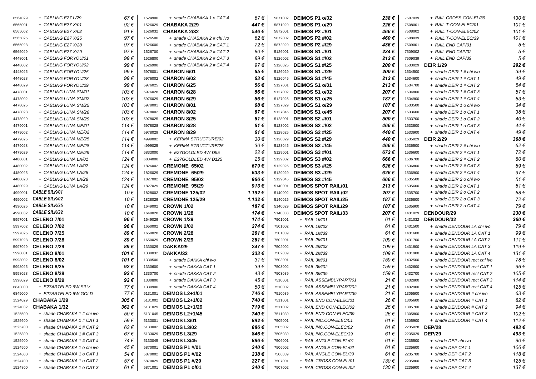| 6564029 | + CABLING E27 L/29          | 67€           | 1524900 | + shade CHABAKA 1 o CAT 4   | 67€            | 5871002 | DEIMOS P1 o/02             | 238€  | 7507039 | + RAIL CROSS CON-EL/39       | 130€           |
|---------|-----------------------------|---------------|---------|-----------------------------|----------------|---------|----------------------------|-------|---------|------------------------------|----------------|
| 6565001 | + CABLING E27 X/01          | 92€           | 1526029 | <b>CHABAKA 2/29</b>         | 447 €          | 5871029 | DEIMOS P1 o/29             | 226€  | 7508001 | + RAIL T-CON-ELEC/01         | 101€           |
| 6565002 | + CABLING E27 X/02          | 91 $\epsilon$ | 1526032 | <b>CHABAKA 2/32</b>         | 546€           | 5872001 | DEIMOS P2 #/01             | 466 € | 7508002 | + RAIL T-CON-ELEC/02         | 101€           |
| 6565025 | + CABLING E27 X/25          | 97€           | 1526500 | + shade CHABAKA 2 # chi ivo | 62€            | 5872002 | <b>DEIMOS P2 #/02</b>      | 460 € | 7508039 | + RAIL T-CON-ELEC/39         | 101€           |
| 6565028 | + CABLING E27 X/28          | 97€           | 1526600 | + shade CHABAKA 2 # CAT 1   | 72€            | 5872029 | <b>DEIMOS P2 #/29</b>      | 436€  | 7509001 | + RAIL END CAP/01            | $5 \in$        |
| 6565029 | + CABLING E27 X/29          | 97€           | 1526700 | + shade CHABAKA 2 # CAT 2   | 80€            | 5126001 | <b>DEIMOS S1 #/01</b>      | 234€  | 7509002 | + RAIL END CAP/02            | 5€             |
| 4448001 | + CABLING FORYOU/01         | 99€           | 1526800 | + shade CHABAKA 2 # CAT 3   | 89€            | 5126002 | <b>DEIMOS S1 #/02</b>      | 213€  | 7509039 | + RAIL END CAP/39            | $5 \in$        |
| 4448002 | + CABLING FORYOU/02         | 99€           | 1526900 | + shade CHABAKA 2 # CAT 4   | 97€            | 5126025 | <b>DEIMOS S1 #/25</b>      | 200€  | 1533029 | <b>DEIR 1/29</b>             | 292€           |
| 4448025 | + CABLING FORYOU/25         | 99€           | 5976001 | <b>CHARON 6/01</b>          | 65€            | 5126029 | <b>DEIMOS S1 #/29</b>      | 200€  | 1534500 | + shade DEIR 1 # chi ivo     | 39€            |
| 4448028 | + CABLING FORYOU/28         | 99€           | 5976002 | <b>CHARON 6/02</b>          | 63€            | 5126045 | <b>DEIMOS S1 #/45</b>      | 213€  | 1534600 | + shade DEIR 1 # CAT 1       | 49€            |
| 4448029 | + CABLING FORYOU/29         | 99€           | 5976025 | <b>CHARON 6/25</b>          | 56€            | 5127001 | DEIMOS S1 o/01             | 213€  | 1534700 | + shade DEIR 1 # CAT 2       | 54€            |
| 4478001 | + CABLING LUNA SM/01        | 103 €         | 5976028 | <b>CHARON 6/28</b>          | 56 €           | 5127002 | DEIMOS S1 o/02             | 207€  | 1534800 | + shade DEIR 1 # CAT 3       | 57€            |
| 4478002 | + CABLING LUNA SM/02        | 103€          | 5976029 | <b>CHARON 6/29</b>          | 56€            | 5127025 | DEIMOS S1 o/25             | 187€  | 1534900 | + shade DEIR 1 # CAT 4       | 63€            |
| 4478025 | + CABLING LUNA SM/25        | 103 €         | 5978001 | <b>CHARON 8/01</b>          | 68€            | 5127029 | DEIMOS S1 o/29             | 187€  | 1533500 | + shade DEIR 1 o chi ivo     | 34€            |
| 4478028 | + CABLING LUNA SM/28        | 103€          | 5978002 | <b>CHARON 8/02</b>          | 67€            | 5127045 | DEIMOS S1 o/45             | 207€  | 1533600 | + shade DEIR 1 o CAT 1       | 38€            |
| 4478029 | + CABLING LUNA SM/29        | 103 €         | 5978025 | <b>CHARON 8/25</b>          | 61€            | 5128001 | <b>DEIMOS S2 #/01</b>      | 500€  | 1533700 | + shade DEIR 1 o CAT 2       | 40€            |
| 4479001 | + CABLING LUNA ME/01        | 114€          | 5978028 | <b>CHARON 8/28</b>          | 61€            | 5128002 | <b>DEIMOS S2 #/02</b>      | 466 € | 1533800 | + shade DEIR 1 o CAT 3       | 44€            |
| 4479002 | + CABLING LUNA ME/02        | 114€          | 5978029 | <b>CHARON 8/29</b>          | 61€            | 5128025 | <b>DEIMOS S2 #/25</b>      | 440 € | 1533900 | + shade DEIR 1 o CAT 4       | 49€            |
| 4479025 | + CABLING LUNA ME/25        | 114€          | 4999002 | + KERMA STRUCTURE/02        | 30€            | 5128029 | <b>DEIMOS S2 #/29</b>      | 440 € | 1535029 | <b>DEIR 2/29</b>             | 368€           |
| 4479028 | + CABLING LUNA ME/28        | 114€          | 4999025 | + KERMA STRUCTURE/25        | 30€            | 5128045 | <b>DEIMOS S2 #/45</b>      | 466€  | 1536500 | + shade DEIR 2 # chi ivo     | 62€            |
| 4479029 | + CABLING LUNA ME/29        | 114€          | 6833000 | + E27GOLDLED 4W D95         | 22€            | 5129001 | <b>DEIMOS S3 #/01</b>      | 673€  | 1536600 | + shade DEIR 2 # CAT 1       | 72€            |
| 4480001 | + CABLING LUNA LA/01        | 124 €         | 6834000 | + E27GOLDLED 4W D125        | 25€            | 5129002 | <b>DEIMOS S3 #/02</b>      | 666€  | 1536700 | + shade DEIR 2 # CAT 2       | 80€            |
| 4480002 | + CABLING LUNA LA/02        | 124 €         | 1826002 | <b>CREMONE 65/02</b>        | 679€           | 5129025 | <b>DEIMOS S3 #/25</b>      | 626€  | 1536800 | + shade DEIR 2 # CAT 3       | 89€            |
| 4480025 | + CABLING LUNA LA/25        | 124 €         | 1826029 | <b>CREMONE 65/29</b>        | 633€           | 5129029 | <b>DEIMOS S3 #/29</b>      | 626€  | 1536900 | + shade DEIR 2 # CAT 4       | 97€            |
| 4480028 | + CABLING LUNA LA/28        | 124 €         | 1827002 | <b>CREMONE 95/02</b>        | 966€           | 5129045 | <b>DEIMOS S3 #/45</b>      | 666€  | 1535500 | + shade DEIR 2 o chi ivo     | 51€            |
| 4480029 | + CABLING LUNA LA/29        | 124 €         | 1827029 | <b>CREMONE 95/29</b>        | 913 $\epsilon$ | 5140001 | <b>DEIMOS SPOT RAIL/01</b> | 213€  | 1535600 | + shade DEIR 2 o CAT 1       | $61 \in$       |
| 4990001 | <b>CABLE SILK/01</b>        | 10€           | 1828002 | <b>CREMONE 125/02</b>       | 1.192€         | 5140002 | <b>DEIMOS SPOT RAIL/02</b> | 207€  | 1535700 | + shade DEIR 2 o CAT 2       | 68€            |
| 4990002 | <b>CABLE SILK/02</b>        | 10€           | 1828029 | <b>CREMONE 125/29</b>       | 1.132€         | 5140025 | <b>DEIMOS SPOT RAIL/25</b> | 187€  | 1535800 | + shade DEIR 2 o CAT 3       | 72€            |
| 4990025 | <b>CABLE SILK/25</b>        | 10€           | 1649002 | <b>CROWN 1/02</b>           | 187€           | 5140029 | <b>DEIMOS SPOT RAIL/29</b> | 187€  | 1535900 | + shade DEIR 2 o CAT 4       | 79€            |
| 4990032 | <b>CABLE SILK/32</b>        | 10€           | 1649028 | <b>CROWN 1/28</b>           | 174€           | 5140033 | <b>DEIMOS SPOT RAIL/33</b> | 207€  | 1431029 | DENDOUR/29                   | 230€           |
| 5997001 | CELENO 7/01                 | 96€           | 1649029 | <b>CROWN 1/29</b>           | 174€           | 7501001 | + RAIL 1M/01               | 61 €  | 1431032 | <b>DENDOUR/32</b>            | 360€           |
| 5997002 | <b>CELENO 7/02</b>          | 96€           | 1650002 | <b>CROWN 2/02</b>           | 274€           | 7501002 | + RAIL 1M/02               | 61€   | 1431500 | + shade DENDOUR LA chi ivo   | 79€            |
| 5997025 | <b>CELENO 7/25</b>          | 89€           | 1650028 | <b>CROWN 2/28</b>           | 261 €          | 7501039 | + RAIL 1M/39               | 61 €  | 1431600 | + shade DENDOUR LA CAT 1     | 99€            |
| 5997028 | <b>CELENO 7/28</b>          | 89€           | 1650029 | <b>CROWN 2/29</b>           | 261€           | 7502001 | + RAIL 2M/01               | 109€  | 1431700 | + shade DENDOUR LA CAT 2     | 111 $\epsilon$ |
| 5997029 | <b>CELENO 7/29</b>          | 89€           | 1330029 | DAKKA/29                    | 247 €          | 7502002 | + RAIL 2M/02               | 109€  | 1431800 | + shade DENDOUR LA CAT 3     | 119€           |
| 5998001 | <b>CELENO 8/01</b>          | 101 €         | 1330032 | DAKKA/32                    | 333€           | 7502039 | + RAIL 2M/39               | 109€  | 1431900 | + shade DENDOUR LA CAT 4     | 131€           |
| 5998002 | <b>CELENO 8/02</b>          | 101 €         | 1330500 | + shade DAKKA chi ivo       | 31€            | 7503001 | + RAIL 3M/01               | 159€  | 1432500 | + shade DENDOUR rect chi ivo | 78€            |
| 5998025 | <b>CELENO 8/25</b>          | 92€           | 1330600 | + shade DAKKA CAT 1         | 39€            | 7503002 | + RAIL 3M/02               | 159€  | 1432600 | + shade DENDOUR rect CAT 1   | 96€            |
| 5998028 | <b>CELENO 8/28</b>          | 92€           | 1330700 | + shade DAKKA CAT 2         | 43€            | 7503039 | + RAIL 3M/39               | 159€  | 1432700 | + shade DENDOUR rect CAT 2   | 105€           |
| 5998029 | <b>CELENO 8/29</b>          | 92€           | 1330800 | + shade DAKKA CAT 3         | 45€            | 7510001 | + RAIL ASSEMBLYPART/01     | 21€   | 1432800 | + shade DENDOUR rect CAT 3   | 114€           |
| 6843000 | + E27ARTELED 6W SILV        | 77€           | 1330900 | + shade DAKKA CAT 4         | 50€            | 7510002 | + RAIL ASSEMBLYPART/02     | 21 €  | 1432900 | + shade DENDOUR rect CAT 4   | 125€           |
| 6849000 | + E27ARTELED 6W GOLD        | 77€           |         | 5131001 DEIMOS L2+1/01      | 746€           | 7510039 | + RAIL ASSEMBLYPART/39     | 21 €  | 1305500 | + shade DENDOUR # chi ivo    | 63€            |
|         | 1524029 CHABAKA 1/29        | 305€          |         | 5131002 DEIMOS L2+1/02      | 740€           | 7511001 | + RAIL END CON-ELEC/01     | 26 €  | 1305600 | + shade DENDOUR # CAT 1      | 82 $\in$       |
| 1524032 | CHABAKA 1/32                | 362€          |         | 5131029 DEIMOS L2+1/29      | 719€           | 7511002 | + RAIL END CON-ELEC/02     | 26 €  | 1305700 | + shade DENDOUR # CAT 2      | 94€            |
| 1525500 | + shade CHABAKA 1 # chi ivo | 50€           | 5131045 | <b>DEIMOS L2+1/45</b>       | 740€           | 7511039 | + RAIL END CON-ELEC/39     | 26 €  | 1305800 | + shade DENDOUR # CAT 3      | 102€           |
| 1525600 | + shade CHABAKA 1 # CAT 1   | 59€           | 5133001 | <b>DEIMOS L3/01</b>         | 892€           | 7505001 | + RAIL INC.CON-ELEC/01     | 61 €  | 1305900 | + shade DENDOUR # CAT 4      | 112€           |
| 1525700 | + shade CHABAKA 1 # CAT 2   | 63€           |         | 5133002 DEIMOS L3/02        | 886€           | 7505002 | + RAIL INC.CON-ELEC/02     | 61 €  | 2235028 | <b>DEP/28</b>                | 493€           |
| 1525800 | + shade CHABAKA 1 # CAT 3   | 67€           | 5133029 | <b>DEIMOS L3/29</b>         | 846 €          | 7505039 | + RAIL INC.CON-ELEC/39     | 61 €  | 2235029 | <b>DEP/29</b>                | 493€           |
| 1525900 | + shade CHABAKA 1 # CAT 4   | 74 €          |         | 5133045 DEIMOS L3/45        | 886€           | 7506001 | + RAIL ANGLE CON-EL/01     | 61 €  | 2235500 | + shade DEP chi ivo          | 90€            |
| 1524500 | + shade CHABAKA 1 o chi ivo | 45 €          | 5870001 | <b>DEIMOS P1 #/01</b>       | 240 €          | 7506002 | + RAIL ANGLE CON-EL/02     | 61 €  | 2235600 | + shade DEP CAT 1            | 106€           |
| 1524600 |                             |               |         |                             |                |         | + RAIL ANGLE CON-EL/39     | 61 €  | 2235700 | + shade DEP CAT 2            | 118€           |
|         | + shade CHABAKA 1 o CAT 1   | 54 €          |         | 5870002 DEIMOS P1 #/02      | 238€           | 7506039 |                            |       |         |                              |                |
| 1524700 | + shade CHABAKA 1 o CAT 2   | 57€           | 5870029 | <b>DEIMOS P1 #/29</b>       | 227€           | 7507001 | + RAIL CROSS CON-EL/01     | 130 € | 2235800 | + shade DEP CAT 3            | 125€           |
| 1524800 | + shade CHABAKA 1 o CAT 3   | 61 €          |         | 5871001 DEIMOS P1 o/01      | 240 €          | 7507002 | + RAIL CROSS CON-EL/02     | 130 € | 2235900 | + shade DEP CAT 4            | 137 €          |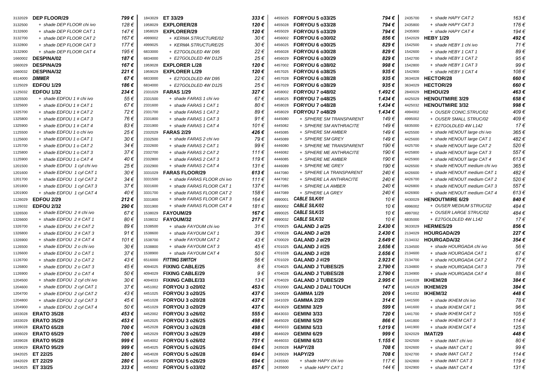| 3132029 | <b>DEP FLOOR/29</b>         | 799€          | 1843029 | ET 33/29                       | $333 \epsilon$ | 4455025 | <b>FORYOU 5 o33/25</b>     | 794€               | 2435700 | + shade HAPY CAT 2            | 163€      |
|---------|-----------------------------|---------------|---------|--------------------------------|----------------|---------|----------------------------|--------------------|---------|-------------------------------|-----------|
| 3132500 | + shade DEP FLOOR chi ivo   | 128€          | 1958029 | <b>EXPLORER/28</b>             | 120€           | 4455028 | <b>FORYOU 5 o33/28</b>     | 794€               | 2435800 | + shade HAPY CAT 3            | 176€      |
| 3132600 | + shade DEP FLOOR CAT 1     | 147 €         | 1958029 | <b>EXPLORER/29</b>             | 120€           | 4455029 | <b>FORYOU 5 o33/29</b>     | 794€               | 2435900 | + shade HAPY CAT 4            | 194€      |
| 3132700 | + shade DEP FLOOR CAT2      | 167€          | 4999002 | + KERMA STRUCTURE/02           | 30€            | 4456002 | <b>FORYOU 6 o30/02</b>     | 856 €              | 1542029 | <b>HEBY 1/29</b>              | 492 €     |
| 3132800 | + shade DEP FLOOR CAT 3     | 177€          | 4999025 | + KERMA STRUCTURE/25           | 30€            | 4456025 | FORYOU 6 o30/25            | 829€               | 1542500 | + shade HEBY 1 chi ivo        | 71€       |
| 3132900 | + shade DEP FLOOR CAT 4     | 195€          | 6833000 | + E27GOLDLED 4W D95            | 22€            | 4456028 | FORYOU 6 o30/28            | 829€               | 1542600 | + shade HEBY 1 CAT 1          | 89€       |
| 1660002 | DESPINA/02                  | 187€          | 6834000 | + E27GOLDLED 4W D125           | 25€            | 4456029 | FORYOU 6 o30/29            | 829€               | 1542700 | + shade HEBY 1 CAT 2          | 95€       |
| 1660029 | <b>DESPINA/29</b>           | 167€          | 1959028 | <b>EXPLORER L/28</b>           | 120€           | 4457002 | <b>FORYOU 6 o38/02</b>     | 998€               | 1542800 | + shade HEBY 1 CAT 3          | 99€       |
| 1660032 | DESPINA/32                  | 221€          | 1959029 | <b>EXPLORER L/29</b>           | 120€           | 4457025 | <b>FORYOU 6 o38/25</b>     | 935€               | 1542900 | + shade HEBY 1 CAT 4          | 108€      |
| 6514000 | <b>DIMMER</b>               | 67€           | 6833000 | + E27GOLDLED 4W D95            | 22€            | 4457028 | FORYOU 6 o38/28            | 935€               | 3634028 | <b>HECTOR/28</b>              | 660€      |
| 1125029 | <b>EDFOU 1/29</b>           | 186€          | 6834000 | + E27GOLDLED 4W D125           | 25€            | 4457029 | <b>FORYOU 6 o38/29</b>     | 935€               | 3634029 | HECTOR/29                     | 660€      |
| 1125032 | <b>EDFOU 1/32</b>           | 234€          | 2331029 | <b>FARAS 1/29</b>              | 327€           | 4458002 | <b>FORYOU 7 o48/02</b>     | 1.492€             | 2840029 | HEHOU/29                      | 463€      |
| 1325500 | + shade EDFOU 1 # chi ivo   | 55€           | 2331500 | + shade FARAS 1 chi ivo        | 67€            | 4458025 | <b>FORYOU 7 o48/25</b>     | 1.434 €            | 4425029 | <b>HENOUTMIRE 3/29</b>        | 658€      |
| 1325600 | + shade EDFOU 1 # CAT 1     | 67€           | 2331600 | + shade FARAS 1 CAT 1          | 80€            | 4458028 | <b>FORYOU 7 o48/28</b>     | $1.434 \in$        | 4425032 | <b>HENOUTMIRE 3/32</b>        | 998€      |
| 1325700 | + shade EDFOU 1 # CAT 2     | 72€           | 2331700 | + shade FARAS 1 CAT 2          | 89€            | 4458029 | <b>FORYOU 7 o48/29</b>     | $1.434 \in$        | 4994002 | + OUSER CONIC.STRUC/02        | 409€      |
| 1325800 | + shade EDFOU 1 # CAT 3     | 76 €          | 2331800 | + shade FARAS 1 CAT 3          | 91€            | 4445080 | + SPHERE SM TRANSPARENT    | 149€               | 4995002 | + OUSER SMALL STRUC/02        | 409 €     |
| 1325900 | + shade EDFOU 1 # CAT 4     | 83€           | 2331900 | + shade FARAS 1 CAT 4          | 101€           | 4445082 | + SPHERE SM ANTHRACITE     | 149€               | 6835000 | + E27GOLDLED 4W L142          | 17€       |
| 1125500 | + shade EDFOU 1 o chi ivo   | 25€           |         | 2332029 <b>FARAS 2/29</b>      | 426€           | 4445085 | + SPHERE SM AMBER          | 149€               | 4425500 | + shade HENOUT large chi ivo  | 365€      |
| 1125600 | + shade EDFOU 1 o CAT 1     | 30€           | 2332500 | + shade FARAS 2 chi ivo        | 79€            | 4445089 | + SPHERE SM GREY           | 149€               | 4425600 | + shade HENOUT large CAT 1    | 482€      |
| 1125700 | + shade EDFOU 1 o CAT 2     | 34 €          | 2332600 | + shade FARAS 2 CAT 1          | 99€            | 4446080 | + SPHERE ME TRANSPARENT    | 190€               | 4425700 | + shade HENOUT large CAT 2    | 520€      |
| 1125800 | + shade EDFOU 1 o CAT 3     | 37€           | 2332700 | + shade FARAS 2 CAT 2          | 111 $\epsilon$ | 4446082 | + SPHERE ME ANTHRACITE     | 190 €              | 4425800 | + shade HENOUT large CAT 3    | 557€      |
| 1125900 | + shade EDFOU 1 o CAT 4     | 40€           | 2332800 | + shade FARAS 2 CAT 3          | 119€           | 4446085 | + SPHERE ME AMBER          | 190€               | 4425900 | + shade HENOUT large CAT 4    | $613 \in$ |
| 1201500 | + shade EDFOU 1 cyl chi ivo | 25€           | 2332900 | + shade FARAS 2 CAT 4          | 131 $\epsilon$ | 4446089 | + SPHERE ME GREY           | 190€               | 4426500 | + shade HENOUT medium chi ivo | 365€      |
| 1201600 | + shade EDFOU 1 cyl CAT 1   | 30€           | 3331029 | <b>FARAS FLOOR/29</b>          | $613 \in$      | 4447080 | + SPHERE LA TRANSPARENT    | 240€               | 4426600 | + shade HENOUT medium CAT 1   | 482€      |
| 1201700 | + shade EDFOU 1 cyl CAT 2   | 34 €          | 3331500 | + shade FARAS FLOOR chi ivo    | 111€           | 4447082 | + SPHERE LA ANTHRACITE     | 240€               | 4426700 | + shade HENOUT medium CAT 2   | 520€      |
| 1201800 | + shade EDFOU 1 cyl CAT 3   | 37€           | 3331600 | + shade FARAS FLOOR CAT 1      | 137€           | 4447085 | + SPHERE LA AMBER          | 240€               | 4426800 | + shade HENOUT medium CAT 3   | 557€      |
| 1201900 | + shade EDFOU 1 cyl CAT 4   | 40 €          | 3331700 | + shade FARAS FLOOR CAT 2      | 158€           | 4447089 | + SPHERE LA GREY           | 240€               | 4426900 | + shade HENOUT medium CAT 4   | $613 \in$ |
| 1126029 | <b>EDFOU 2/29</b>           | 212€          | 3331800 | + shade FARAS FLOOR CAT 3      | 164€           | 4990001 | <b>CABLE SILK/01</b>       | 10€                | 4430029 | <b>HENOUTMIRE 6/29</b>        | 840€      |
| 1126032 | <b>EDFOU 2/32</b>           | 290€          | 3331900 | + shade FARAS FLOOR CAT 4      | 181€           | 4990002 | <b>CABLE SILK/02</b>       | 10€                | 4996002 | + OUSER MEDIUM STRUC/02       | 484€      |
| 1326500 | + shade EDFOU 2 # chi ivo   | 67€           | 1538029 | <b>FAYOUM/29</b>               | 167€           | 4990025 | <b>CABLE SILK/25</b>       | 10€                | 4997002 | + OUSER LARGE STRUC/02        | 484 €     |
| 1326600 | + shade EDFOU 2 # CAT 1     | 80€           | 1538032 | <b>FAYOUM/32</b>               | 217€           | 4990032 | <b>CABLE SILK/32</b>       | 10€                | 6835000 | + E27GOLDLED 4W L142          | 17€       |
| 1326700 | + shade EDFOU 2 # CAT 2     | 89€           | 1538500 | + shade FAYOUM chi ivo         | $31 \in$       | 4700025 | GALAND J ø/25              | 2.430€             | 3633029 | HERMES/29                     | 856€      |
| 1326800 | + shade EDFOU 2 # CAT 3     | 91 $\epsilon$ | 1538600 | + shade FAYOUM CAT 1           | 39€            | 4700028 | GALAND J ø/28              | 2.430€             | 2134029 | <b>HOURGADA/29</b>            | 227€      |
| 1326900 | + shade EDFOU 2 # CAT 4     | 101 €         | 1538700 | + shade FAYOUM CAT 2           | 43€            | 4700029 | GALAND J ø/29              | 2.649€             | 2134032 | HOURGADA/32                   | 354€      |
| 1126500 | + shade EDFOU 2 o chi ivo   | 30€           | 1538800 | + shade FAYOUM CAT 3           | 45€            | 4701025 | GALAND J#/25               | 2.656€             | 2134500 | + shade HOURGADA chi ivo      | 56€       |
| 1126600 | + shade EDFOU 2 o CAT 1     | 37€           | 1538900 | + shade FAYOUM CAT 4           | 50€            | 4701028 | GALAND J#/28               | 2.656€             | 2134600 | + shade HOURGADA CAT 1        | 67€       |
| 1126700 | + shade EDFOU 2 o CAT 2     | 43€           | 6516000 | <b>FITTING SWITCH</b>          | 56€            | 4701029 | GALAND J#/29               | $2.923 \in$        | 2134700 | + shade HOURGADA CAT2         | 77€       |
| 1126800 | + shade EDFOU 2 o CAT 3     | 45 €          | 4094025 | <b>FIXING CABLE/25</b>         | 8€             | 4704025 | <b>GALAND J TUBES/25</b>   | 2.790€             | 2134800 | + shade HOURGADA CAT 3        | 79€       |
| 1126900 | + shade EDFOU 2 o CAT 4     | 50€           | 4094029 | <b>FIXING CABLE/29</b>         | 9€             | 4704028 | <b>GALAND J TUBES/28</b>   | 2.790€             | 2134900 | + shade HOURGADA CAT 4        | 88€       |
| 1204500 | + shade EDFOU 2 cyl chi ivo | 30€           | 4094033 | <b>FIXING CABLE/33</b>         | 13€            | 4704029 | <b>GALAND J TUBES/29</b>   | 2.995 €            |         | 1441028 IKHEM/28              | 384€      |
| 1204600 | + shade EDFOU 2 cyl CAT 1   | 37€           | 4451002 | <b>FORYOU 3 o20/02</b>         | 453€           | 4702000 | <b>GALAND J DALI TOUCH</b> | 147 €              |         | 1441029 IKHEM/29              | 384€      |
| 1204700 | + shade EDFOU 2 cyl CAT 2   | 43€           |         | 4451025 <b>FORYOU 3 o20/25</b> | 437€           |         | 1640029 <b>GAMMA 1/29</b>  | 209€               |         | 1441032 IKHEM/32              | 448 €     |
| 1204800 | + shade EDFOU 2 cyl CAT 3   | 45€           |         | 4451028 FORYOU 3 o20/28        | 437€           | 1641029 | <b>GAMMA 2/29</b>          | $314 \text{ } \in$ | 1441500 | + shade IKHEM chi ivo         | 78€       |
|         |                             |               |         | 4451029 FORYOU 3 o20/29        | 437€           |         | <b>GEMINI 3/29</b>         |                    |         |                               | 96€       |
| 1204900 | + shade EDFOU 2 cyl CAT 4   | 50 €          |         |                                |                | 4643029 |                            | 599€               | 1441600 | + shade IKHEM CAT 1           |           |
| 1833028 | <b>ERATO 35/28</b>          | 453€          |         | 4452002 <b>FORYOU 3 o26/02</b> | 555€           | 4643033 | GEMINI 3/33                | 720€               | 1441700 | + shade IKHEM CAT 2           | 105€      |
| 1833029 | <b>ERATO 35/29</b>          | 453€          |         | 4452025 <b>FORYOU 3 o26/25</b> | 498 €          | 4645029 | <b>GEMINI 5/29</b>         | 866€               | 1441800 | + shade IKHEM CAT 3           | 114€      |
| 1836028 | <b>ERATO 65/28</b>          | 700 €         |         | 4452028 <b>FORYOU 3 o26/28</b> | 498€           | 4645033 | <b>GEMINI 5/33</b>         | 1.019 €            | 1441900 | + shade IKHEM CAT 4           | 125€      |
| 1836029 | <b>ERATO 65/29</b>          | 700 €         |         | 4452029 <b>FORYOU 3 o26/29</b> | 498€           | 4646029 | <b>GEMINI 6/29</b>         | 999€               | 3242029 | IMAT/29                       | 448 €     |
| 1839028 | <b>ERATO 95/28</b>          | 999€          |         | 4454002 FORYOU 5 o26/02        | 751 €          | 4646033 | GEMINI 6/33                | 1.155 €            | 3242500 | + shade IMAT chi ivo          | 80€       |
| 1839029 | <b>ERATO 95/29</b>          | 999€          |         | 4454025 FORYOU 5 o26/25        | 694 €          | 2435028 | HAPY/28                    | 708 €              | 3242600 | + shade IMAT CAT 1            | 99€       |
| 1842025 | ET 22/25                    | 280€          | 4454028 | <b>FORYOU 5 o26/28</b>         | 694€           | 2435029 | HAPY/29                    | 708€               | 3242700 | + shade IMAT CAT 2            | 114€      |
| 1842029 | ET 22/29                    | 280€          |         | 4454029 FORYOU 5 o26/29        | 694€           | 2435500 | + shade HAPY chi ivo       | 117€               | 3242800 | + shade IMAT CAT 3            | 119€      |
|         | 1843025 ET 33/25            | $333 \in$     |         | 4455002 FORYOU 5 o33/02        | 857€           | 2435600 | + shade HAPY CAT 1         | 144 €              | 3242900 | + shade IMAT CAT 4            | 131 €     |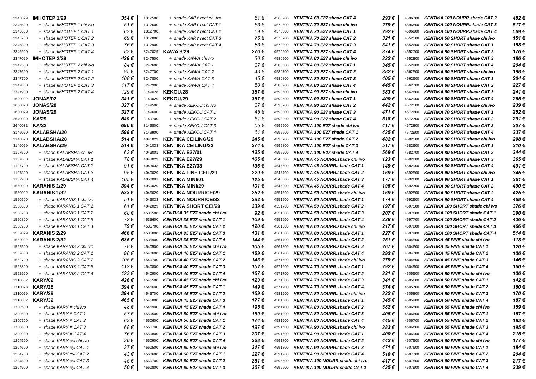| 2345029 | <b>IMHOTEP 1/29</b>       | 354 € | 1312500 | + shade KARY rect chi ivo          | 51€   | 4560900 | KENTIKA 60 E27 shade CAT 4           | 293€  | 4596700 | <b>KENTIKA 100 NOURR.shade CAT 2</b>  | 482 € |
|---------|---------------------------|-------|---------|------------------------------------|-------|---------|--------------------------------------|-------|---------|---------------------------------------|-------|
| 2345500 | + shade IMHOTEP 1 chi ivo | 51€   | 1312600 | + shade KARY rect CAT 1            | 63€   | 4570500 | KENTIKA 70 E27 shade chi ivo         | 279€  | 4596800 | <b>KENTIKA 100 NOURR.shade CAT 3</b>  | 517€  |
| 2345600 | + shade IMHOTEP 1 CAT 1   | 63€   | 1312700 | + shade KARY rect CAT 2            | 69€   | 4570600 | KENTIKA 70 E27 shade CAT 1           | 292€  | 4596900 | KENTIKA 100 NOURR.shade CAT 4         | 569€  |
| 2345700 | + shade IMHOTEP 1 CAT 2   | 69€   | 1312800 | + shade KARY rect CAT 3            | 76€   | 4570700 | KENTIKA 70 E27 shade CAT 2           | 321€  | 4552500 | KENTIKA 50 SHORT shade chi ivo        | 151 € |
| 2345800 | + shade IMHOTEP 1 CAT 3   | 76€   | 1312900 | + shade KARY rect CAT 4            | 83€   | 4570800 | KENTIKA 70 E27 shade CAT 3           | 341€  | 4552600 | <b>KENTIKA 50 SHORT shade CAT 1</b>   | 158€  |
| 2345900 | + shade IMHOTEP 1 CAT 4   | 83€   | 3247029 | <b>KAWA 3/29</b>                   | 276€  | 4570900 | KENTIKA 70 E27 shade CAT 4           | 374€  | 4552700 | <b>KENTIKA 50 SHORT shade CAT 2</b>   | 176€  |
| 2347029 | <b>IMHOTEP 2/29</b>       | 429€  | 3247500 | + shade KAWA chi ivo               | 30€   | 4580500 | KENTIKA 80 E27 shade chi ivo         | 332€  | 4552800 | <b>KENTIKA 50 SHORT shade CAT 3</b>   | 186 € |
| 2347500 | + shade IMHOTEP 2 chi ivo | 84 €  | 3247600 | + shade KAWA CAT 1                 | 37€   | 4580600 | KENTIKA 80 E27 shade CAT 1           | 345€  | 4552900 | <b>KENTIKA 50 SHORT shade CAT 4</b>   | 204€  |
| 2347600 | + shade IMHOTEP 2 CAT 1   | 95€   | 3247700 | + shade KAWA CAT 2                 | 43€   | 4580700 | KENTIKA 80 E27 shade CAT 2           | 382€  | 4562500 | KENTIKA 60 SHORT shade chi ivo        | 198€  |
| 2347700 | + shade IMHOTEP 2 CAT 2   | 108€  | 3247800 | + shade KAWA CAT 3                 | 45€   | 4580800 | KENTIKA 80 E27 shade CAT 3           | 405 € | 4562600 | <b>KENTIKA 60 SHORT shade CAT 1</b>   | 204€  |
| 2347800 | + shade IMHOTEP 2 CAT 3   | 117€  | 3247900 | + shade KAWA CAT 4                 | 50€   | 4580900 | KENTIKA 80 E27 shade CAT 4           | 445 € | 4562700 | <b>KENTIKA 60 SHORT shade CAT 2</b>   | 227€  |
| 2347900 | + shade IMHOTEP 2 CAT 4   | 129 € | 3149028 | <b>KEKOU/28</b>                    | 367€  | 4590500 | KENTIKA 90 E27 shade chi ivo         | 383€  | 4562800 | <b>KENTIKA 60 SHORT shade CAT 3</b>   | 241€  |
| 1630002 | JONAS/02                  | 341€  | 3149029 | <b>KEKOU/29</b>                    | 367€  | 4590600 | KENTIKA 90 E27 shade CAT 1           | 400€  | 4562900 | <b>KENTIKA 60 SHORT shade CAT 4</b>   | 265€  |
| 1630028 | <b>JONAS/28</b>           | 327€  | 3149500 | + shade KEKOU chi ivo              | 37€   | 4590700 | KENTIKA 90 E27 shade CAT 2           | 442€  | 4572500 | <b>KENTIKA 70 SHORT shade chi ivo</b> | 239€  |
| 1630029 | <b>JONAS/29</b>           | 327€  | 3149600 | + shade KEKOU CAT 1                | 45€   | 4590800 | <b>KENTIKA 90 E27 shade CAT 3</b>    | 471 € | 4572600 | <b>KENTIKA 70 SHORT shade CAT 1</b>   | 252€  |
| 2640029 | <b>KA/29</b>              | 549€  | 3149700 | + shade KEKOU CAT 2                | 51€   | 4590900 | KENTIKA 90 E27 shade CAT 4           | 518€  | 4572700 | <b>KENTIKA 70 SHORT shade CAT 2</b>   | 291€  |
| 2640032 | KA/32                     | 690€  | 3149800 | + shade KEKOU CAT 3                | 55€   | 4595500 | KENTIKA 100 E27 shade chi ivo        | 417€  | 4572800 | <b>KENTIKA 70 SHORT shade CAT 3</b>   | 307€  |
| 3146020 | <b>KALABSHA/20</b>        | 598€  | 3149900 | + shade KEKOU CAT 4                | 61€   | 4595600 | KENTIKA 100 E27 shade CAT 1          | 435€  | 4572900 | <b>KENTIKA 70 SHORT shade CAT 4</b>   | 337€  |
| 3146028 | <b>KALABSHA/28</b>        | 514€  | 4041029 | <b>KENTIKA CEILING/29</b>          | 245€  | 4595700 | KENTIKA 100 E27 shade CAT 2          | 482€  | 4582500 | KENTIKA 80 SHORT shade chi ivo        | 298€  |
| 3146029 | <b>KALABSHA/29</b>        | 514€  | 4041033 | <b>KENTIKA CEILING/33</b>          | 274€  | 4595800 | KENTIKA 100 E27 shade CAT 3          | 517€  | 4582600 | <b>KENTIKA 80 SHORT shade CAT 1</b>   | 310€  |
| 1107500 | + shade KALABSHA chi ivo  | 63€   | 4043001 | <b>KENTIKA E27/01</b>              | 125 € | 4595900 | KENTIKA 100 E27 shade CAT 4          | 569€  | 4582700 | <b>KENTIKA 80 SHORT shade CAT 2</b>   | 344€  |
| 1107600 | + shade KALABSHA CAT 1    | 78€   | 4043029 | <b>KENTIKA E27/29</b>              | 105€  | 4546500 | KENTIKA 45 NOURR.shade chi ivo       | 123€  | 4582800 | <b>KENTIKA 80 SHORT shade CAT 3</b>   | 365€  |
| 1107700 | + shade KALABSHA CAT 2    | 91€   | 4043033 | <b>KENTIKA E27/33</b>              | 136€  | 4546600 | <b>KENTIKA 45 NOURR, shade CAT 1</b> | 149 € | 4582900 | <b>KENTIKA 80 SHORT shade CAT 4</b>   | 401 € |
| 1107800 | + shade KALABSHA CAT 3    | 95€   | 4040029 | <b>KENTIKA FINE CEIL/29</b>        | 229€  | 4546700 | <b>KENTIKA 45 NOURR.shade CAT 2</b>  | 169€  | 4592500 | KENTIKA 90 SHORT shade chi ivo        | 345€  |
| 1107900 | + shade KALABSHA CAT 4    | 105€  | 4050001 | KENTIKA MINI/01                    | 115€  | 4546800 | <b>KENTIKA 45 NOURR.shade CAT 3</b>  | 177€  | 4592600 | <b>KENTIKA 90 SHORT shade CAT 1</b>   | 361€  |
|         | <b>KARANIS 1/29</b>       | 394€  | 4050029 | <b>KENTIKA MINI/29</b>             | 101€  | 4546900 | <b>KENTIKA 45 NOURR.shade CAT 4</b>  | 195 € | 4592700 | <b>KENTIKA 90 SHORT shade CAT 2</b>   | 400€  |
| 1550029 | <b>KARANIS 1/32</b>       | 533€  | 4045029 | <b>KENTIKA NOURRICE/29</b>         | 252€  |         |                                      | 169€  | 4592800 |                                       | 425€  |
| 1550032 |                           |       |         |                                    |       | 4551500 | KENTIKA 50 NOURR.shade chi ivo       |       |         | <b>KENTIKA 90 SHORT shade CAT 3</b>   |       |
| 1550500 | + shade KARANIS 1 chi ivo | 51€   | 4045033 | <b>KENTIKA NOURRICE/33</b>         | 282€  | 4551600 | <b>KENTIKA 50 NOURR.shade CAT 1</b>  | 174€  | 4592900 | <b>KENTIKA 90 SHORT shade CAT 4</b>   | 468€  |
| 1550600 | + shade KARANIS 1 CAT 1   | 61€   | 4042029 | <b>KENTIKA SHORT CEI/29</b>        | 239€  | 4551700 | <b>KENTIKA 50 NOURR.shade CAT 2</b>  | 197€  | 4597500 | KENTIKA 100 SHORT shade chi ivo       | 376€  |
| 1550700 | + shade KARANIS 1 CAT 2   | 68€   | 4535500 | KENTIKA 35 E27 shade chi ivo       | 92€   | 4551800 | <b>KENTIKA 50 NOURR.shade CAT 3</b>  | 207€  | 4597600 | <b>KENTIKA 100 SHORT shade CAT 1</b>  | 390€  |
| 1550800 | + shade KARANIS 1 CAT 3   | 72€   | 4535600 | KENTIKA 35 E27 shade CAT 1         | 109 € | 4551900 | <b>KENTIKA 50 NOURR.shade CAT 4</b>  | 228€  | 4597700 | <b>KENTIKA 100 SHORT shade CAT 2</b>  | 436€  |
| 1550900 | + shade KARANIS 1 CAT 4   | 79€   | 4535700 | KENTIKA 35 E27 shade CAT 2         | 120€  | 4561500 | KENTIKA 60 NOURR.shade chi ivo       | 217€  | 4597800 | <b>KENTIKA 100 SHORT shade CAT 3</b>  | 466 € |
| 1552029 | <b>KARANIS 2/29</b>       | 466€  | 4535800 | <b>KENTIKA 35 E27 shade CAT 3</b>  | 131 € | 4561600 | KENTIKA 60 NOURR.shade CAT 1         | 227€  | 4597900 | KENTIKA 100 SHORT shade CAT 4         | 514€  |
| 1552032 | <b>KARANIS 2/32</b>       | 635€  | 4535900 | KENTIKA 35 E27 shade CAT 4         | 144 € | 4561700 | <b>KENTIKA 60 NOURR.shade CAT 2</b>  | 251€  | 4504500 | KENTIKA 45 FINE shade chi ivo         | 118€  |
| 1552500 | + shade KARANIS 2 chi ivo | 78€   | 4540500 | KENTIKA 40 E27 shade chi ivo       | 105 € | 4561800 | <b>KENTIKA 60 NOURR.shade CAT 3</b>  | 267€  | 4504600 | <b>KENTIKA 45 FINE shade CAT 1</b>    | 120€  |
| 1552600 | + shade KARANIS 2 CAT 1   | 96€   | 4540600 | KENTIKA 40 E27 shade CAT 1         | 129 € | 4561900 | <b>KENTIKA 60 NOURR.shade CAT 4</b>  | 293€  | 4504700 | <b>KENTIKA 45 FINE shade CAT 2</b>    | 136€  |
| 1552700 | + shade KARANIS 2 CAT 2   | 105 € | 4540700 | KENTIKA 40 E27 shade CAT 2         | 143€  | 4571500 | KENTIKA 70 NOURR.shade chi ivo       | 279€  | 4504800 | <b>KENTIKA 45 FINE shade CAT 3</b>    | 146 € |
| 1552800 | + shade KARANIS 2 CAT 3   | 112€  | 4540800 | KENTIKA 40 E27 shade CAT 3         | 152€  | 4571600 | <b>KENTIKA 70 NOURR.shade CAT 1</b>  | 292€  | 4504900 | <b>KENTIKA 45 FINE shade CAT 4</b>    | 160€  |
| 1552900 | + shade KARANIS 2 CAT 4   | 123€  | 4540900 | KENTIKA 40 E27 shade CAT 4         | 167€  | 4571700 | <b>KENTIKA 70 NOURR.shade CAT 2</b>  | 321€  | 4505500 | <b>KENTIKA 50 FINE shade chi ivo</b>  | 136€  |
| 1310002 | <b>KARY/02</b>            | 426€  | 4545500 | KENTIKA 45 E27 shade chi ivo       | 123€  | 4571800 | <b>KENTIKA 70 NOURR, shade CAT 3</b> | 341€  | 4505600 | <b>KENTIKA 50 FINE shade CAT 1</b>    | 142€  |
| 1310028 | <b>KARY/28</b>            | 394€  | 4545600 | KENTIKA 45 E27 shade CAT 1         | 149 € | 4571900 | <b>KENTIKA 70 NOURR.shade CAT 4</b>  | 374€  | 4505700 | <b>KENTIKA 50 FINE shade CAT 2</b>    | 160 € |
| 1310029 | KARY/29                   | 394€  |         | 4545700 KENTIKA 45 E27 shade CAT 2 | 169€  | 4581500 | KENTIKA 80 NOURR.shade chi ivo       | 332€  | 4505800 | <b>KENTIKA 50 FINE shade CAT 3</b>    | 170€  |
|         | 1310032 KARY/32           | 465€  | 4545800 | KENTIKA 45 E27 shade CAT 3         | 177€  | 4581600 | KENTIKA 80 NOURR.shade CAT 1         | 345€  | 4505900 | KENTIKA 50 FINE shade CAT 4           | 187€  |
| 1300500 | + shade KARY # chi ivo    | 48 €  | 4545900 | <b>KENTIKA 45 E27 shade CAT 4</b>  | 195 € | 4581700 | <b>KENTIKA 80 NOURR.shade CAT 2</b>  | 382€  | 4506500 | KENTIKA 55 FINE shade chi ivo         | 159€  |
| 1300600 | + shade KARY#CAT1         | 57€   | 4550500 | KENTIKA 50 E27 shade chi ivo       | 169 € | 4581800 | <b>KENTIKA 80 NOURR.shade CAT 3</b>  | 405 € | 4506600 | <b>KENTIKA 55 FINE shade CAT 1</b>    | 167€  |
| 1300700 | + shade KARY # CAT 2      | 63€   | 4550600 | KENTIKA 50 E27 shade CAT 1         | 174 € | 4581900 | <b>KENTIKA 80 NOURR.shade CAT 4</b>  | 445 € | 4506700 | <b>KENTIKA 55 FINE shade CAT 2</b>    | 183€  |
| 1300800 | + shade KARY#CAT3         | 68€   | 4550700 | <b>KENTIKA 50 E27 shade CAT 2</b>  | 197 € | 4591500 | KENTIKA 90 NOURR.shade chi ivo       | 383€  | 4506800 | <b>KENTIKA 55 FINE shade CAT 3</b>    | 195€  |
| 1300900 | + shade KARY # CAT 4      | 76 €  | 4550800 | <b>KENTIKA 50 E27 shade CAT 3</b>  | 207€  | 4591600 | <b>KENTIKA 90 NOURR.shade CAT 1</b>  | 400 € | 4506900 | <b>KENTIKA 55 FINE shade CAT 4</b>    | 215€  |
| 1204500 | + shade KARY cyl chi ivo  | 30 €  | 4550900 | KENTIKA 50 E27 shade CAT 4         | 228€  | 4591700 | <b>KENTIKA 90 NOURR.shade CAT 2</b>  | 442 € | 4507500 | KENTIKA 60 FINE shade chi ivo         | 177€  |
| 1204600 | + shade KARY cyl CAT 1    | 37€   | 4560500 | KENTIKA 60 E27 shade chi ivo       | 217€  | 4591800 | <b>KENTIKA 90 NOURR.shade CAT 3</b>  | 471 € | 4507600 | <b>KENTIKA 60 FINE shade CAT 1</b>    | 184 € |
| 1204700 | + shade KARY cyl CAT 2    | 43€   | 4560600 | KENTIKA 60 E27 shade CAT 1         | 227€  | 4591900 | <b>KENTIKA 90 NOURR.shade CAT 4</b>  | 518€  | 4507700 | <b>KENTIKA 60 FINE shade CAT 2</b>    | 204€  |
| 1204800 | + shade KARY cyl CAT 3    | 45 €  | 4560700 | KENTIKA 60 E27 shade CAT 2         | 251€  | 4596500 | KENTIKA 100 NOURR.shade chi ivo      | 417€  | 4507800 | <b>KENTIKA 60 FINE shade CAT 3</b>    | 217€  |
| 1204900 | + shade KARY cyl CAT 4    | 50 €  | 4560800 | KENTIKA 60 E27 shade CAT 3         | 267 € | 4596600 | <b>KENTIKA 100 NOURR.shade CAT 1</b> | 435€  | 4507900 | <b>KENTIKA 60 FINE shade CAT 4</b>    | 239€  |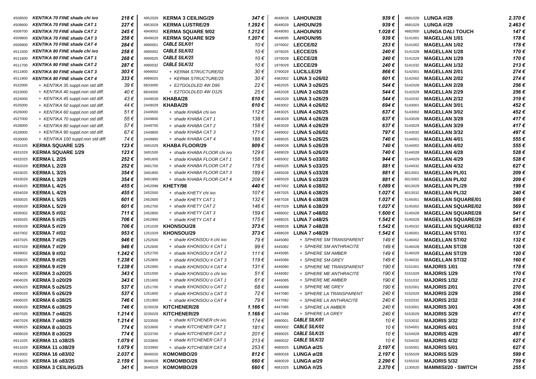| 4509500 | KENTIKA 70 FINE shade chi ivo      | 218€           | 4952029 | <b>KERMA 3 CEILING/29</b>   | 347€           | 4648028 | LAHOUN/28               | 939€    | 4681028 | <b>LUNGA #/28</b>           | 2.370 €        |
|---------|------------------------------------|----------------|---------|-----------------------------|----------------|---------|-------------------------|---------|---------|-----------------------------|----------------|
| 4509600 | <b>KENTIKA 70 FINE shade CAT 1</b> | 227 €          | 4953029 | <b>KERMA LUSTRE/29</b>      | 1.292€         | 4648029 | LAHOUN/29               | 939€    | 4681029 | <b>LUNGA #/29</b>           | 2.463€         |
| 4509700 | <b>KENTIKA 70 FINE shade CAT 2</b> | 245 €          | 4949002 | <b>KERMA SQUARE 9/02</b>    | 1.212€         | 4648093 | LAHOUN/93               | 1.028 € | 4682000 | <b>LUNGA DALI TOUCH</b>     | 147€           |
| 4509800 | <b>KENTIKA 70 FINE shade CAT 3</b> | 258 €          | 4949029 | <b>KERMA SQUARE 9/29</b>    | 1.207€         | 4648095 | LAHOUN/95               | 939€    | 5141001 | <b>MAGELLAN 1/01</b>        | 178€           |
| 4509900 | <b>KENTIKA 70 FINE shade CAT 4</b> | 284€           | 4990001 | <b>CABLE SILK/01</b>        | 10€            | 1976002 | <b>LECCE/02</b>         | 253€    | 5141002 | <b>MAGELLAN 1/02</b>        | 178€           |
| 4511500 | KENTIKA 80 FINE shade chi ivo      | 258€           | 4990002 | <b>CABLE SILK/02</b>        | 10€            | 1976025 | LECCE/25                | 240 €   | 5141028 | <b>MAGELLAN 1/28</b>        | 170€           |
| 4511600 | <b>KENTIKA 80 FINE shade CAT 1</b> | 268€           | 4990025 | <b>CABLE SILK/25</b>        | 10€            | 1976028 | LECCE/28                | 240 €   | 5141029 | <b>MAGELLAN 1/29</b>        | 170€           |
| 4511700 | <b>KENTIKA 80 FINE shade CAT 2</b> | 287 €          | 4990032 | <b>CABLE SILK/32</b>        | 10€            | 1976029 | LECCE/29                | 240 €   | 5141032 | <b>MAGELLAN 1/32</b>        | 213€           |
| 4511800 | <b>KENTIKA 80 FINE shade CAT 3</b> | $303 \epsilon$ | 4999002 | + KERMA STRUCTURE/02        | 30€            | 3790029 | <b>LUCILLE/29</b>       | 866€    | 5142001 | <b>MAGELLAN 2/01</b>        | 274€           |
| 4511900 | <b>KENTIKA 80 FINE shade CAT 4</b> | 333 €          | 4999025 | + KERMA STRUCTURE/25        | 30€            | 4482002 | <b>LUNA 3 o26/02</b>    | 601 €   | 5142002 | <b>MAGELLAN 2/02</b>        | 274€           |
| 4522000 | + KENTIKA 35 suppl.non std diff.   | 39€            | 6833000 | + E27GOLDLED 4W D95         | 22€            | 4482025 | LUNA 3 o26/25           | 544 €   | 5142028 | <b>MAGELLAN 2/28</b>        | 256€           |
| 4523000 | + KENTIKA 40 suppl.non std diff.   | 40€            | 6834000 | + E27GOLDLED 4W D125        | 25€            | 4482028 | <b>LUNA 3 o26/28</b>    | 544 €   | 5142029 | <b>MAGELLAN 2/29</b>        | 256€           |
| 4524000 | + KENTIKA 45 suppl.non std diff.   | 43€            | 2449028 | KHABA/28                    | $610 \in$      | 4482029 | <b>LUNA 3 o26/29</b>    | 544 €   | 5142032 | <b>MAGELLAN 2/32</b>        | 319€           |
| 4525000 | + KENTIKA 50 suppl.non std diff.   | 44 €           | 2449029 | KHABA/29                    | $610 \in$      | 4483002 | <b>LUNA 4 o26/02</b>    | 694 €   | 5143001 | <b>MAGELLAN 3/01</b>        | 452€           |
| 4526000 | + KENTIKA 60 suppl.non std diff.   | 51€            | 2449500 | + shade KHABA chi ivo       | 112€           | 4483025 | LUNA 4 o26/25           | 637€    | 5143002 | <b>MAGELLAN 3/02</b>        | 452€           |
| 4527000 | + KENTIKA 70 suppl.non std diff.   | 55€            | 2449600 | + shade KHABA CAT 1         | 138€           | 4483028 | <b>LUNA 4 o26/28</b>    | 637€    | 5143028 | <b>MAGELLAN 3/28</b>        | 417€           |
| 4528000 | + KENTIKA 80 suppl.non std diff.   | 57€            | 2449700 | + shade KHABA CAT 2         | 158€           | 4483029 | <b>LUNA 4 o26/29</b>    | 637€    | 5143029 | <b>MAGELLAN 3/29</b>        | 417€           |
| 4529000 | + KENTIKA 90 suppl.non std diff.   | 67€            | 2449800 | + shade KHABA CAT 3         | 171€           | 4489002 | <b>LUNA 5 o26/02</b>    | 797€    | 5143032 | <b>MAGELLAN 3/32</b>        | 497€           |
| 4530000 | + KENTIKA 100 suppl.non std diff.  | 74 €           | 2449900 | + shade KHABA CAT 4         | 188€           | 4489025 | <b>LUNA 5 o26/25</b>    | 740€    | 5144001 | <b>MAGELLAN 4/01</b>        | 555€           |
| 4931025 | <b>KERMA SQUARE 1/25</b>           | 123€           | 3491029 | <b>KHABA FLOOR/29</b>       | 909€           | 4489028 | <b>LUNA 5 o26/28</b>    | 740 €   | 5144002 | <b>MAGELLAN 4/02</b>        | 555€           |
| 4931029 | <b>KERMA SQUARE 1/29</b>           | 123€           | 3491500 | + shade KHABA FLOOR chi ivo | 129€           | 4489029 | <b>LUNA 5 o26/29</b>    | 740€    | 5144028 | <b>MAGELLAN 4/28</b>        | 528€           |
| 4932025 | <b>KERMA L 2/25</b>                | 252€           | 3491600 | + shade KHABA FLOOR CAT 1   | 158€           | 4485002 | LUNA 5 o33/02           | 944 €   | 5144029 | <b>MAGELLAN 4/29</b>        | 528€           |
| 4932029 | <b>KERMA L 2/29</b>                | 252€           | 3491700 | + shade KHABA FLOOR CAT 2   | 178€           | 4485025 | LUNA 5 o33/25           | 881€    | 5144032 | <b>MAGELLAN 4/32</b>        | 627€           |
| 4933025 | <b>KERMA L 3/25</b>                | 354€           | 3491800 | + shade KHABA FLOOR CAT 3   | 189€           | 4485028 | LUNA 5 o33/28           | 881€    | 6013001 | <b>MAGELLAN PL/01</b>       | 209€           |
| 4933029 | <b>KERMAL3/29</b>                  | 354 €          | 3491900 | + shade KHABA FLOOR CAT 4   | 209€           | 4485029 | <b>LUNA 5 o33/29</b>    | 881€    | 6013002 | <b>MAGELLAN PL/02</b>       | 209€           |
| 4934025 | <b>KERMA L 4/25</b>                | 455 €          | 2452098 | KHETY/98                    | 440€           | 4487002 | <b>LUNA 6 o38/02</b>    | 1.089€  | 6013029 | <b>MAGELLAN PL/29</b>       | 199€           |
| 4934029 | <b>KERMA L 4/29</b>                | 455 €          | 2452500 | + shade KHETY chi ivo       | 107€           | 4487025 | <b>LUNA 6 o38/25</b>    | 1.027€  | 6013032 | <b>MAGELLAN PL/32</b>       | 240€           |
| 4930025 | <b>KERMA L 5/25</b>                | 601€           | 2452600 | + shade KHETY CAT 1         | 132€           | 4487028 | <b>LUNA 6 o38/28</b>    | 1.027€  | 5145001 | <b>MAGELLAN SQUARE/01</b>   | 569€           |
| 4930029 | <b>KERMAL 5/29</b>                 | 601€           | 2452700 | + shade KHETY CAT 2         | 146 €          | 4487029 | <b>LUNA 6 o38/29</b>    | 1.027 € | 5145002 | <b>MAGELLAN SQUARE/02</b>   | 569€           |
| 4935002 | <b>KERMA 5 #/02</b>                | 711€           | 2452800 | + shade KHETY CAT 3         | 159€           | 4488002 | <b>LUNA 7 o48/02</b>    | 1.600€  | 5145028 | <b>MAGELLAN SQUARE/28</b>   | 541€           |
| 4935025 | <b>KERMA 5 #/25</b>                | 706€           | 2452900 | + shade KHETY CAT 4         | 175€           | 4488025 | <b>LUNA 7 o48/25</b>    | 1.542€  | 5145029 | <b>MAGELLAN SQUARE/29</b>   | 541€           |
| 4935029 | <b>KERMA 5 #/29</b>                | 706€           | 1251028 | <b>KHONSOU/28</b>           | 373€           | 4488028 | <b>LUNA 7 o48/28</b>    | 1.542€  | 5145032 | <b>MAGELLAN SQUARE/32</b>   | 693€           |
| 4937002 | <b>KERMA 7 #/02</b>                | 953 €          | 1251029 | <b>KHONSOU/29</b>           | 373€           | 4488029 | <b>LUNA 7 o48/29</b>    | 1.542 € | 5146001 | <b>MAGELLAN ST/01</b>       | 137 €          |
| 4937025 | <b>KERMA 7 #/25</b>                | 946€           | 1252500 | + shade KHONSOU # chi ivo   | 79€            | 4445080 | + SPHERE SM TRANSPARENT | 149€    | 5146002 | <b>MAGELLAN ST/02</b>       | 132€           |
| 4937029 | <b>KERMA 7 #/29</b>                | 946€           | 1252600 | + shade KHONSOU # CAT 1     | 99€            | 4445082 | + SPHERE SM ANTHRACITE  | 149€    | 5146028 | <b>MAGELLAN ST/28</b>       | 120€           |
| 4939002 | <b>KERMA 9 #/02</b>                | 1.242€         | 1252700 | + shade KHONSOU # CAT 2     | 111€           | 4445085 | + SPHERE SM AMBER       | 149 €   | 5146029 | <b>MAGELLAN ST/29</b>       | 120€           |
| 4939025 | <b>KERMA 9 #/25</b>                | 1.238€         | 1252800 | + shade KHONSOU # CAT 3     | 119€           | 4445089 | + SPHERE SM GREY        | 149 €   | 5146032 | <b>MAGELLAN ST/32</b>       | 160€           |
| 4939029 | <b>KERMA 9 #/29</b>                | 1.238€         | 1252900 | + shade KHONSOU # CAT 4     | 131 $\epsilon$ | 4446080 | + SPHERE ME TRANSPARENT | 190€    | 5151001 | <b>MAJORIS 1/01</b>         | 178€           |
| 4904025 | <b>KERMA 3 o20/25</b>              | 343€           | 1251500 | + shade KHONSOU o chi ivo   | 51€            | 4446082 | + SPHERE ME ANTHRACITE  | 190€    | 5151029 | <b>MAJORIS 1/29</b>         | 170€           |
| 4904029 | <b>KERMA 3 o20/29</b>              | 343€           | 1251600 | + shade KHONSOU o CAT 1     | 61€            | 4446085 | + SPHERE ME AMBER       | 190 €   | 5151032 | <b>MAJORIS 1/32</b>         | 212€           |
| 4905025 | <b>KERMA 5 o26/25</b>              | 537€           | 1251700 | + shade KHONSOU o CAT 2     | 68€            | 4446089 | + SPHERE ME GREY        | 190 €   | 5152001 | <b>MAJORIS 2/01</b>         | 270€           |
| 4905029 | <b>KERMA 5 o26/29</b>              | 537€           | 1251800 | + shade KHONSOU o CAT 3     | 72€            | 4447080 | + SPHERE LA TRANSPARENT | 240€    |         | 5152029 MAJORIS 2/29        | 256€           |
| 4906025 | <b>KERMA 6 o38/25</b>              | 746€           | 1251900 | + shade KHONSOU o CAT 4     | 79€            | 4447082 | + SPHERE LA ANTHRACITE  | 240€    |         | 5152032 MAJORIS 2/32        | 318 $\epsilon$ |
| 4906029 | <b>KERMA 6 o38/29</b>              | 746 €          | 3235028 | KITCHENER/28                | 1.166 €        | 4447085 | + SPHERE LA AMBER       | 240 €   |         | 5153001 MAJORIS 3/01        | 436€           |
| 4907025 | <b>KERMA 7 o48/25</b>              | 1.214 €        | 3235029 | KITCHENER/29                | 1.166 €        | 4447089 | + SPHERE LA GREY        | 240 €   | 5153029 | <b>MAJORIS 3/29</b>         | 417€           |
| 4907029 | <b>KERMA 7 048/29</b>              | 1.214 €        | 3233500 | + shade KITCHENER chi ivo   | 174 €          | 4990001 | <b>CABLE SILK/01</b>    | 10 €    |         | 5153032 MAJORIS 3/32        | 517€           |
| 4908025 | <b>KERMA 8 o30/25</b>              | 774 €          | 3233600 | + shade KITCHENER CAT 1     | 181€           | 4990002 | <b>CABLE SILK/02</b>    | 10 €    | 5154001 | <b>MAJORIS 4/01</b>         | 518€           |
| 4908029 | <b>KERMA 8 o30/29</b>              | 774 €          | 3233700 | + shade KITCHENER CAT 2     | 201€           | 4990025 | <b>CABLE SILK/25</b>    | 10 €    | 5154029 | <b>MAJORIS 4/29</b>         | 497€           |
| 4911025 | <b>KERMA 11 o38/25</b>             | 1.079€         | 3233800 | + shade KITCHENER CAT 3     | 213€           | 4990032 | <b>CABLE SILK/32</b>    | 10 €    | 5154032 | <b>MAJORIS 4/32</b>         | 627€           |
| 4911029 | <b>KERMA 11 o38/29</b>             | 1.079€         | 3233900 | + shade KITCHENER CAT 4     | 253€           | 4680025 | LUNGA ø/25              | 2.197€  | 5155001 | <b>MAJORIS 5/01</b>         | 627€           |
| 4916002 | <b>KERMA 16 o83/02</b>             | 2.037 €        | 3646020 | KOMOMBO/20                  | 812€           | 4680028 | LUNGA ø/28              | 2.197 € | 5155029 | <b>MAJORIS 5/29</b>         | 599€           |
| 4916025 | <b>KERMA 16 o83/25</b>             | 2.159 €        | 3646028 | KOMOMBO/28                  | 660€           | 4680029 | LUNGA ø/29              | 2.290 € |         | 5155032 MAJORIS 5/32        | 759€           |
| 4952025 | <b>KERMA 3 CEILING/25</b>          | 341 €          |         | 3646029 KOMOMBO/29          | 660€           |         | 4681025 LUNGA #/25      | 2.370 € |         | 1130020 MAMMISI/20 - SWITCH | 255€           |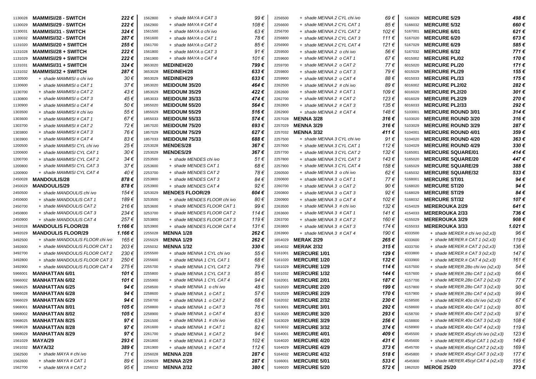| 1130028            | <b>MAMMISI/28 - SWITCH</b>      | 222€    | 1562800 | + shade MAYA # CAT 3         | 99€       | 2256500 | + shade MENNA 2 CYL chi ivo | 69€            | 5166029 | <b>MERCURE 5/29</b>                 | 498€     |
|--------------------|---------------------------------|---------|---------|------------------------------|-----------|---------|-----------------------------|----------------|---------|-------------------------------------|----------|
| 1130029            | <b>MAMMISI/29 - SWITCH</b>      | 222€    | 1562900 | + shade MAYA # CAT 4         | 108€      | 2256600 | + shade MENNA 2 CYL CAT 1   | 85 €           | 5166032 | <b>MERCURE 5/32</b>                 | 660€     |
| 1130031            | <b>MAMMISI/31 - SWITCH</b>      | 324 €   | 1561500 | + shade MAYA o chi ivo       | 63€       | 2256700 | + shade MENNA 2 CYL CAT 2   | 102€           | 5167001 | <b>MERCURE 6/01</b>                 | 621€     |
| 1130032            | <b>MAMMISI/32 - SWITCH</b>      | 287 €   | 1561600 | + shade MAYA o CAT 1         | 78€       | 2256800 | + shade MENNA 2 CYL CAT 3   | 111€           | 5167020 | <b>MERCURE 6/20</b>                 | 673€     |
| 1131020            | <b>MAMMISI/20 + SWITCH</b>      | 255€    | 1561700 | + shade MAYA o CAT 2         | 85€       | 2256900 | + shade MENNA 2 CYL CAT 4   | 121€           | 5167029 | <b>MERCURE 6/29</b>                 | 585€     |
| 1131028            | <b>MAMMISI/28 + SWITCH</b>      | 222€    | 1561800 | + shade MAYA o CAT 3         | 91€       | 2259500 | + shade MENNA 2 o chi ivo   | 56€            | 5167032 | <b>MERCURE 6/32</b>                 | 771€     |
| 1131029            | <b>MAMMISI/29 + SWITCH</b>      | 222€    | 1561900 | + shade MAYA o CAT 4         | 101 €     | 2259600 | + shade MENNA 2 o CAT 1     | 67€            | 6015002 | <b>MERCURE PL/02</b>                | 170€     |
|                    | <b>MAMMISI/31 + SWITCH</b>      | 324 €   | 3653020 | <b>MEDINEH/20</b>            | 799€      | 2259700 | + shade MENNA 2 o CAT 2     | 77€            | 6015020 | <b>MERCURE PL/20</b>                | 171€     |
| 1131031<br>1131032 | <b>MAMMISI/32 + SWITCH</b>      | 287 €   | 3653028 | <b>MEDINEH/28</b>            | $633 \in$ | 2259800 | + shade MENNA 2 o CAT 3     | 79€            | 6015029 | <b>MERCURE PL/29</b>                | 155€     |
| 1130500            | + shade MAMMISI o chi ivo       | 30€     | 3653029 | <b>MEDINEH/29</b>            | 633€      | 2259900 | + shade MENNA 2 o CAT 4     | 88€            | 6015033 | <b>MERCURE PL/33</b>                | 175€     |
| 1130600            | + shade MAMMISI o CAT 1         | 37€     | 1853020 | <b>MEIDOUM 35/20</b>         | 464€      | 2262500 | + shade MENNA 2 # chi ivo   | 89€            | 6016002 | <b>MERCURE PL2/02</b>               | 282€     |
|                    | + shade MAMMISI o CAT 2         | 43€     | 1853029 | <b>MEIDOUM 35/29</b>         | 422€      | 2262600 | + shade MENNA 2 # CAT 1     | 109€           | 6016020 | <b>MERCURE PL2/20</b>               | 301€     |
| 1130700            | + shade MAMMISI o CAT 3         | 45€     | 1853033 | <b>MEIDOUM 35/33</b>         | 474€      | 2262700 |                             | 123€           | 6016029 | <b>MERCURE PL2/29</b>               | 270€     |
| 1130800            |                                 |         |         |                              | 564€      |         | + shade MENNA 2 # CAT 2     | 135€           |         | <b>MERCURE PL2/33</b>               | 292€     |
| 1130900            | + shade MAMMISI o CAT 4         | 50€     | 1855020 | <b>MEIDOUM 55/20</b>         | 516€      | 2262800 | + shade MENNA 2 # CAT 3     |                | 6016033 |                                     | 314€     |
| 1303500            | + shade MAMMISI # chi ivo       | 55€     | 1855029 | <b>MEIDOUM 55/29</b>         |           | 2262900 | + shade MENNA 2 # CAT 4     | 148 €          | 5103001 | <b>MERCURE ROUND 3/01</b>           |          |
| 1303600            | + shade MAMMISI # CAT 1         | 67€     | 1855033 | <b>MEIDOUM 55/33</b>         | 574€      | 2257028 | <b>MENNA 3/28</b>           | 316€           | 5103020 | <b>MERCURE ROUND 3/20</b>           | 316 €    |
| 1303700            | + shade MAMMISI # CAT 2         | 72 €    | 1857020 | <b>MEIDOUM 75/20</b>         | 693€      | 2257029 | <b>MENNA 3/29</b>           | 316€           | 5103029 | <b>MERCURE ROUND 3/29</b>           | 287€     |
| 1303800            | + shade MAMMISI # CAT 3         | 76€     | 1857029 | <b>MEIDOUM 75/29</b>         | 627€      |         | 2257032 MENNA 3/32          | 411€           | 5104001 | <b>MERCURE ROUND 4/01</b>           | 359€     |
| 1303900            | + shade MAMMISI # CAT 4         | 83€     | 1857033 | <b>MEIDOUM 75/33</b>         | 688€      | 2257500 | + shade MENNA 3 CYL chi ivo | 91€            | 5104020 | <b>MERCURE ROUND 4/20</b>           | 363€     |
| 1200500            | + shade MAMMISI CYL chi ivo     | 25€     | 2253028 | <b>MENDES/28</b>             | 367€      | 2257600 | + shade MENNA 3 CYL CAT 1   | 112€           | 5104029 | <b>MERCURE ROUND 4/29</b>           | 330€     |
| 1200600            | + shade MAMMISI CYL CAT 1       | 30€     | 2253029 | <b>MENDES/29</b>             | 367€      | 2257700 | + shade MENNA 3 CYL CAT 2   | 132€           | 5165001 | <b>MERCURE SQUARE/01</b>            | 414€     |
| 1200700            | + shade MAMMISI CYL CAT 2       | 34 €    | 2253500 | + shade MENDES chi ivo       | 51€       | 2257800 | + shade MENNA 3 CYL CAT 3   | 143€           | 5165020 | <b>MERCURE SQUARE/20</b>            | 447€     |
| 1200800            | + shade MAMMISI CYL CAT 3       | 37€     | 2253600 | + shade MENDES CAT 1         | 68€       | 2257900 | + shade MENNA 3 CYL CAT 4   | 158 €          | 5165029 | <b>MERCURE SQUARE/29</b>            | 388€     |
| 1200900            | + shade MAMMISI CYL CAT 4       | 40 €    | 2253700 | + shade MENDES CAT 2         | 78€       | 2260500 | + shade MENNA 3 o chi ivo   | 62€            | 5165032 | <b>MERCURE SQUARE/32</b>            | 533€     |
| 2450028            | <b>MANDOULIS/28</b>             | 878 €   | 2253800 | + shade MENDES CAT 3         | 84 €      | 2260600 | + shade MENNA 3 o CAT 1     | 77€            | 5168001 | <b>MERCURE ST/01</b>                | 94€      |
| 2450029            | <b>MANDOULIS/29</b>             | 878€    | 2253900 | + shade MENDES CAT 4         | 92€       | 2260700 | + shade MENNA 3 o CAT 2     | 90€            | 5168020 | <b>MERCURE ST/20</b>                | 94€      |
| 2450500            | + shade MANDOULIS chi ivo       | 154 €   | 3253029 | <b>MENDES FLOOR/29</b>       | 604€      | 2260800 | + shade MENNA 3 o CAT 3     | 92€            | 5168029 | <b>MERCURE ST/29</b>                | 84€      |
| 2450600            | + shade MANDOULIS CAT 1         | 189€    | 3253500 | + shade MENDES FLOOR chi ivo | 80€       | 2260900 | + shade MENNA 3 o CAT 4     | 102€           | 5168032 | <b>MERCURE ST/32</b>                | 107€     |
| 2450700            | + shade MANDOULIS CAT 2         | 216€    | 3253600 | + shade MENDES FLOOR CAT 1   | 99€       | 2263500 | + shade MENNA 3 # chi ivo   | 132€           | 4154029 | <b>MEREROUKA 2/29</b>               | 641€     |
| 2450800            | + shade MANDOULIS CAT 3         | 234 €   | 3253700 | + shade MENDES FLOOR CAT 2   | 114€      | 2263600 | + shade MENNA 3 # CAT 1     | 141€           | 4154033 | <b>MEREROUKA 2/33</b>               | 736€     |
| 2450900            | + shade MANDOULIS CAT 4         | 257 €   | 3253800 | + shade MENDES FLOOR CAT 3   | 119€      | 2263700 | + shade MENNA 3 # CAT 2     | 160€           | 4155029 | <b>MEREROUKA 3/29</b>               | 908€     |
| 3492028            | <b>MANDOULIS FLOOR/28</b>       | 1.166€  | 3253900 | + shade MENDES FLOOR CAT 4   | 131 €     | 2263800 | + shade MENNA 3 # CAT 3     | 174 €          | 4155033 | <b>MEREROUKA 3/33</b>               | 1.021€   |
| 3492029            | <b>MANDOULIS FLOOR/29</b>       | 1.166 € | 2255028 | <b>MENNA 1/28</b>            | 262€      | 2263900 | + shade MENNA 3 # CAT 4     | 190 €          | 4333500 | + shade MERER.# chi ivo (x2,x3)     | 96€      |
| 3492500            | + shade MANDOULIS FLOOR chi ivo | 165€    | 2255029 | <b>MENNA 1/29</b>            | 262€      | 1654029 | <b>MERAK 2/29</b>           | 265€           | 4333600 | $+$ shade MERER.# CAT 1 (x2,x3)     | 119€     |
| 3492600            | + shade MANDOULIS FLOOR CAT 1   | 203€    | 2255032 | <b>MENNA 1/32</b>            | 330€      | 1654032 | <b>MERAK 2/32</b>           | 315€           | 4333700 | $+$ shade MERER.# CAT 2 (x2,x3)     | 136€     |
| 3492700            | + shade MANDOULIS FLOOR CAT2    | 230€    | 2255500 | + shade MENNA 1 CYL chi ivo  | 55€       | 5161001 | <b>MERCURE 1/01</b>         | 129€           | 4333800 | + shade MERER.# CAT 3 (x2,x3)       | 147€     |
| 3492800            | + shade MANDOULIS FLOOR CAT 3   | 250 €   | 2255600 | + shade MENNA 1 CYL CAT 1    | 68€       | 5161020 | <b>MERCURE 1/20</b>         | 132€           | 4333900 | + shade MERER.# CAT 4 $(x2,x3)$     | 161 €    |
| 3492900            | + shade MANDOULIS FLOOR CAT 4   | 275€    | 2255700 | + shade MENNA 1 CYL CAT 2    | 79€       | 5161029 | <b>MERCURE 1/29</b>         | 114€           | 4157500 | + shade MERER.280 chi ivo (x2,x3)   | 54 €     |
| 5966001            | <b>MANHATTAN 6/01</b>           | 101 €   | 2255800 | + shade MENNA 1 CYL CAT 3    | 85€       | 5161032 | <b>MERCURE 1/32</b>         | 144€           | 4157600 | + shade MERER.280 CAT 1 $(x2, x3)$  | 66€      |
| 5966002            | <b>MANHATTAN 6/02</b>           | 101 €   | 2255900 | + shade MENNA 1 CYL CAT 4    | 94€       | 5162001 | <b>MERCURE 2/01</b>         | 187€           | 4157700 | $+$ shade MERER.280 CAT 2 (x2,x3)   | 77 €     |
| 5966025            | <b>MANHATTAN 6/25</b>           | 94 €    | 2258500 | + shade MENNA 1 o chi ivo    | 48€       | 5162020 | <b>MERCURE 2/20</b>         | 199€           | 4157800 | $+$ shade MERER.280 CAT 3 (x2,x3)   | 90€      |
| 5966028            | <b>MANHATTAN 6/28</b>           | 94€     | 2258600 | + shade MENNA 1 o CAT 1      | 57€       |         | 5162029 MERCURE 2/29        | 170 €          | 4157900 | $+$ shade MERER.280 CAT 4 (x2,x3)   | 99 €     |
| 5966029            | <b>MANHATTAN 6/29</b>           | 94€     | 2258700 | + shade MENNA 1 o CAT 2      | 68€       |         | 5162032 MERCURE 2/32        | 230 $\epsilon$ | 4158500 | + shade MERER.40o chi ivo (x2,x3)   | $67 \in$ |
| 5968001            | <b>MANHATTAN 8/01</b>           | 105 €   | 2258800 | + shade MENNA 1 o CAT 3      | 76 €      | 5163001 | <b>MERCURE 3/01</b>         | 292 €          | 4158600 | $+$ shade MERER.400 CAT 1 (x2,x3)   | 80€      |
| 5968002            | <b>MANHATTAN 8/02</b>           | 105 €   | 2258900 | + shade MENNA 1 o CAT 4      | 83€       | 5163020 | <b>MERCURE 3/20</b>         | 293€           | 4158700 | $+$ shade MERER.400 CAT 2 (x2,x3)   | 97€      |
| 5968025            | <b>MANHATTAN 8/25</b>           | 97€     | 2261500 | + shade MENNA 1 # chi ivo    | 63€       | 5163029 | <b>MERCURE 3/29</b>         | 256 €          | 4158800 | $+$ shade MERER.400 CAT 3 (x2,x3)   | 108€     |
| 5968028            | <b>MANHATTAN 8/28</b>           | 97€     | 2261600 | + shade MENNA 1 # CAT 1      | 82€       |         | 5163032 MERCURE 3/32        | 374€           | 4158900 | $+$ shade MERER.400 CAT 4 (x2,x3)   | 119€     |
| 5968029            | <b>MANHATTAN 8/29</b>           | 97€     | 2261700 | + shade MENNA 1 # CAT 2      | 94€       | 5164001 | <b>MERCURE 4/01</b>         | 409 €          | 4545500 | + shade MERER.45cyl chi ivo (x2,x3) | 123 €    |
| 1561029            | MAYA/29                         | 293€    | 2261800 | + shade MENNA 1 # CAT 3      | 102 €     | 5164020 | <b>MERCURE 4/20</b>         | 431 €          | 4545600 | + shade MERER.45cyl CAT 1 (x2,x3)   | 149 €    |
| 1561032            | MAYA/32                         | 389€    | 2261900 | + shade MENNA 1 # CAT 4      | 112€      |         | 5164029 MERCURE 4/29        | 373€           | 4545700 | + shade MERER.45cyl CAT 2 (x2,x3)   | 169€     |
| 1562500            | + shade MAYA # chi ivo          | 71€     | 2256028 | <b>MENNA 2/28</b>            | 287€      | 5164032 | <b>MERCURE 4/32</b>         | 518€           | 4545800 | + shade MERER.45cyl CAT 3 (x2,x3)   | 177€     |
| 1562600            | + shade MAYA # CAT 1            | 89€     |         | 2256029 MENNA 2/29           | 287€      | 5166001 | <b>MERCURE 5/01</b>         | 533€           | 4545900 | + shade MERER.45cyl CAT 4 (x2,x3)   | 195 €    |
| 1562700            | + shade MAYA # CAT 2            | 95 €    |         | 2256032 MENNA 2/32           | 380€      |         | 5166020 MERCURE 5/20        | 572€           |         | 1862020 MEROE 25/20                 | 373€     |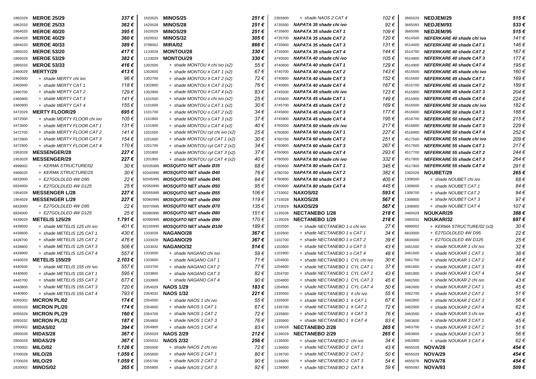| 1862029 | <b>MEROE 25/29</b>          | 337 €                       | 1620025  | <b>MINOS/25</b>                 | 251€           | 2355900 | + shade NAOS 2 CAT 4            | 102€     | 3665029 | <b>NEDJEM/29</b>                | 515€  |
|---------|-----------------------------|-----------------------------|----------|---------------------------------|----------------|---------|---------------------------------|----------|---------|---------------------------------|-------|
| 1862033 | <b>MEROE 25/33</b>          | 362€                        | 1620028  | <b>MINOS/28</b>                 | 251€           | 4735500 | NAPATA 35 shade chi ivo         | 92€      | 3665093 | <b>NEDJEM/93</b>                | 533€  |
| 1864020 | <b>MEROE 40/20</b>          | 395€                        | 1620029  | <b>MINOS/29</b>                 | 251€           | 4735600 | NAPATA 35 shade CAT 1           | 109€     | 3665095 | <b>NEDJEM/95</b>                | 515€  |
| 1864029 | <b>MEROE 40/29</b>          | 360€                        | 1620032  | <b>MINOS/32</b>                 | 305€           | 4735700 | NAPATA 35 shade CAT 2           | 120€     | 4514500 | NEFERKARE 40 shade chi ivo      | 141 € |
| 1864033 | <b>MEROE 40/33</b>          | 389€                        | 3798002  | MIRA/02                         | 866€           | 4735800 | <b>NAPATA 35 shade CAT 3</b>    | 131€     | 4514600 | NEFERKARE 40 shade CAT 1        | 146 € |
| 1865020 | <b>MEROE 53/20</b>          | 417€                        | 1133028  | <b>MONTOU/28</b>                | 330 $\epsilon$ | 4735900 | NAPATA 35 shade CAT 4           | 144 €    | 4514700 | NEFERKARE 40 shade CAT 2        | 167€  |
| 1865029 | <b>MEROE 53/29</b>          | 382€                        | 1133029  | <b>MONTOU/29</b>                | 330 $\epsilon$ | 4740500 | NAPATA 40 shade chi ivo         | 105€     | 4514800 | NEFERKARE 40 shade CAT 3        | 177€  |
| 1865033 | <b>MEROE 53/33</b>          | 416€                        | 1302500  | + shade MONTOU # chi ivo (x2)   | 55€            | 4740600 | <b>NAPATA 40 shade CAT 1</b>    | 129€     | 4514900 | NEFERKARE 40 shade CAT 4        | 195€  |
| 2460029 | <b>MERTY/29</b>             | 413€                        | 1302600  | $+$ shade MONTOU # CAT 1 (x2)   | 67€            | 4740700 | <b>NAPATA 40 shade CAT 2</b>    | 143€     | 4515500 | NEFERKARE 45 shade chi ivo      | 160€  |
| 2460500 | + shade MERTY chi ivo       | 96€                         | 1302700  | + shade MONTOU # CAT 2 (x2)     | 72€            | 4740800 | <b>NAPATA 40 shade CAT 3</b>    | 152€     | 4515600 | NEFERKARE 45 shade CAT 1        | 169€  |
| 2460600 | + shade MERTY CAT 1         | 118€                        | 1302800  | $+$ shade MONTOU # CAT 3 (x2)   | 76€            | 4740900 | NAPATA 40 shade CAT 4           | 167€     | 4515700 | NEFERKARE 45 shade CAT 2        | 189€  |
| 2460700 | + shade MERTY CAT 2         | 129€                        | 1302900  | $+$ shade MONTOU # CAT 4 (x2)   | 83€            | 4745500 | NAPATA 45 shade chi ivo         | 123€     | 4515800 | NEFERKARE 45 shade CAT 3        | 204€  |
| 2460800 | + shade MERTY CAT 3         | 141 €                       | 1101500  | + shade MONTOU o chi ivo (x2)   | 25€            | 4745600 | <b>NAPATA 45 shade CAT 1</b>    | 149€     | 4515900 | NEFERKARE 45 shade CAT 4        | 224€  |
| 2460900 | + shade MERTY CAT 4         | 155€                        | 1101600  | + shade MONTOU o CAT 1 (x2)     | 30€            | 4745700 | NAPATA 45 shade CAT 2           | 169€     | 4516500 | NEFERKARE 50 shade chi ivo      | 182€  |
| 3472029 | <b>MERTY FLOOR/29</b>       | 695€                        | 1101700  | + shade MONTOU o CAT 2 (x2)     | 34 €           | 4745800 | <b>NAPATA 45 shade CAT 3</b>    | 177€     | 4516600 | NEFERKARE 50 shade CAT 1        | 188€  |
| 3472500 | + shade MERTY FLOOR chi ivo | 105 €                       | 1101800  | + shade MONTOU o CAT 3 (x2)     | 37€            | 4745900 | NAPATA 45 shade CAT 4           | 195€     | 4516700 | NEFERKARE 50 shade CAT 2        | 215€  |
| 3472600 | + shade MERTY FLOOR CAT 1   | 131 €                       | 1101900  | + shade MONTOU o CAT 4 (x2)     | 40 €           | 4760500 | NAPATA 60 shade chi ivo         | 217€     | 4516800 | <b>NEFERKARE 50 shade CAT 3</b> | 229€  |
| 3472700 | + shade MERTY FLOOR CAT 2   | 141 €                       | 1201500  | + shade MONTOU cyl chi ivo (x2) | 25€            | 4760600 | <b>NAPATA 60 shade CAT 1</b>    | 227€     | 4516900 | NEFERKARE 50 shade CAT 4        | 252€  |
| 3472800 | + shade MERTY FLOOR CAT 3   | 154 €                       | 1201600  | + shade MONTOU cyl CAT 1 (x2)   | 30€            | 4760700 | <b>NAPATA 60 shade CAT 2</b>    | 251 €    | 4517500 | NEFERKARE 55 shade chi ivo      | 209€  |
| 3472900 | + shade MERTY FLOOR CAT 4   | 170€                        | 1201700  | + shade MONTOU cyl CAT 2 (x2)   | 34 €           | 4760800 | NAPATA 60 shade CAT 3           | 267 €    | 4517600 | NEFERKARE 55 shade CAT 1        | 217€  |
| 1953028 | <b>MESSENGER/28</b>         | 227 €                       | 1201800  | + shade MONTOU cyl CAT 3 (x2)   | 37€            | 4760900 | NAPATA 60 shade CAT 4           | 293 €    | 4517700 | NEFERKARE 55 shade CAT 2        | 244 € |
| 1953029 | <b>MESSENGER/29</b>         | 227€                        | 1201900  | + shade MONTOU cyl CAT 4 (x2)   | 40€            | 4780500 | NAPATA 80 shade chi ivo         | 332€     | 4517800 | NEFERKARE 55 shade CAT 3        | 264€  |
| 4999002 | + KERMA STRUCTURE/02        | 30€                         |          | 92035995 MOSQUITO NET shade Ø35 | 68€            | 4780600 | <b>NAPATA 80 shade CAT 1</b>    | 345€     | 4517900 | NEFERKARE 55 shade CAT 4        | 291€  |
| 4999025 | + KERMA STRUCTURE/25        | 30€                         | 92040995 | <b>MOSQUITO NET shade Ø40</b>   | 76€            | 4780700 | NAPATA 80 shade CAT 2           | 382€     | 2362029 | <b>NOUBET/29</b>                | 265€  |
| 6833000 | + E27GOLDLED 4W D95         | 22€                         |          | 92045995 MOSQUITO NET shade Ø45 | 84 €           | 4780800 | <b>NAPATA 80 shade CAT 3</b>    | 405 €    | 1308500 | + shade NOUBET chi ivo          | 68€   |
| 6834000 | + E27GOLDLED 4W D125        | 25€                         | 92050995 | <b>MOSQUITO NET shade Ø50</b>   | 95€            | 4780900 | NAPATA 80 shade CAT 4           | 445€     | 1308600 | + shade NOUBET CAT 1            | 84€   |
| 1954028 | <b>MESSENGER L/28</b>       | 227 €                       | 92055995 | <b>MOSQUITO NET shade Ø55</b>   | 106€           | 1733002 | <b>NAXOS/02</b>                 | 593€     | 1308700 | + shade NOUBET CAT 2            | 94€   |
| 1954029 | <b>MESSENGER L/29</b>       | 227€                        | 92060995 | <b>MOSQUITO NET shade Ø60</b>   | 119€           | 1733028 | <b>NAXOS/28</b>                 | 567€     | 1308800 | + shade NOUBET CAT 3            | 97€   |
| 6833000 | + E27GOLDLED 4W D95         | 22€                         | 92070995 | <b>MOSQUITO NET shade Ø70</b>   | 135€           | 1733029 | NAXOS/29                        | 567€     | 1308900 | + shade NOUBET CAT 4            | 107€  |
| 6834000 | + E27GOLDLED 4W D125        | 25€                         | 92080995 | MOSQUITO NET shade Ø80          | 151€           | 1135028 | <b>NECTANEBO 1/28</b>           | 218€     | 3460029 | <b>NOUKAR/29</b>                | 388€  |
| 4439029 | <b>METELIS 125/29</b>       | 1.791€                      |          | 92090995 MOSQUITO NET shade Ø90 | 170€           | 1135029 | <b>NECTANEBO 1/29</b>           | 218€     | 3460032 | <b>NOUKAR/32</b>                | 697€  |
| 4439500 | + shade METELIS 125 chi ivo | 401€                        | 92100995 | <b>MOSQUITO NET shade Ø100</b>  | 189€           | 1102500 | + shade NECTANEBO 1 o chi ivo   | 27€      | 4999002 | + KERMA STRUCTURE/02 (x3)       | 30€   |
| 4439600 | + shade METELIS 125 CAT 1   | 430 €                       | 1333028  | <b>NAGANO/28</b>                | 367€           | 1102600 | + shade NECTANEBO 1 o CAT 1     | 34 €     | 6833000 | + E27GOLDLED 4W D95             | 22 €  |
| 4439700 | + shade METELIS 125 CAT 2   | 476 €                       | 1333029  | NAGANO/29                       | 367€           | 1102700 | + shade NECTANEBO 1 o CAT 2     | 39€      | 6834000 | + E27GOLDLED 4W D125            | 25€   |
| 4439800 | + shade METELIS 125 CAT 3   | 506€                        | 1333032  | <b>NAGANO/32</b>                | 514€           | 1102800 | + shade NECTANEBO 1 o CAT 3     | 43€      | 3461500 | + shade NOUKAR 1 chi ivo        | 32€   |
| 4439900 | + shade METELIS 125 CAT 4   | 557€                        | 1333500  | + shade NAGANO chi ivo          | 59€            | 1102900 | + shade NECTANEBO 1 o CAT 4     | 48€      | 3461600 | + shade NOUKAR 1 CAT 1          | 38€   |
| 4440029 | <b>METELIS 155/29</b>       | $2.103 \in$                 | 1333600  | + shade NAGANO CAT 1            | 71€            | 1204500 | + shade NECTANEBO 1 CYL chi ivo | 30€      | 3461700 | + shade NOUKAR 1 CAT 2          | 44 €  |
| 4440500 | + shade METELIS 155 chi ivo | 557€                        | 1333700  | + shade NAGANO CAT 2            | 77€            | 1204600 | + shade NECTANEBO 1 CYL CAT 1   | 37€      | 3461800 | + shade NOUKAR 1 CAT 3          | 49€   |
| 4440600 | + shade METELIS 155 CAT 1   | 595 €                       | 1333800  | + shade NAGANO CAT 3            | 82€            | 1204700 | + shade NECTANEBO 1 CYL CAT 2   | 43€      | 3461900 | + shade NOUKAR 1 CAT 4          | 54€   |
| 4440700 | + shade METELIS 155 CAT 2   | 677€                        | 1333900  | + shade NAGANO CAT 4            | 90€            | 1204800 | + shade NECTANEBO 1 CYL CAT 3   | 45€      | 3462500 | + shade NOUKAR 2 chi ivo        | 43€   |
| 4440800 | + shade METELIS 155 CAT 3   | 720€                        |          | 2354029 NAOS 1/29               | 183€           | 1204900 | + shade NECTANEBO 1 CYL CAT 4   | 50€      | 3462600 | + shade NOUKAR 2 CAT 1          | 45 €  |
| 4440900 | + shade METELIS 155 CAT 4   | 793€                        |          | 2354032 NAOS 1/32               | 221€           | 1335500 | + shade NECTANEBO 1 # chi ivo   | 55€      | 3462700 | + shade NOUKAR 2 CAT 2          | 51 €  |
| 6055002 | <b>MICRON PL/02</b>         | 174 $\boldsymbol{\epsilon}$ | 2354500  | + shade NAOS 1 chi ivo          | $55 \in$       | 1335600 | + shade NECTANEBO 1 # CAT 1     | $67 \in$ | 3462800 | + shade NOUKAR 2 CAT 3          | 56€   |
| 6055020 | <b>MICRON PL/20</b>         | 174 €                       | 2354600  | + shade NAOS 1 CAT 1            | 67€            | 1335700 | + shade NECTANEBO 1 # CAT 2     | 72 €     | 3462900 | + shade NOUKAR 2 CAT 4          | 62€   |
| 6055029 | <b>MICRON PL/29</b>         | 160 €                       | 2354700  | + shade NAOS 1 CAT 2            | 72€            | 1335800 | + shade NECTANEBO 1 # CAT 3     | 76 €     | 3463500 | + shade NOUKAR 3 chi ivo        | 43€   |
| 6055032 | <b>MICRON PL/32</b>         | 187€                        | 2354800  | + shade NAOS 1 CAT 3            | 76€            | 1335900 | + shade NECTANEBO 1 # CAT 4     | 83€      | 3463600 | + shade NOUKAR 3 CAT 1          | 45 €  |
| 2850002 | <b>MIDAS/02</b>             | 394€                        | 2354900  | + shade NAOS 1 CAT 4            | 83€            | 1136028 | <b>NECTANEBO 2/28</b>           | 265 €    | 3463700 | + shade NOUKAR 3 CAT 2          | 51€   |
| 2850028 | <b>MIDAS/28</b>             | 367€                        |          | 2355029 NAOS 2/29               | 212€           | 1136029 | <b>NECTANEBO 2/29</b>           | 265 €    | 3463800 | + shade NOUKAR 3 CAT 3          | 56€   |
| 2850029 | <b>MIDAS/29</b>             | 367€                        | 2355032  | <b>NAOS 2/32</b>                | 256 €          | 1136500 | + shade NECTANEBO 2 chi ivo     | 34 €     | 3463900 | + shade NOUKAR 3 CAT 4          | 62€   |
| 3700002 | MILO/02                     | 1.126 €                     | 2355500  | + shade NAOS 2 chi ivo          | 72€            | 1136600 | + shade NECTANEBO 2 CAT 1       | 43€      | 4655028 | NOVA/28                         | 454 € |
| 3700028 | MILO/28                     | 1.059€                      | 2355600  | + shade NAOS 2 CAT 1            | 80€            | 1136700 | + shade NECTANEBO 2 CAT 2       | 50€      | 4655029 | NOVA/29                         | 454 € |
| 3700029 | MILO/29                     | 1.059 €                     | 2355700  | + shade NAOS 2 CAT 2            | 90€            | 1136800 | + shade NECTANEBO 2 CAT 3       | 54 €     | 4655078 | NOVA/78                         | 454 € |
| 1620002 | <b>MINOS/02</b>             | 265 €                       | 2355800  | + shade NAOS 2 CAT 3            | 92 €           | 1136900 | + shade NECTANEBO 2 CAT 4       | 59 €     |         | 4655093 NOVA/93                 | 509€  |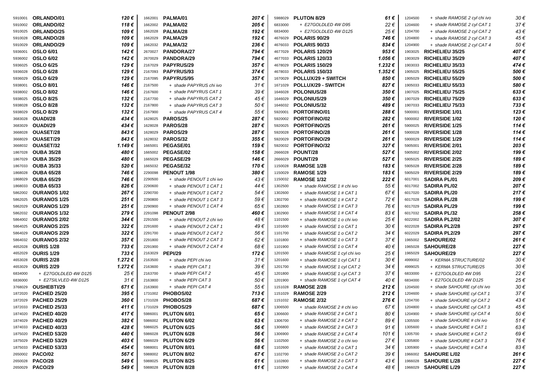| 5910001 | ORLANDO/01           | 120€           | 1662001 | PALMA/01                 | 207€              | 5988029 | PLUTON 8/29                  | 61 €                        | 1204500 | + shade RAMOSE 2 cyl chi ivo | 30€      |
|---------|----------------------|----------------|---------|--------------------------|-------------------|---------|------------------------------|-----------------------------|---------|------------------------------|----------|
| 5910002 | ORLANDO/02           | 118€           |         | 1662002 PALMA/02         | 205€              | 6833000 | + E27GOLDLED 4W D95          | 22€                         | 1204600 | + shade RAMOSE 2 cyl CAT 1   | 37€      |
| 5910025 | ORLANDO/25           | 109€           | 1662028 | PALMA/28                 | 192€              | 6834000 | + E27GOLDLED 4W D125         | 25€                         | 1204700 | + shade RAMOSE 2 cyl CAT 2   | 43€      |
| 5910028 | ORLANDO/28           | 109€           | 1662029 | PALMA/29                 | 192€              | 4676029 | POLARIS 90/29                | 746 €                       | 1204800 | + shade RAMOSE 2 cyl CAT 3   | 45€      |
| 5910029 | ORLANDO/29           | 109€           |         | 1662032 PALMA/32         | 236€              | 4676033 | POLARIS 90/33                | 834€                        | 1204900 | + shade RAMOSE 2 cyl CAT 4   | 50€      |
| 5936001 | <b>OSLO 6/01</b>     | 142€           | 2670027 | <b>PANDORA/27</b>        | 794€              | 4677029 | <b>POLARIS 120/29</b>        | 953€                        | 1903025 | <b>RICHELIEU 35/25</b>       | 407€     |
| 5936002 | <b>OSLO 6/02</b>     | 142€           | 2670029 | <b>PANDORA/29</b>        | 794€              | 4677033 | <b>POLARIS 120/33</b>        | 1.056 €                     | 1903029 | <b>RICHELIEU 35/29</b>       | 407€     |
| 5936025 | <b>OSLO 6/25</b>     | 129€           |         | 2167029 PAPYRUS/29       | 357€              | 4678029 | <b>POLARIS 150/29</b>        | 1.232€                      | 1903033 | <b>RICHELIEU 35/33</b>       | 474€     |
| 5936028 | <b>OSLO 6/28</b>     | 129€           |         | 2167093 PAPYRUS/93       | 374€              | 4678033 | <b>POLARIS 150/33</b>        | 1.352€                      | 1905025 | <b>RICHELIEU 55/25</b>       | 500€     |
| 5936029 | <b>OSLO 6/29</b>     | 129€           | 2167095 | <b>PAPYRUS/95</b>        | 357€              | 1670029 | <b>POLLUX/29 + SWITCH</b>    | 850€                        | 1905029 | <b>RICHELIEU 55/29</b>       | 500€     |
| 5938001 | <b>OSLO 8/01</b>     | 146 €          | 2167500 | + shade PAPYRUS chi ivo  | $31 \in$          | 1671029 | <b>POLLUX/29 - SWITCH</b>    | 827€                        | 1905033 | <b>RICHELIEU 55/33</b>       | 580€     |
| 5938002 | <b>OSLO 8/02</b>     | 146 €          | 2167600 | + shade PAPYRUS CAT 1    | 39€               | 1646028 | <b>POLONIUS/28</b>           | 350€                        | 1907025 | <b>RICHELIEU 75/25</b>       | 633€     |
| 5938025 | <b>OSLO 8/25</b>     | 132€           | 2167700 | + shade PAPYRUS CAT 2    | 45€               | 1646029 | <b>POLONIUS/29</b>           | 350€                        | 1907029 | <b>RICHELIEU 75/29</b>       | 633€     |
| 5938028 | <b>OSLO 8/28</b>     | 132€           | 2167800 | + shade PAPYRUS CAT 3    | 50€               | 1646032 | <b>POLONIUS/32</b>           | 489 €                       | 1907033 | <b>RICHELIEU 75/33</b>       | 733€     |
| 5938029 | <b>OSLO 8/29</b>     | 132€           | 2167900 | + shade PAPYRUS CAT 4    | 55€               | 5920001 | PORTOFINO/01                 | 288 €                       | 5900001 | <b>RIVERSIDE 1/01</b>        | 123€     |
| 3683028 | OUADI/28             | 434€           |         | 1628025 PAROS/25         | 287€              | 5920002 | <b>PORTOFINO/02</b>          | 282 €                       | 5900002 | <b>RIVERSIDE 1/02</b>        | 120€     |
| 3683029 | OUADI/29             | 434€           | 1628028 | <b>PAROS/28</b>          | 287€              | 5920025 | <b>PORTOFINO/25</b>          | 261 €                       | 5900025 | <b>RIVERSIDE 1/25</b>        | 114€     |
| 3668028 | <b>OUASET/28</b>     | 843€           | 1628029 | <b>PAROS/29</b>          | 287€              | 5920028 | <b>PORTOFINO/28</b>          | 261€                        | 5900028 | <b>RIVERSIDE 1/28</b>        | 114€     |
| 3668029 | <b>OUASET/29</b>     | 843€           |         | 1628032 PAROS/32         | 355€              | 5920029 | <b>PORTOFINO/29</b>          | 261 €                       | 5900029 | <b>RIVERSIDE 1/29</b>        | 114€     |
| 3668032 | OUASET/32            | 1.149€         | 1665001 | PEGASE/01                | 159€              | 5920032 | <b>PORTOFINO/32</b>          | 327€                        | 5905001 | <b>RIVERSIDE 2/01</b>        | 203€     |
| 1867028 | <b>OUBA 35/28</b>    | 480 €          | 1665002 | <b>PEGASE/02</b>         | 158 €             | 2666028 | POUNT/28                     | 527€                        | 5905002 | <b>RIVERSIDE 2/02</b>        | 199€     |
| 1867029 | <b>OUBA 35/29</b>    | 480€           | 1665029 | PEGASE/29                | 146€              | 2666029 | POUNT/29                     | 527€                        | 5905025 | <b>RIVERSIDE 2/25</b>        | 189€     |
| 1867033 | <b>OUBA 35/33</b>    | 520€           | 1665032 | PEGASE/32                | 170€              | 1150028 | <b>RAMOSE 1/28</b>           | 183€                        | 5905028 | <b>RIVERSIDE 2/28</b>        | 189€     |
| 1868028 | <b>OUBA 65/28</b>    | 746 €          | 2290098 | PENOUT 1/98              | 380€              | 1150029 | RAMOSE 1/29                  | 183€                        | 5905029 | <b>RIVERSIDE 2/29</b>        | 189€     |
| 1868029 | <b>OUBA 65/29</b>    | 746 €          | 2290500 | + shade PENOUT 1 chi ivo | 43€               | 1150032 | <b>RAMOSE 1/32</b>           | 222€                        | 6017001 | <b>SADIRA PL/01</b>          | 209€     |
| 1868033 | <b>OUBA 65/33</b>    | 826€           | 2290600 | + shade PENOUT 1 CAT 1   | 44€               | 1302500 | + shade RAMOSE 1 # chi ivo   | 55€                         | 6017002 | <b>SADIRA PL/02</b>          | 207€     |
| 5862002 | <b>OURANOS 1/02</b>  | 267€           | 2290700 | + shade PENOUT 1 CAT 2   | 54 €              | 1302600 | + shade RAMOSE 1 # CAT 1     | 67€                         | 6017020 | <b>SADIRA PL/20</b>          | 217€     |
| 5862025 | <b>OURANOS 1/25</b>  | 251€           | 2290800 | + shade PENOUT 1 CAT 3   | 59€               | 1302700 | + shade RAMOSE 1 # CAT 2     | 72€                         | 6017028 | <b>SADIRA PL/28</b>          | 199€     |
| 5862029 | <b>OURANOS 1/29</b>  | 251€           | 2290900 | + shade PENOUT 1 CAT 4   | 65€               | 1302800 | + shade RAMOSE 1 # CAT 3     | 76€                         | 6017029 | <b>SADIRA PL/29</b>          | 199€     |
| 5862032 | <b>OURANOS 1/32</b>  | 279€           | 2291098 | PENOUT 2/98              | 460€              | 1302900 | + shade RAMOSE 1 # CAT 4     | 83€                         | 6017032 | <b>SADIRA PL/32</b>          | 258€     |
| 5864002 | <b>OURANOS 2/02</b>  | 344€           | 2291500 | + shade PENOUT 2 chi ivo | 48€               | 1101500 | + shade RAMOSE 1 o chi ivo   | 25€                         | 6022002 | <b>SADIRA PL2/02</b>         | 307€     |
| 5864025 | <b>OURANOS 2/25</b>  | 322€           | 2291600 | + shade PENOUT 2 CAT 1   | 49€               | 1101600 | + shade RAMOSE 1 o CAT 1     | 30€                         | 6022028 | <b>SADIRA PL2/28</b>         | 297€     |
| 5864029 | <b>OURANOS 2/29</b>  | 322€           | 2291700 | + shade PENOUT 2 CAT 2   | 56€               | 1101700 | + shade RAMOSE 1 o CAT 2     | 34 €                        | 6022029 | <b>SADIRA PL2/29</b>         | 297€     |
| 5864032 | <b>OURANOS 2/32</b>  | 357€           | 2291800 | + shade PENOUT 2 CAT 3   | 62€               | 1101800 | + shade RAMOSE 1 o CAT 3     | 37 €                        | 1965002 | <b>SAHOURE/02</b>            | 261 €    |
| 4652028 | <b>OURIS 1/28</b>    | 733€           | 2291900 | + shade PENOUT 2 CAT 4   | 68€               | 1101900 | + shade RAMOSE 1 o CAT 4     | 40€                         | 1965028 | <b>SAHOURE/28</b>            | 227€     |
| 4652029 | <b>OURIS 1/29</b>    | 733€           | 2163029 | <b>PEPI/29</b>           | 172€              | 1201500 | + shade RAMOSE 1 cyl chi ivo | 25 €                        | 1965029 | <b>SAHOURE/29</b>            | 227€     |
| 4653028 | <b>OURIS 2/28</b>    | 1.272€         | 2163500 | + shade PEPI chi ivo     | $31 \in$          | 1201600 | + shade RAMOSE 1 cyl CAT 1   | 30 €                        | 4999002 | + KERMA STRUCTURE/02         | 30€      |
| 4653029 | <b>OURIS 2/29</b>    | 1.272€         | 2163600 | + shade PEPI CAT 1       | 39€               | 1201700 | + shade RAMOSE 1 cyl CAT 2   | 34 €                        | 4999025 | + KERMA STRUCTURE/25         | 30€      |
| 6834000 | + E27GOLDLED 4W D125 | 25€            | 2163700 | + shade PEPI CAT 2       | 45€               | 1201800 | + shade RAMOSE 1 cyl CAT 3   | 37€                         | 6833000 | + E27GOLDLED 4W D95          | 22€      |
| 6836000 | + E27SILVLED 4W D125 | 31€            | 2163800 | + shade PEPI CAT 3       | 50€               | 1201900 | + shade RAMOSE 1 cyl CAT 4   | 40 €                        | 6834000 | + E27GOLDLED 4W D125         | 25€      |
| 3768029 | OUSHEBTI/29          | 671€           | 2163900 | + shade PEPI CAT 4       | 55€               | 1151028 | <b>RAMOSE 2/28</b>           | 212 €                       | 1204500 | + shade SAHOURE cyl chi ivo  | 30€      |
| 1872020 | <b>PACHED 25/20</b>  | 395 €          |         | 1731002 PHOBOS/02        | 713€              |         | 1151029 RAMOSE 2/29          | 212€                        | 1204600 | + shade SAHOURE cyl CAT 1    | $37 \in$ |
| 1872029 | <b>PACHED 25/29</b>  | 360 $\epsilon$ |         | 1731028 PHOBOS/28        | $687 \, \epsilon$ | 1151032 | <b>RAMOSE 2/32</b>           | 276 $\boldsymbol{\epsilon}$ | 1204700 | + shade SAHOURE cyl CAT 2    | 43€      |
| 1872033 | <b>PACHED 25/33</b>  | 411 €          |         | 1731029 PHOBOS/29        | 687€              | 1306500 | + shade RAMOSE 2 # chi ivo   | 67€                         | 1204800 | + shade SAHOURE cyl CAT 3    | 45€      |
| 1874020 | <b>PACHED 40/20</b>  | 417€           | 5986001 | PLUTON 6/01              | 65€               | 1306600 | + shade RAMOSE 2 # CAT 1     | 80€                         | 1204900 | + shade SAHOURE cyl CAT 4    | 50€      |
| 1874029 | <b>PACHED 40/29</b>  | 382€           |         | 5986002 PLUTON 6/02      | 63€               | 1306700 | + shade RAMOSE 2 # CAT 2     | 89€                         | 1305500 | + shade SAHOURE # chi ivo    | 51€      |
| 1874033 | <b>PACHED 40/33</b>  | 428€           |         | 5986025 PLUTON 6/25      | 56 €              | 1306800 | + shade RAMOSE 2 # CAT 3     | 91€                         | 1305600 | + shade SAHOURE # CAT 1      | 63€      |
| 1875020 | <b>PACHED 53/20</b>  | 440 €          |         | 5986028 PLUTON 6/28      | 56 €              | 1306900 | + shade RAMOSE 2 # CAT 4     | 101 €                       | 1305700 | + shade SAHOURE # CAT 2      | 69€      |
| 1875029 | <b>PACHED 53/29</b>  | 403€           |         | 5986029 PLUTON 6/29      | 56 €              | 1102500 | + shade RAMOSE 2 o chi ivo   | 27€                         | 1305800 | + shade SAHOURE # CAT 3      | 76€      |
| 1875033 | <b>PACHED 53/33</b>  | 454 €          | 5988001 | PLUTON 8/01              | 68€               | 1102600 | + shade RAMOSE 2 o CAT 1     | 34 €                        | 1305900 | + shade SAHOURE # CAT 4      | 83€      |
| 2650002 | <b>PACO/02</b>       | 567€           |         | 5988002 PLUTON 8/02      | 67€               | 1102700 | + shade RAMOSE 2 o CAT 2     | 39€                         | 1966002 | <b>SAHOURE L/02</b>          | 261€     |
| 2650028 | PACO/28              | 549€           |         | 5988025 PLUTON 8/25      | 61 €              | 1102800 | + shade RAMOSE 2 o CAT 3     | 43€                         | 1966028 | <b>SAHOURE L/28</b>          | 227€     |
| 2650029 | <b>PACO/29</b>       | 549 €          |         | 5988028 PLUTON 8/28      | 61 €              | 1102900 | + shade RAMOSE 2 o CAT 4     | 48€                         | 1966029 | <b>SAHOURE L/29</b>          | 227€     |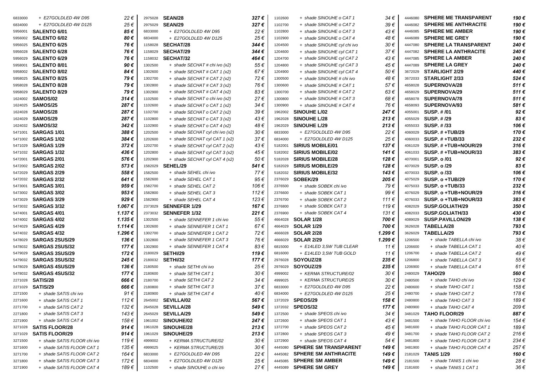| 6833000 | + E27GOLDLED 4W D95         | 22€            | 2975028 | <b>SEAN/28</b>                  | 327€  | 1102600 | + shade SINOUHE o CAT 1      | 34 €     | 4446080 | <b>SPHERE ME TRANSPARENT</b> | 190 € |
|---------|-----------------------------|----------------|---------|---------------------------------|-------|---------|------------------------------|----------|---------|------------------------------|-------|
| 6834000 | + E27GOLDLED 4W D125        | 25€            | 2975029 | SEAN/29                         | 327€  | 1102700 | + shade SINOUHE o CAT 2      | 39€      | 4446082 | <b>SPHERE ME ANTHRACITE</b>  | 190€  |
| 5956001 | SALENTO 6/01                | 85€            | 6833000 | + E27GOLDLED 4W D95             | 22€   | 1102800 | + shade SINOUHE o CAT 3      | 43€      | 4446085 | <b>SPHERE ME AMBER</b>       | 190€  |
| 5956002 | <b>SALENTO 6/02</b>         | 80€            | 6834000 | + E27GOLDLED 4W D125            | 25€   | 1102900 | + shade SINOUHE o CAT 4      | 48€      | 4446089 | <b>SPHERE ME GREY</b>        | 190€  |
| 5956025 | <b>SALENTO 6/25</b>         | 76€            | 1158028 | <b>SECHAT/28</b>                | 344€  | 1204500 | + shade SINOUHE cyl chi ivo  | 30€      | 4447080 | <b>SPHERE LA TRANSPARENT</b> | 240€  |
| 5956028 | <b>SALENTO 6/28</b>         | 76€            | 1158029 | <b>SECHAT/29</b>                | 344€  | 1204600 | + shade SINOUHE cyl CAT 1    | 37€      | 4447082 | <b>SPHERE LA ANTHRACITE</b>  | 240€  |
| 5956029 | <b>SALENTO 6/29</b>         | 76€            | 1158032 | <b>SECHAT/32</b>                | 464€  | 1204700 | + shade SINOUHE cyl CAT 2    | 43€      | 4447085 | <b>SPHERE LA AMBER</b>       | 240€  |
| 5958001 | SALENTO 8/01                | 90€            | 1302500 | + shade SECHAT # chi ivo (x2)   | 55€   | 1204800 | + shade SINOUHE cyl CAT 3    | 45€      | 4447089 | <b>SPHERE LA GREY</b>        | 240€  |
| 5958002 | <b>SALENTO 8/02</b>         | 84€            | 1302600 | + shade SECHAT # CAT 1 (x2)     | 67€   | 1204900 | + shade SINOUHE cyl CAT 4    | 50€      | 3672029 | <b>STARLIGHT 2/29</b>        | 440€  |
| 5958025 | <b>SALENTO 8/25</b>         | 79€            | 1302700 | + shade SECHAT # CAT 2 (x2)     | 72€   | 1300500 | + shade SINOUHE # chi ivo    | 48€      | 3672033 | <b>STARLIGHT 2/33</b>        | 524€  |
| 5958028 | <b>SALENTO 8/28</b>         | 79€            | 1302800 | + shade SECHAT # CAT 3 (x2)     | 76€   | 1300600 | + shade SINOUHE # CAT 1      | 57€      | 4658028 | SUPERNOVA/28                 | 511€  |
| 5958029 | <b>SALENTO 8/29</b>         | 79€            | 1302900 | + shade SECHAT # CAT 4 $(x2)$   | 83€   | 1300700 | + shade SINOUHE # CAT 2      | 63€      | 4658029 | SUPERNOVA/29                 | 511€  |
| 1624002 | <b>SAMOS/02</b>             | 314€           | 1102500 | + shade SECHAT o chi ivo (x2)   | 27€   | 1300800 | + shade SINOUHE # CAT 3      | 68€      | 4658078 | SUPERNOVA/78                 | 511€  |
| 1624025 | SAMOS/25                    | 287€           | 1102600 | + shade SECHAT o CAT 1 (x2)     | 34€   | 1300900 | + shade SINOUHE # CAT 4      | 76€      | 4658093 | SUPERNOVA/93                 | 581€  |
| 1624028 | SAMOS/28                    | 287€           | 1102700 | + shade SECHAT o CAT 2 (x2)     | 39€   | 1962002 | <b>SINOUHE L/02</b>          | 247€     | 4055001 | SUSP. # /01                  | 92€   |
| 1624029 | SAMOS/29                    | 287€           | 1102800 | + shade SECHAT o CAT 3 (x2)     | 43€   | 1962028 | <b>SINOUHE L/28</b>          | 213€     | 4055029 | <b>SUSP. #/29</b>            | 83€   |
| 1624032 | <b>SAMOS/32</b>             | 342€           | 1102900 | + shade SECHAT o CAT 4 (x2)     | 48€   | 1962029 | <b>SINOUHE L/29</b>          | 213€     | 4055033 | SUSP. #/33                   | 106€  |
| 5471001 | <b>SARGAS 1/01</b>          | 388€           | 1202500 | + shade SECHAT cyl chi ivo (x2) | 30€   | 6833000 | + E27GOLDLED 4W D95          | 22€      | 4060029 | <b>SUSP. #+TUB/29</b>        | 170€  |
| 5471002 | SARGAS 1/02                 | 384€           | 1202600 | + shade SECHAT cyl CAT 1 (x2)   | 37€   | 6834000 | + E27GOLDLED 4W D125         | 25€      | 4060033 | <b>SUSP. #+TUB/33</b>        | 232€  |
| 5471029 | SARGAS 1/29                 | 372€           | 1202700 | + shade SECHAT cyl CAT 2 (x2)   | 43€   | 5182001 | <b>SIRIUS MOBILE/01</b>      | 137€     | 4061029 | SUSP. # +TUB+NOUR/29         | 316€  |
| 5471032 | <b>SARGAS 1/32</b>          | 436€           | 1202800 | + shade SECHAT cyl CAT 3 (x2)   | 45€   | 5182002 | <b>SIRIUS MOBILE/02</b>      | 141€     | 4061033 | $SUSP. # + TUB + NOUR/33$    | 383€  |
| 5472001 | SARGAS 2/01                 | 576€           | 1202900 | + shade SECHAT cyl CAT 4 (x2)   | 50€   | 5182028 | <b>SIRIUS MOBILE/28</b>      | 128€     | 4070001 | <b>SUSP. o /01</b>           | 92€   |
| 5472002 | <b>SARGAS 2/02</b>          | 573€           | 1582029 | SEHEL/29                        | 541 € | 5182029 | <b>SIRIUS MOBILE/29</b>      | 128 €    | 4070029 | <b>SUSP. o /29</b>           | 83€   |
| 5472029 | <b>SARGAS 2/29</b>          | 558€           | 1582500 | + shade SEHEL chi ivo           | 77€   | 5182032 | <b>SIRIUS MOBILE/32</b>      | 143€     | 4070033 | <b>SUSP. o /33</b>           | 106€  |
| 5472032 | <b>SARGAS 2/32</b>          | 641€           | 1582600 | + shade SEHEL CAT 1             | 95€   | 2376029 | SOBEK/29                     | 205€     | 4075029 | SUSP. o +TUB/29              | 170€  |
| 5473001 | SARGAS 3/01                 | 959€           | 1582700 | + shade SEHEL CAT 2             | 106€  | 2376500 | + shade SOBEK chi ivo        | 79€      | 4075033 | SUSP. o +TUB/33              | 232€  |
| 5473002 | <b>SARGAS 3/02</b>          | 953€           | 1582800 | + shade SEHEL CAT 3             | 112€  | 2376600 | + shade SOBEK CAT 1          | 99€      | 4076029 | SUSP. o +TUB+NOUR/29         | 316€  |
| 5473029 | <b>SARGAS 3/29</b>          | 929€           | 1582900 | + shade SEHEL CAT 4             | 123€  | 2376700 | + shade SOBEK CAT 2          | 111€     | 4076033 | SUSP. o +TUB+NOUR/33         | 383€  |
| 5473032 | SARGAS 3/32                 | 1.067€         | 2373029 | <b>SENNEFER 1/29</b>            | 167€  | 2376800 | + shade SOBEK CAT 3          | 119€     | 4082029 | SUSP.GOLIATH/29              | 350€  |
| 5474001 | SARGAS 4/01                 | 1.137€         | 2373032 | <b>SENNEFER 1/32</b>            | 221€  | 2376900 | + shade SOBEK CAT 4          | 131€     | 4082033 | SUSP.GOLIATH/33              | 430€  |
| 5474002 | <b>SARGAS 4/02</b>          | 1.135€         | 1302500 | + shade SENNEFER 1 chi ivo      | 55€   | 4664028 | <b>SOLAR 1/28</b>            | 700€     | 4089029 | SUSP.PAVILLON/29             | 138€  |
| 5474029 | <b>SARGAS 4/29</b>          | 1.114€         | 1302600 | + shade SENNEFER 1 CAT 1        | 67€   | 4664029 | <b>SOLAR 1/29</b>            | 700€     | 3626028 | TABELLA/28                   | 793€  |
| 5474032 | <b>SARGAS 4/32</b>          | 1.296€         | 1302700 | + shade SENNEFER 1 CAT 2        | 72€   | 4666028 | <b>SOLAR 2/28</b>            | 1.299€   | 3626029 | TABELLA/29                   | 793€  |
| 5478029 | <b>SARGAS 2SUS/29</b>       | 136€           | 1302800 | + shade SENNEFER 1 CAT 3        | 76€   | 4666029 | <b>SOLAR 2/29</b>            | 1.299€   | 1206500 | + shade TABELLA chi ivo      | 38€   |
| 5478032 | <b>SARGAS 2SUS/32</b>       | 177€           | 1302900 | + shade SENNEFER 1 CAT 4        | 83€   | 6815000 | + E14LED 3,5W TUB CLEAR      | 11€      | 1206600 | + shade TABELLA CAT 1        | 40€   |
| 5479029 | <b>SARGAS 3SUS/29</b>       | 172€           | 2180029 | <b>SETHI/29</b>                 | 119€  | 6816000 | + E14LED 3.5W TUB GOLD       | 11€      | 1206700 | + shade TABELLA CAT 2        | 49€   |
| 5479032 | <b>SARGAS 3SUS/32</b>       | 245€           | 2180032 | <b>SETHI/32</b>                 | 177€  | 2976028 | SOYOUZ/28                    | 235 €    | 1206800 | + shade TABELLA CAT 3        | 55€   |
| 5478029 | <b>SARGAS 4SUS/29</b>       | 136€           | 2180500 | + shade SETHI chi ivo           | 25€   | 2976029 | SOYOUZ/29                    | 235€     | 1206900 | + shade TABELLA CAT 4        | 61€   |
| 5478032 | <b>SARGAS 4SUS/32</b>       | 177€           | 2180600 | + shade SETHI CAT 1             | 30€   | 4999002 | + KERMA STRUCTURE/02         | $30 \in$ | 2480029 | <b>TAHO/29</b>               | 560€  |
| 2271028 | SATIS/28                    | 666€           | 2180700 | + shade SETHI CAT 2             | 34 €  | 4999025 | + KERMA STRUCTURE/25         | 30€      | 2480500 | + shade TAHO chi ivo         | 129€  |
| 2271029 | SATIS/29                    | 666€           | 2180800 | + shade SETHI CAT 3             | 37€   | 6833000 | + E27GOLDLED 4W D95          | 22€      | 2480600 | + shade TAHO CAT 1           | 158€  |
| 2271500 | + shade SATIS chi ivo       | 91€            | 2180900 | + shade SETHI CAT 4             | 40€   | 6834000 | + E27GOLDLED 4W D125         | 25€      | 2480700 | + shade TAHO CAT 2           | 178€  |
| 2271600 | + shade SATIS CAT 1         | 112 $\epsilon$ |         | 2645002 SEVILLA/02              | 567€  |         | 1372029 SPEOS/29             | 158€     | 2480800 | + shade TAHO CAT 3           | 189€  |
| 2271700 | + shade SATIS CAT 2         | 132€           |         | 2645028 SEVILLA/28              | 549 € |         | 1372032 SPEOS/32             | 177 €    | 2480900 | + shade TAHO CAT 4           | 209€  |
| 2271800 | + shade SATIS CAT 3         | 143 €          |         | 2645029 SEVILLA/29              | 549€  | 1372500 | + shade SPEOS chi ivo        | 34 €     | 3481029 | <b>TAHO FLOOR/29</b>         | 887€  |
| 2271900 | + shade SATIS CAT 4         | 158 €          |         | 1961002 SINOUHE/02              | 247 € | 1372600 | + shade SPEOS CAT 1          | 43€      | 3481500 | + shade TAHO FLOOR chi ivo   | 154 € |
| 3271028 | <b>SATIS FLOOR/28</b>       | 914 $\epsilon$ |         | 1961028 SINOUHE/28              | 213€  | 1372700 | + shade SPEOS CAT 2          | 45€      | 3481600 | + shade TAHO FLOOR CAT 1     | 189€  |
| 3271029 | <b>SATIS FLOOR/29</b>       | 914€           | 1961029 | <b>SINOUHE/29</b>               | 213€  | 1372800 | + shade SPEOS CAT 3          | 49 €     | 3481700 | + shade TAHO FLOOR CAT 2     | 216€  |
| 3271500 | + shade SATIS FLOOR chi ivo | 119€           | 4999002 | + KERMA STRUCTURE/02            | 30€   | 1372900 | + shade SPEOS CAT 4          | 54 €     | 3481800 | + shade TAHO FLOOR CAT 3     | 234 € |
| 3271600 | + shade SATIS FLOOR CAT 1   | 135 €          | 4999025 | + KERMA STRUCTURE/25            | 30€   | 4445080 | <b>SPHERE SM TRANSPARENT</b> | 149 €    | 3481900 | + shade TAHO FLOOR CAT 4     | 257€  |
| 3271700 | + shade SATIS FLOOR CAT2    | 164 €          | 6833000 | + E27GOLDLED 4W D95             | 22€   | 4445082 | <b>SPHERE SM ANTHRACITE</b>  | 149 €    | 2181029 | <b>TANIS 1/29</b>            | 160 € |
| 3271800 | + shade SATIS FLOOR CAT 3   | 172€           | 6834000 | + E27GOLDLED 4W D125            | 25€   | 4445085 | <b>SPHERE SM AMBER</b>       | 149 €    | 2181500 | + shade TANIS 1 chi ivo      | 28€   |
| 3271900 | + shade SATIS FLOOR CAT 4   | 189 €          | 1102500 | + shade SINOUHE o chi ivo       | 27€   | 4445089 | <b>SPHERE SM GREY</b>        | 149 €    | 2181600 | + shade TANIS 1 CAT 1        | 36€   |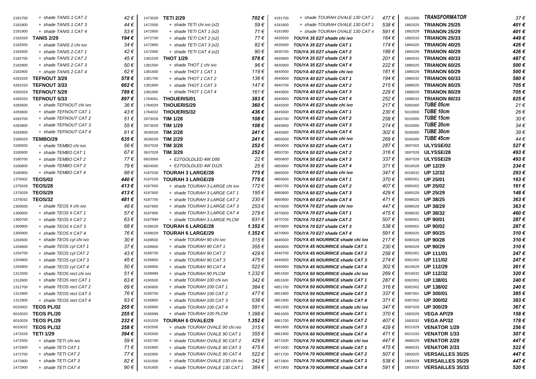| 2181700 | + shade TANIS 1 CAT 2                                | 42€         | 1473029            | <b>TETI 2/29</b>                                  | 702€           | 4191700            | + shade TOURAH OVALE 130 CAT2                                    | 477€         | 6512000 | <b>TRANSFORMATOR</b>                 | 37€   |
|---------|------------------------------------------------------|-------------|--------------------|---------------------------------------------------|----------------|--------------------|------------------------------------------------------------------|--------------|---------|--------------------------------------|-------|
| 2181800 | + shade TANIS 1 CAT 3                                | 44€         | 1472500            | + shade TETI chi ivo (x2)                         | 59€            | 4191800            | + shade TOURAH OVALE 130 CAT 3                                   | 538€         | 1882025 | <b>TRIANON 25/25</b>                 | 401€  |
| 2181900 | + shade TANIS 1 CAT 4                                | 53€         | 1472600            | $+$ shade TETI CAT 1 (x2)                         | 71€            | 4191900            | + shade TOURAH OVALE 130 CAT 4                                   | 591€         | 1882029 | <b>TRIANON 25/29</b>                 | 401€  |
| 2182029 | <b>TANIS 2/29</b>                                    | 194 €       | 1472700            | $+$ shade TETI CAT 2 (x2)                         | 77€            | 4835500            | TOUYA 35 E27 shade chi ivo                                       | 164 €        | 1882033 | <b>TRIANON 25/33</b>                 | 449€  |
| 2182500 | + shade TANIS 2 chi ivo                              | 34 €        | 1472800            | $+$ shade TETI CAT 3 (x2)                         | 82€            | 4835600            | TOUYA 35 E27 shade CAT 1                                         | 174 €        | 1884025 | TRIANON 40/25                        | 426 € |
| 2182600 | + shade TANIS 2 CAT 1                                | 42€         | 1472900            | $+$ shade TETI CAT 4 (x2)                         | 90€            | 4835700            | TOUYA 35 E27 shade CAT 2                                         | 189€         | 1884029 | TRIANON 40/29                        | 426€  |
| 2182700 | + shade TANIS 2 CAT 2                                | 45 €        | 1381029            | <b>THOT 1/29</b>                                  | 578€           | 4835800            | TOUYA 35 E27 shade CAT 3                                         | 201€         | 1884033 | TRIANON 40/33                        | 487€  |
| 2182800 | + shade TANIS 2 CAT 3                                | 50€         | 1381500            | + shade THOT 1 chi ivo                            | 96€            | 4835900            | TOUYA 35 E27 shade CAT 4                                         | 222€         | 1886025 | TRIANON 60/25                        | 500€  |
| 2182900 | + shade TANIS 2 CAT 4                                | 62€         | 1381600            | + shade THOT 1 CAT 1                              | 119€           | 4840500            | TOUYA 40 E27 shade chi ivo                                       | 181 €        | 1886029 | TRIANON 60/29                        | 500€  |
| 4281029 | <b>TEFNOUT 3/29</b>                                  | 578€        | 1381700            | + shade THOT 1 CAT 2                              | 136 €          | 4840600            | TOUYA 40 E27 shade CAT 1                                         | 194€         | 1886033 | TRIANON 60/33                        | 580€  |
| 4281033 | <b>TEFNOUT 3/33</b>                                  | 662€        | 1381800            | + shade THOT 1 CAT 3                              | 147€           | 4840700            | TOUYA 40 E27 shade CAT 2                                         | 215€         | 1888025 | TRIANON 80/25                        | 705€  |
| 4282029 | <b>TEFNOUT 5/29</b>                                  | 789€        | 1381900            | + shade THOT 1 CAT 4                              | 161 €          | 4840800            | TOUYA 40 E27 shade CAT 3                                         | 229€         | 1888029 | TRIANON 80/29                        | 705€  |
| 4282033 | <b>TEFNOUT 5/33</b>                                  | 897€        | 1784001            | <b>THOUERIS/01</b>                                | $383 \in$      | 4840900            | TOUYA 40 E27 shade CAT 4                                         | 252€         | 1888033 | TRIANON 80/33                        | 825€  |
| 4283500 | + shade TEFNOUT chi ivo                              | 36€         | 1784029            | <b>THOUERIS/29</b>                                | 360€           | 4845500            | TOUYA 45 E27 shade chi ivo                                       | 217€         | 5005000 | TUBE 05cm                            | 21€   |
| 4283600 | + shade TEFNOUT CAT 1                                | 43€         | 1784032            | <b>THOUERIS/32</b>                                | 436€           | 4845600            | TOUYA 45 E27 shade CAT 1                                         | 230€         | 5010000 | <b>TUBE 10cm</b>                     | 26€   |
| 4283700 | + shade TEFNOUT CAT 2                                | 51€         | 2973028            | <b>TIM 1/28</b>                                   | 108€           | 4845700            | TOUYA 45 E27 shade CAT 2                                         | 258€         | 5015000 | TUBE 15cm                            | 30€   |
| 4283800 | + shade TEFNOUT CAT 3                                | 55 €        | 2973029            | TIM 1/29                                          | 108€           | 4845800            | TOUYA 45 E27 shade CAT 3                                         | 274€         | 5020000 | <b>TUBE 20cm</b>                     | 34€   |
| 4283900 | + shade TEFNOUT CAT 4                                | 61€         | 3636028            | <b>TIM 2/28</b>                                   | 241€           | 4845900            | TOUYA 45 E27 shade CAT 4                                         | 302€         | 5030000 | <b>TUBE 30cm</b>                     | 39€   |
| 3180029 | TEMBO/29                                             | 635 €       | 3636029            | TIM 2/29                                          | 241€           | 4850500            | TOUYA 50 E27 shade chi ivo                                       | 269€         | 5045000 | <b>TUBE 45cm</b>                     | 44€   |
| 3180500 | + shade TEMBO chi ivo                                | 56 €        | 3637028            | <b>TIM 3/28</b>                                   | 252€           | 4850600            | TOUYA 50 E27 shade CAT 1                                         | 287€         | 3697002 | ULYSSE/02                            | 527€  |
| 3180600 | + shade TEMBO CAT 1                                  | 67€         | 3637029            | TIM 3/29                                          | 252€           | 4850700            | TOUYA 50 E27 shade CAT 2                                         | 316€         | 3697028 | ULYSSE/28                            | 493 € |
| 3180700 | + shade TEMBO CAT 2                                  | 77€         | 6833000            | + E27GOLDLED 4W D95                               | 22€            | 4850800            | TOUYA 50 E27 shade CAT 3                                         | 337€         | 3697029 | ULYSSE/29                            | 493€  |
| 3180800 | + shade TEMBO CAT 3                                  | 79 €        | 6834000            | + E27GOLDLED 4W D125                              | 25€            | 4850900            | TOUYA 50 E27 shade CAT 4                                         | 371€         | 6018029 | <b>UP 12/29</b>                      | 234€  |
| 3180900 | + shade TEMBO CAT 4                                  | 88€         | 4187028            | <b>TOURAH 3 LARGE/28</b>                          | 775€           | 4860500            | TOUYA 60 E27 shade chi ivo                                       | 347€         | 6018032 | <b>UP 12/32</b>                      | 293€  |
| 1375002 | <b>TEOS/02</b>                                       | 440 €       | 4187029            | <b>TOURAH 3 LARGE/29</b>                          | 775€           | 4860600            | TOUYA 60 E27 shade CAT 1                                         | 370€         | 6085001 | <b>UP 25/01</b>                      | 163€  |
| 1375028 | TEOS/28                                              | 413€        | 4187500            | + shade TOURAH 3 LARGE chi ivo                    | 172€           | 4860700            | TOUYA 60 E27 shade CAT 2                                         | 407 €        | 6085002 | <b>UP 25/02</b>                      | 161 € |
| 1375029 | <b>TEOS/29</b>                                       | 413€        | 4187600            | + shade TOURAH 3 LARGE CAT 1                      | 195€           | 4860800            | TOUYA 60 E27 shade CAT 3                                         | 429€         | 6085029 | <b>UP 25/29</b>                      | 148€  |
| 1375032 | <b>TEOS/32</b>                                       | 481 €       | 4187700            | + shade TOURAH 3 LARGE CAT 2                      | 230€           | 4860900            | TOUYA 60 E27 shade CAT 4                                         | 471 €        | 6098025 | <b>UP 38/25</b>                      | 363€  |
| 1300500 | + shade TEOS # chi ivo                               | 48€         | 4187800            | + shade TOURAH 3 LARGE CAT 3                      | 253€           | 4870500            | TOUYA 70 E27 shade chi ivo                                       | 447 €        | 6098029 | <b>UP 38/29</b>                      | 363€  |
| 1300600 | + shade TEOS # CAT 1                                 | 57€         | 4187900            | + shade TOURAH 3 LARGE CAT 4                      | 279€           | 4870600            | TOUYA 70 E27 shade CAT 1                                         | 475€         | 6098032 | <b>UP 38/32</b>                      | 460 € |
| 1300700 | + shade TEOS # CAT 2                                 | 63€         | 4187999            | + shade TOURAH 3 LARGE PLCM                       | 931 $\epsilon$ | 4870700            | TOUYA 70 E27 shade CAT 2                                         | 507€         | 6090001 | <b>UP 90/01</b>                      | 287€  |
| 1300800 | + shade TEOS # CAT 3                                 | 68€         | 4189028            | <b>TOURAH 6 LARGE/28</b>                          | 1.352€         | 4870800            | TOUYA 70 E27 shade CAT 3                                         | 538€         | 6090002 | <b>UP 90/02</b>                      | 287€  |
| 1300900 | + shade TEOS # CAT 4                                 | 76 €        | 4189029            | <b>TOURAH 6 LARGE/29</b>                          | 1.352€         | 4870900            | TOUYA 70 E27 shade CAT 4                                         | 591€         | 6090025 | <b>UP 90/25</b>                      | 310€  |
| 1204500 | + shade TEOS cyl chi ivo                             | 30€         | 4189500            | + shade TOURAH 90 chi ivo                         | $315 \in$      | 4846500            | TOUYA 45 NOURRICE shade chi ivo                                  | 217€         | 6090028 | <b>UP 90/28</b>                      | 310€  |
| 1204600 | + shade TEOS cyl CAT 1                               | 37€         | 4189600            | + shade TOURAH 90 CAT 1                           | 355€           | 4846600            | TOUYA 45 NOURRICE shade CAT 1                                    | 230€         | 6090029 | <b>UP 90/29</b>                      | 310€  |
|         |                                                      |             | 4189700            | + shade TOURAH 90 CAT 2                           | 429€           | 4846700            | TOUYA 45 NOURRICE shade CAT 2                                    | 258€         |         | <b>UP 111/01</b>                     | 247€  |
| 1204700 | + shade TEOS cyl CAT 2                               | 43€         |                    |                                                   | 475€           |                    | TOUYA 45 NOURRICE shade CAT 3                                    | 274€         | 6081001 | <b>UP 111/02</b>                     | 247€  |
| 1204800 | + shade TEOS cyl CAT 3                               | 45 €<br>50€ | 4189800            | + shade TOURAH 90 CAT 3                           | 522€           | 4846800            |                                                                  | 302€         | 6081002 | <b>UP 112/29</b>                     | 261€  |
| 1204900 | + shade TEOS cyl CAT 4                               |             | 4189900            | + shade TOURAH 90 CAT 4<br>+ shade TOURAH 90 PLCM |                | 4846900            | TOUYA 45 NOURRICE shade CAT 4                                    |              | 6019029 |                                      |       |
| 1312500 | + shade TEOS rect chi ivo<br>+ shade TEOS rect CAT 1 | 51€<br>63€  | 4189999            | + shade TOURAH 100 chi ivo                        | 1.232€<br>342€ | 4851500<br>4851600 | TOUYA 50 NOURRICE shade chi ivo<br>TOUYA 50 NOURRICE shade CAT 1 | 269€<br>287€ | 6019032 | <b>UP 112/32</b><br><b>UP 138/01</b> | 320€  |
| 1312600 |                                                      |             | 4190500            |                                                   |                |                    |                                                                  |              | 6082001 |                                      | 240€  |
| 1312700 | + shade TEOS rect CAT 2                              | 69€         | 4190600<br>4190700 | + shade TOURAH 100 CAT 1                          | 384€           | 4851700            | TOUYA 50 NOURRICE shade CAT 2                                    | $316 \in$    | 6082002 | <b>UP 138/02</b>                     | 240 € |
| 1312800 | + shade TEOS rect CAT 3                              | 76 €        |                    | + shade TOURAH 100 CAT 2                          | 477€           | 4851800            | TOUYA 50 NOURRICE shade CAT 3                                    | 337€         |         | 6087001 UP 300/01                    | 385€  |
| 1312900 | + shade TEOS rect CAT 4                              | 83€         | 4190800            | + shade TOURAH 100 CAT 3                          | 538€           | 4851900            | TOUYA 50 NOURRICE shade CAT 4                                    | 371€         |         | 6087002 UP 300/02                    | 383€  |
| 6010002 | <b>TEOS PL/02</b>                                    | 255€        | 4190900            | + shade TOURAH 100 CAT 4                          | 591€           | 4861500            | TOUYA 60 NOURRICE shade chi ivo                                  | 347 €        | 6087029 | <b>UP 300/29</b>                     | 367€  |
| 6010020 | <b>TEOS PL/20</b>                                    | 255€        | 4190999            | + shade TOURAH 100 PLCM                           | 1.398€         | 4861600            | TOUYA 60 NOURRICE shade CAT 1                                    | 370€         | 1683029 | <b>VEGA AP/29</b>                    | 158 € |
| 6010029 | <b>TEOS PL/29</b>                                    | 232€        | 4191029            | <b>TOURAH 6 OVALE/29</b>                          | $1.352 \in$    | 4861700            | TOUYA 60 NOURRICE shade CAT 2                                    | 407€         | 1683032 | <b>VEGA AP/32</b>                    | 178 € |
| 6010032 | <b>TEOS PL/32</b>                                    | 258€        | 4192500            | + shade TOURAH OVALE 90 chi ivo                   | $315 \in$      | 4861800            | TOUYA 60 NOURRICE shade CAT 3                                    | 429€         | 6021029 | <b>VENATOR 1/29</b>                  | 256€  |
| 1472029 | <b>TETI 1/29</b>                                     | 394€        | 4192600            | + shade TOURAH OVALE 90 CAT 1                     | 355€           | 4861900            | TOUYA 60 NOURRICE shade CAT 4                                    | 471€         | 6021033 | <b>VENATOR 1/33</b>                  | 307€  |
| 1472500 | + shade TETI chi ivo                                 | 59€         | 4192700            | + shade TOURAH OVALE 90 CAT 2                     | 429€           | 4871500            | TOUYA 70 NOURRICE shade chi ivo                                  | 447 €        | 3686029 | <b>VENATOR 2/29</b>                  | 447€  |
| 1472600 | + shade TETI CAT 1                                   | 71 €        | 4192800            | + shade TOURAH OVALE 90 CAT 3                     | 475€           | 4871600            | TOUYA 70 NOURRICE shade CAT 1                                    | 475€         | 3686033 | <b>VENATOR 2/33</b>                  | 522€  |
| 1472700 | + shade TETI CAT 2                                   | 77 €        | 4192900            | + shade TOURAH OVALE 90 CAT 4                     | 522€           | 4871700            | TOUYA 70 NOURRICE shade CAT 2                                    | 507€         | 1893025 | <b>VERSAILLES 35/25</b>              | 447 € |
| 1472800 | + shade TETI CAT 3                                   | 82€         | 4191500            | + shade TOURAH OVALE 130 chi ivo                  | 342€           | 4871800            | TOUYA 70 NOURRICE shade CAT 3                                    | 538€         | 1893029 | <b>VERSAILLES 35/29</b>              | 447€  |
| 1472900 | + shade TETI CAT 4                                   | 90€         | 4191600            | + shade TOURAH OVALE 130 CAT 1                    | 384€           | 4871900            | TOUYA 70 NOURRICE shade CAT 4                                    | 591€         | 1893033 | <b>VERSAILLES 35/33</b>              | 520€  |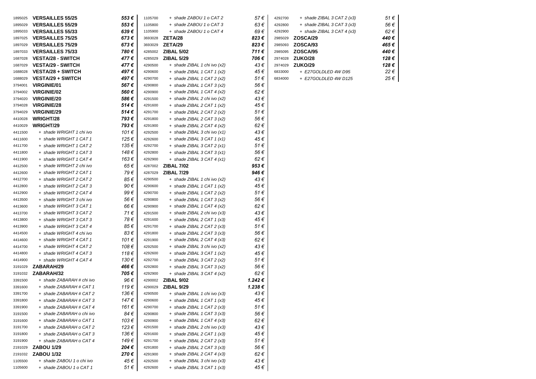| 1895025 | <b>VERSAILLES 55/25</b>   | 553€  | 1105700 | + shade ZABOU 1 o CAT 2      | 57€     |
|---------|---------------------------|-------|---------|------------------------------|---------|
| 1895029 | <b>VERSAILLES 55/29</b>   | 553€  | 1105800 | + shade ZABOU 1 o CAT 3      | 63€     |
| 1895033 | <b>VERSAILLES 55/33</b>   | 639€  | 1105900 | + shade ZABOU 1 o CAT 4      | 69€     |
| 1897025 | <b>VERSAILLES 75/25</b>   | 673€  | 3693028 | ZETA/28                      | 823€    |
| 1897029 | <b>VERSAILLES 75/29</b>   | 673€  | 3693029 | ZETA/29                      | 823€    |
| 1897033 | <b>VERSAILLES 75/33</b>   | 780€  | 4285002 | <b>ZIBAL 5/02</b>            | 711€    |
| 1687028 | <b>VESTA/28 - SWITCH</b>  | 477€  | 4285029 | <b>ZIBAL 5/29</b>            | 706€    |
| 1687029 | <b>VESTA/29 - SWITCH</b>  | 477€  | 4290500 | + shade ZIBAL 1 chi ivo (x2) | 43€     |
| 1688028 | <b>VESTA/28 + SWITCH</b>  | 497€  | 4290600 | $+$ shade ZIBAL 1 CAT 1 (x2) | 45 €    |
| 1688029 | <b>VESTA/29 + SWITCH</b>  | 497 € | 4290700 | + shade ZIBAL 1 CAT 2 (x2)   | 51€     |
| 3794001 | <b>VIRGINIE/01</b>        | 567€  | 4290800 | + shade ZIBAL 1 CAT 3 (x2)   | 56 €    |
| 3794002 | <b>VIRGINIE/02</b>        | 560€  | 4290900 | $+$ shade ZIBAL 1 CAT 4 (x2) | 62€     |
| 3794020 | <b>VIRGINIE/20</b>        | 586€  | 4291500 | + shade ZIBAL 2 chi ivo (x2) | 43€     |
| 3794028 | <b>VIRGINIE/28</b>        | 514€  | 4291600 | $+$ shade ZIBAL 2 CAT 1 (x2) | 45€     |
| 3794029 | <b>VIRGINIE/29</b>        | 514€  | 4291700 | + shade ZIBAL 2 CAT 2 (x2)   | 51€     |
| 4410028 | <b>WRIGHT/28</b>          | 793€  | 4291800 | + shade ZIBAL 2 CAT 3 (x2)   | 56€     |
| 4410029 | WRIGHT/29                 | 793€  | 4291900 | $+$ shade ZIBAL 2 CAT 4 (x2) | 62€     |
| 4411500 | + shade WRIGHT 1 chi ivo  | 101 € | 4292500 | + shade ZIBAL 3 chi ivo (x1) | 43€     |
| 4411600 | + shade WRIGHT 1 CAT 1    | 125 € | 4292600 | $+$ shade ZIBAL 3 CAT 1 (x1) | 45 €    |
| 4411700 | + shade WRIGHT 1 CAT 2    | 135 € | 4292700 | + shade ZIBAL 3 CAT 2 (x1)   | 51 €    |
| 4411800 | + shade WRIGHT 1 CAT 3    | 148 € | 4292800 | + shade ZIBAL 3 CAT 3 (x1)   | 56€     |
| 4411900 | + shade WRIGHT 1 CAT 4    | 163€  | 4292900 | $+$ shade ZIBAL 3 CAT 4 (x1) | 62€     |
| 4412500 | + shade WRIGHT 2 chi ivo  | 65€   | 4287002 | <b>ZIBAL 7/02</b>            | 953 €   |
| 4412600 | + shade WRIGHT 2 CAT 1    | 79€   | 4287029 | <b>ZIBAL 7/29</b>            | 946 €   |
| 4412700 | + shade WRIGHT 2 CAT 2    | 85€   | 4290500 | + shade ZIBAL 1 chi ivo (x2) | 43€     |
| 4412800 | + shade WRIGHT 2 CAT 3    | 90 €  | 4290600 | $+$ shade ZIBAL 1 CAT 1 (x2) | 45 €    |
| 4412900 | + shade WRIGHT 2 CAT 4    | 99 €  | 4290700 | + shade ZIBAL 1 CAT 2 (x2)   | 51 €    |
| 4413500 | + shade WRIGHT 3 chi ivo  | 56€   | 4290800 | + shade ZIBAL 1 CAT 3 (x2)   | 56€     |
| 4413600 | + shade WRIGHT 3 CAT 1    | 66 €  | 4290900 | $+$ shade ZIBAL 1 CAT 4 (x2) | 62€     |
| 4413700 | + shade WRIGHT 3 CAT 2    | 71 €  | 4291500 | + shade ZIBAL 2 chi ivo (x3) | 43€     |
| 4413800 | + shade WRIGHT 3 CAT 3    | 78€   | 4291600 | + shade ZIBAL 2 CAT 1 (x3)   | 45€     |
| 4413900 | + shade WRIGHT 3 CAT 4    | 85 €  | 4291700 | + shade ZIBAL 2 CAT 2 (x3)   | 51 €    |
| 4414500 | + shade WRIGHT 4 chi ivo  | 83€   | 4291800 | + shade ZIBAL 2 CAT 3 (x3)   | 56 €    |
| 4414600 | + shade WRIGHT 4 CAT 1    | 101 € | 4291900 | $+$ shade ZIBAL 2 CAT 4 (x3) | 62€     |
| 4414700 | + shade WRIGHT 4 CAT 2    | 108€  | 4292500 | + shade ZIBAL 3 chi ivo (x2) | 43€     |
| 4414800 | + shade WRIGHT 4 CAT 3    | 118€  | 4292600 | $+$ shade ZIBAL 3 CAT 1 (x2) | 45 €    |
| 4414900 | + shade WRIGHT 4 CAT 4    | 130€  | 4292700 | $+$ shade ZIBAL 3 CAT 2 (x2) | 51€     |
| 3191029 | ZABARAH/29                | 466€  | 4292800 | $+$ shade ZIBAL 3 CAT 3 (x2) | 56€     |
| 3191032 | ZABARAH/32                | 705€  | 4292900 | $+$ shade ZIBAL 3 CAT 4 (x2) | 62€     |
| 3391500 | + shade ZABARAH # chi ivo | 96€   | 4290002 | <b>ZIBAL 9/02</b>            | 1.242 € |
| 3391600 | + shade ZABARAH # CAT 1   | 119€  | 4290029 | <b>ZIBAL 9/29</b>            | 1.238€  |
| 3391700 | + shade ZABARAH # CAT 2   | 136 € | 4290500 | + shade ZIBAL 1 chi ivo (x3) | 43€     |
| 3391800 | + shade ZABARAH # CAT 3   | 147 € | 4290600 | + shade ZIBAL 1 CAT 1 (x3)   | 45 €    |
| 3391900 | + shade ZABARAH # CAT 4   | 161 € | 4290700 | $+$ shade ZIBAL 1 CAT 2 (x3) | 51 €    |
| 3191500 | + shade ZABARAH o chi ivo | 84€   | 4290800 | + shade ZIBAL 1 CAT 3 (x3)   | 56€     |
| 3191600 | + shade ZABARAH o CAT 1   | 103€  | 4290900 | + shade ZIBAL 1 CAT 4 $(x3)$ | 62€     |
| 3191700 | + shade ZABARAH o CAT 2   | 123€  | 4291500 | + shade ZIBAL 2 chi ivo (x3) | 43 €    |
| 3191800 | + shade ZABARAH o CAT 3   | 136€  | 4291600 | + shade ZIBAL 2 CAT 1 (x3)   | 45 €    |
| 3191900 | + shade ZABARAH o CAT 4   | 149€  | 4291700 | + shade ZIBAL 2 CAT 2 (x3)   | 51 €    |
| 2191029 | <b>ZABOU 1/29</b>         | 204€  | 4291800 | + shade ZIBAL 2 CAT 3 (x3)   | 56€     |
| 2191032 | <b>ZABOU 1/32</b>         | 270€  | 4291900 | + shade ZIBAL 2 CAT 4 $(x3)$ | 62€     |
| 1105500 | + shade ZABOU 1 o chi ivo | 45€   | 4292500 | + shade ZIBAL 3 chi ivo (x3) | 43€     |
| 1105600 | + shade ZABOU 1 o CAT 1   | 51 €  | 4292600 | + shade ZIBAL 3 CAT 1 $(x3)$ | 45€     |

| 4292700 | + shade ZIBAL 3 CAT 2 (x3)   | 51 €  |
|---------|------------------------------|-------|
| 4292800 | + shade ZIBAL 3 CAT 3 (x3)   | 56 €  |
| 4292900 | $+$ shade ZIBAL 3 CAT 4 (x3) | 62€   |
| 2985029 | ZOSCA/29                     | 440 € |
| 2985093 | ZOSCA/93                     | 465€  |
| 2985095 | <b>ZOSCA/95</b>              | 440 € |
| 2974028 | ZUKO/28                      | 128€  |
| 2974029 | ZUKO/29                      | 128€  |
| 6833000 | + E27GOLDLED 4W D95          | 22€   |
| 6834000 | + E27GOLDLED 4W D125         | 25 €  |